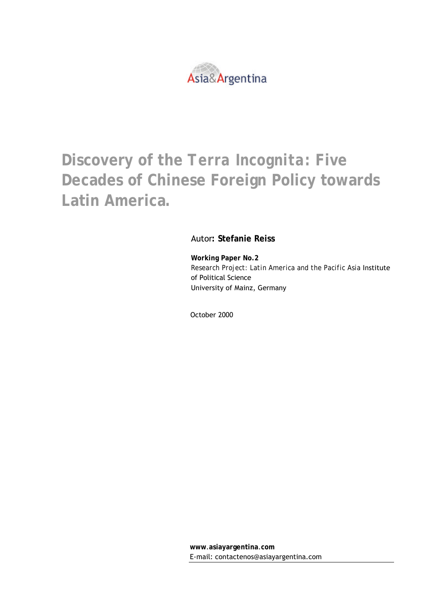

## **Discovery of the** *Terra Incognita***: Five Decades of Chinese Foreign Policy towards Latin America.**

## Autor**: Stefanie Reiss**

**Working Paper No.2**  *Research Project: Latin America and the Pacific Asia* Institute of Political Science University of Mainz, Germany

October 2000

**www**.**asiayargentina**.**com** E-mail: contactenos@asiayargentina.com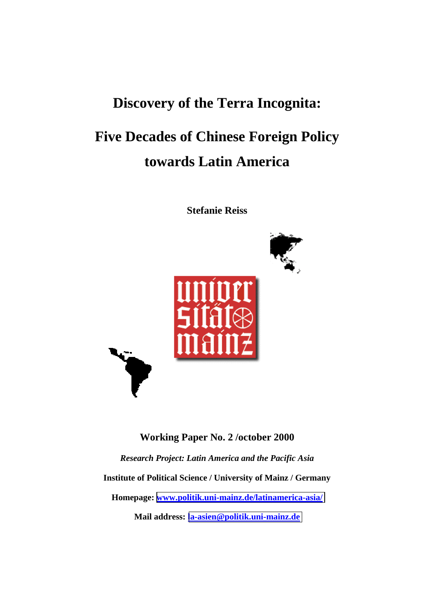# **Discovery of the Terra Incognita: Five Decades of Chinese Foreign Policy towards Latin America**

**Stefanie Reiss** 



## **Working Paper No. 2 /october 2000**

*Research Project: Latin America and the Pacific Asia*  **Institute of Political Science / University of Mainz / Germany Homepage: [www.politik.uni-mainz.de/latinamerica-asia/](http://www.politik.uni-mainz.de/latinamerica-asia/)**

**Mail address: [la-asien@politik.uni-mainz.de](mailto:la-asien@politik.uni-mainz.de)**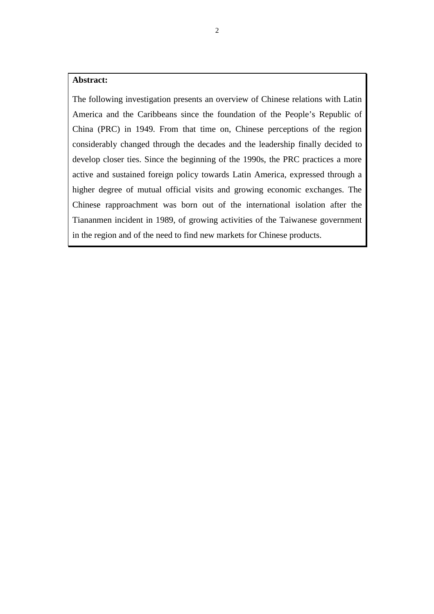### **Abstract:**

The following investigation presents an overview of Chinese relations with Latin America and the Caribbeans since the foundation of the People's Republic of China (PRC) in 1949. From that time on, Chinese perceptions of the region considerably changed through the decades and the leadership finally decided to develop closer ties. Since the beginning of the 1990s, the PRC practices a more active and sustained foreign policy towards Latin America, expressed through a higher degree of mutual official visits and growing economic exchanges. The Chinese rapproachment was born out of the international isolation after the Tiananmen incident in 1989, of growing activities of the Taiwanese government in the region and of the need to find new markets for Chinese products.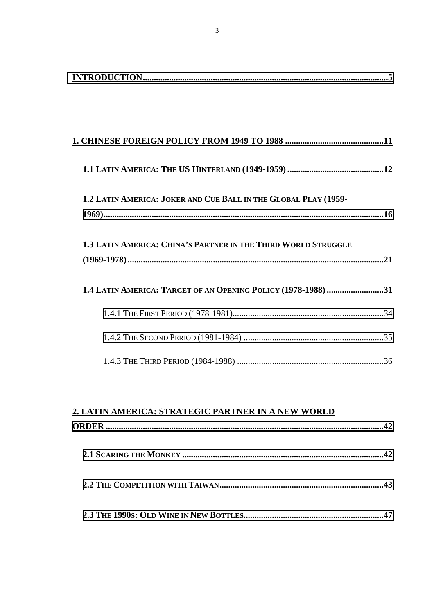## 

## 1.2 LATIN AMERICA: JOKER AND CUE BALL IN THE GLOBAL PLAY (1959-

|--|--|

| <b>1.3 LATIN AMERICA: CHINA'S PARTNER IN THE THIRD WORLD STRUGGLE</b> |  |
|-----------------------------------------------------------------------|--|
|                                                                       |  |

## 1.4 LATIN AMERICA: TARGET OF AN OPENING POLICY (1978-1988) ..........................31

## 2. LATIN AMERICA: STRATEGIC PARTNER IN A NEW WORLD

|  | 42 |
|--|----|
|  |    |
|  |    |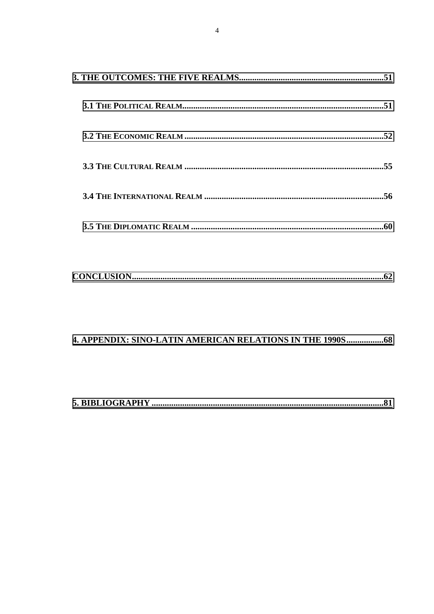|  | 55  |
|--|-----|
|  | .56 |
|  | 60  |
|  |     |

|--|

##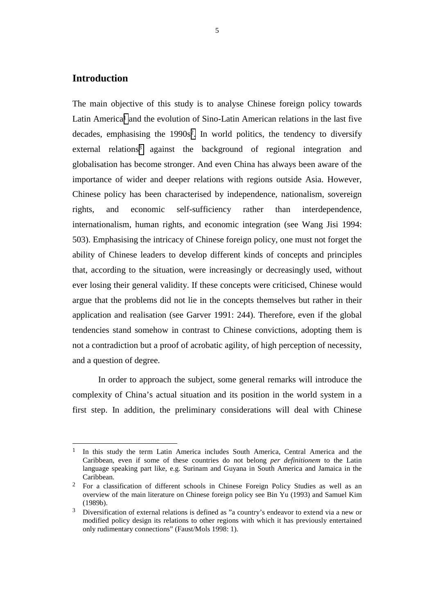## <span id="page-5-0"></span>**Introduction**

l

The main objective of this study is to analyse Chinese foreign policy towards Latin America<sup>1</sup> and the evolution of Sino-Latin American relations in the last five decades, emphasising the 1990s<sup>2</sup>. In world politics, the tendency to diversify external relations<sup>3</sup> against the background of regional integration and globalisation has become stronger. And even China has always been aware of the importance of wider and deeper relations with regions outside Asia. However, Chinese policy has been characterised by independence, nationalism, sovereign rights, and economic self-sufficiency rather than interdependence, internationalism, human rights, and economic integration (see Wang Jisi 1994: 503). Emphasising the intricacy of Chinese foreign policy, one must not forget the ability of Chinese leaders to develop different kinds of concepts and principles that, according to the situation, were increasingly or decreasingly used, without ever losing their general validity. If these concepts were criticised, Chinese would argue that the problems did not lie in the concepts themselves but rather in their application and realisation (see Garver 1991: 244). Therefore, even if the global tendencies stand somehow in contrast to Chinese convictions, adopting them is not a contradiction but a proof of acrobatic agility, of high perception of necessity, and a question of degree.

In order to approach the subject, some general remarks will introduce the complexity of China's actual situation and its position in the world system in a first step. In addition, the preliminary considerations will deal with Chinese

<sup>&</sup>lt;sup>1</sup> In this study the term Latin America includes South America, Central America and the Caribbean, even if some of these countries do not belong *per definitionem* to the Latin language speaking part like, e.g. Surinam and Guyana in South America and Jamaica in the Caribbean.

<sup>2</sup> For a classification of different schools in Chinese Foreign Policy Studies as well as an overview of the main literature on Chinese foreign policy see Bin Yu (1993) and Samuel Kim (1989b).

<sup>3</sup> Diversification of external relations is defined as "a country's endeavor to extend via a new or modified policy design its relations to other regions with which it has previously entertained only rudimentary connections" (Faust/Mols 1998: 1).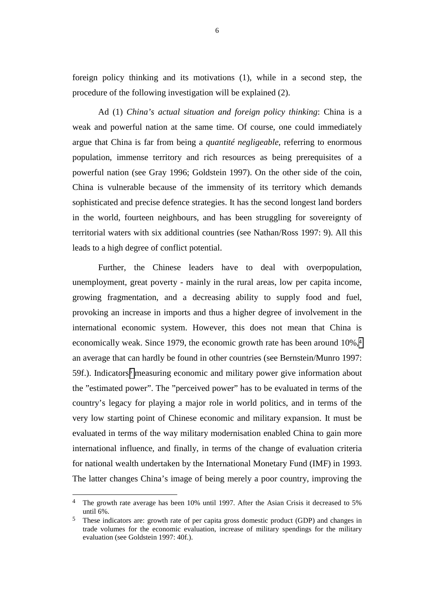foreign policy thinking and its motivations (1), while in a second step, the procedure of the following investigation will be explained (2).

Ad (1) *China's actual situation and foreign policy thinking*: China is a weak and powerful nation at the same time. Of course, one could immediately argue that China is far from being a *quantité negligeable*, referring to enormous population, immense territory and rich resources as being prerequisites of a powerful nation (see Gray 1996; Goldstein 1997). On the other side of the coin, China is vulnerable because of the immensity of its territory which demands sophisticated and precise defence strategies. It has the second longest land borders in the world, fourteen neighbours, and has been struggling for sovereignty of territorial waters with six additional countries (see Nathan/Ross 1997: 9). All this leads to a high degree of conflict potential.

Further, the Chinese leaders have to deal with overpopulation, unemployment, great poverty - mainly in the rural areas, low per capita income, growing fragmentation, and a decreasing ability to supply food and fuel, provoking an increase in imports and thus a higher degree of involvement in the international economic system. However, this does not mean that China is economically weak. Since 1979, the economic growth rate has been around 10%,4 an average that can hardly be found in other countries (see Bernstein/Munro 1997: 59f.). Indicators5 measuring economic and military power give information about the "estimated power". The "perceived power" has to be evaluated in terms of the country's legacy for playing a major role in world politics, and in terms of the very low starting point of Chinese economic and military expansion. It must be evaluated in terms of the way military modernisation enabled China to gain more international influence, and finally, in terms of the change of evaluation criteria for national wealth undertaken by the International Monetary Fund (IMF) in 1993. The latter changes China's image of being merely a poor country, improving the

<sup>4</sup> The growth rate average has been 10% until 1997. After the Asian Crisis it decreased to 5% until 6%.

<sup>5</sup> These indicators are: growth rate of per capita gross domestic product (GDP) and changes in trade volumes for the economic evaluation, increase of military spendings for the military evaluation (see Goldstein 1997: 40f.).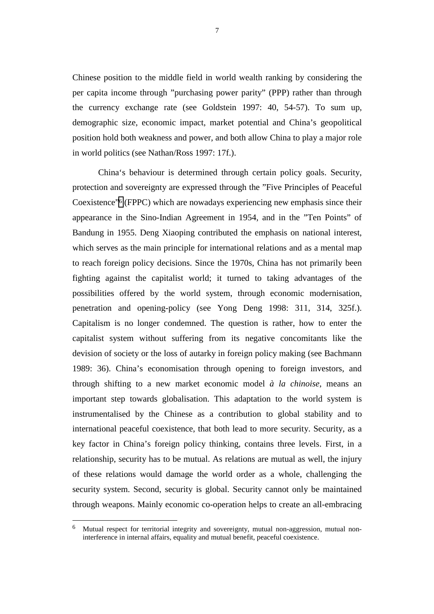Chinese position to the middle field in world wealth ranking by considering the per capita income through "purchasing power parity" (PPP) rather than through the currency exchange rate (see Goldstein 1997: 40, 54-57). To sum up, demographic size, economic impact, market potential and China's geopolitical position hold both weakness and power, and both allow China to play a major role in world politics (see Nathan/Ross 1997: 17f.).

China's behaviour is determined through certain policy goals. Security, protection and sovereignty are expressed through the "Five Principles of Peaceful Coexistence"6 (FPPC) which are nowadays experiencing new emphasis since their appearance in the Sino-Indian Agreement in 1954, and in the "Ten Points" of Bandung in 1955. Deng Xiaoping contributed the emphasis on national interest, which serves as the main principle for international relations and as a mental map to reach foreign policy decisions. Since the 1970s, China has not primarily been fighting against the capitalist world; it turned to taking advantages of the possibilities offered by the world system, through economic modernisation, penetration and opening-policy (see Yong Deng 1998: 311, 314, 325f.). Capitalism is no longer condemned. The question is rather, how to enter the capitalist system without suffering from its negative concomitants like the devision of society or the loss of autarky in foreign policy making (see Bachmann 1989: 36). China's economisation through opening to foreign investors, and through shifting to a new market economic model *à la chinoise*, means an important step towards globalisation. This adaptation to the world system is instrumentalised by the Chinese as a contribution to global stability and to international peaceful coexistence, that both lead to more security. Security, as a key factor in China's foreign policy thinking, contains three levels. First, in a relationship, security has to be mutual. As relations are mutual as well, the injury of these relations would damage the world order as a whole, challenging the security system. Second, security is global. Security cannot only be maintained through weapons. Mainly economic co-operation helps to create an all-embracing

<sup>6</sup> Mutual respect for territorial integrity and sovereignty, mutual non-aggression, mutual noninterference in internal affairs, equality and mutual benefit, peaceful coexistence.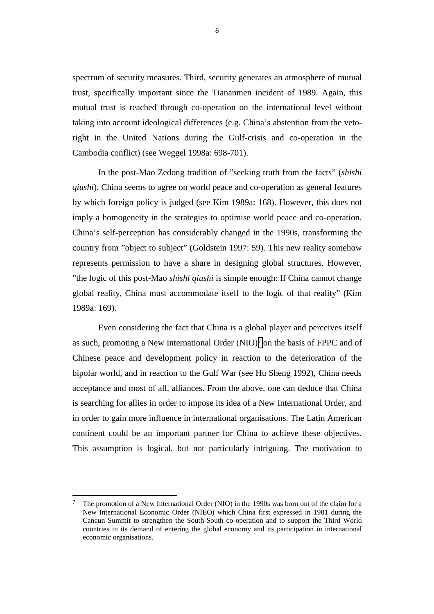spectrum of security measures. Third, security generates an atmosphere of mutual trust, specifically important since the Tiananmen incident of 1989. Again, this mutual trust is reached through co-operation on the international level without taking into account ideological differences (e.g. China's abstention from the vetoright in the United Nations during the Gulf-crisis and co-operation in the Cambodia conflict) (see Weggel 1998a: 698-701).

In the post-Mao Zedong tradition of "seeking truth from the facts" (*shishi qiushi*), China seems to agree on world peace and co-operation as general features by which foreign policy is judged (see Kim 1989a: 168). However, this does not imply a homogeneity in the strategies to optimise world peace and co-operation. China's self-perception has considerably changed in the 1990s, transforming the country from "object to subject" (Goldstein 1997: 59). This new reality somehow represents permission to have a share in designing global structures. However, "the logic of this post-Mao *shishi qiushi* is simple enough: If China cannot change global reality, China must accommodate itself to the logic of that reality" (Kim 1989a: 169).

Even considering the fact that China is a global player and perceives itself as such, promoting a New International Order (NIO)7 on the basis of FPPC and of Chinese peace and development policy in reaction to the deterioration of the bipolar world, and in reaction to the Gulf War (see Hu Sheng 1992), China needs acceptance and most of all, alliances. From the above, one can deduce that China is searching for allies in order to impose its idea of a New International Order, and in order to gain more influence in international organisations. The Latin American continent could be an important partner for China to achieve these objectives. This assumption is logical, but not particularly intriguing. The motivation to

<sup>7</sup> The promotion of a New International Order (NIO) in the 1990s was born out of the claim for a New International Economic Order (NIEO) which China first expressed in 1981 during the Cancun Summit to strengthen the South-South co-operation and to support the Third World countries in its demand of entering the global economy and its participation in international economic organisations.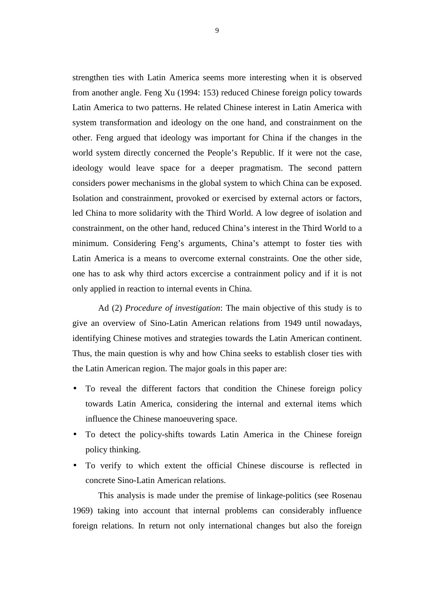strengthen ties with Latin America seems more interesting when it is observed from another angle. Feng Xu (1994: 153) reduced Chinese foreign policy towards Latin America to two patterns. He related Chinese interest in Latin America with system transformation and ideology on the one hand, and constrainment on the other. Feng argued that ideology was important for China if the changes in the world system directly concerned the People's Republic. If it were not the case, ideology would leave space for a deeper pragmatism. The second pattern considers power mechanisms in the global system to which China can be exposed. Isolation and constrainment, provoked or exercised by external actors or factors, led China to more solidarity with the Third World. A low degree of isolation and constrainment, on the other hand, reduced China's interest in the Third World to a minimum. Considering Feng's arguments, China's attempt to foster ties with Latin America is a means to overcome external constraints. One the other side, one has to ask why third actors excercise a contrainment policy and if it is not only applied in reaction to internal events in China.

Ad (2) *Procedure of investigation*: The main objective of this study is to give an overview of Sino-Latin American relations from 1949 until nowadays, identifying Chinese motives and strategies towards the Latin American continent. Thus, the main question is why and how China seeks to establish closer ties with the Latin American region. The major goals in this paper are:

- To reveal the different factors that condition the Chinese foreign policy towards Latin America, considering the internal and external items which influence the Chinese manoeuvering space.
- To detect the policy-shifts towards Latin America in the Chinese foreign policy thinking.
- To verify to which extent the official Chinese discourse is reflected in concrete Sino-Latin American relations.

This analysis is made under the premise of linkage-politics (see Rosenau 1969) taking into account that internal problems can considerably influence foreign relations. In return not only international changes but also the foreign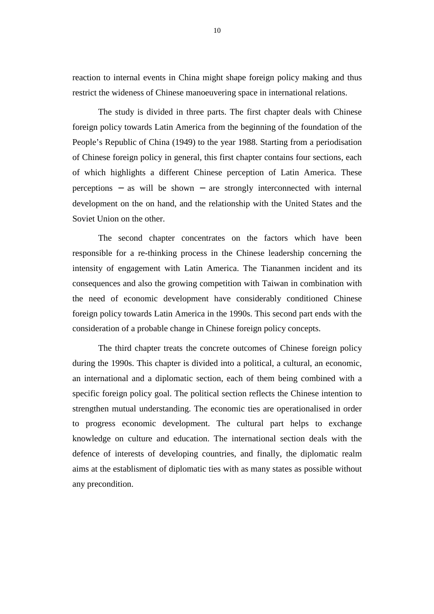reaction to internal events in China might shape foreign policy making and thus restrict the wideness of Chinese manoeuvering space in international relations.

The study is divided in three parts. The first chapter deals with Chinese foreign policy towards Latin America from the beginning of the foundation of the People's Republic of China (1949) to the year 1988. Starting from a periodisation of Chinese foreign policy in general, this first chapter contains four sections, each of which highlights a different Chinese perception of Latin America. These perceptions – as will be shown – are strongly interconnected with internal development on the on hand, and the relationship with the United States and the Soviet Union on the other.

The second chapter concentrates on the factors which have been responsible for a re-thinking process in the Chinese leadership concerning the intensity of engagement with Latin America. The Tiananmen incident and its consequences and also the growing competition with Taiwan in combination with the need of economic development have considerably conditioned Chinese foreign policy towards Latin America in the 1990s. This second part ends with the consideration of a probable change in Chinese foreign policy concepts.

The third chapter treats the concrete outcomes of Chinese foreign policy during the 1990s. This chapter is divided into a political, a cultural, an economic, an international and a diplomatic section, each of them being combined with a specific foreign policy goal. The political section reflects the Chinese intention to strengthen mutual understanding. The economic ties are operationalised in order to progress economic development. The cultural part helps to exchange knowledge on culture and education. The international section deals with the defence of interests of developing countries, and finally, the diplomatic realm aims at the establisment of diplomatic ties with as many states as possible without any precondition.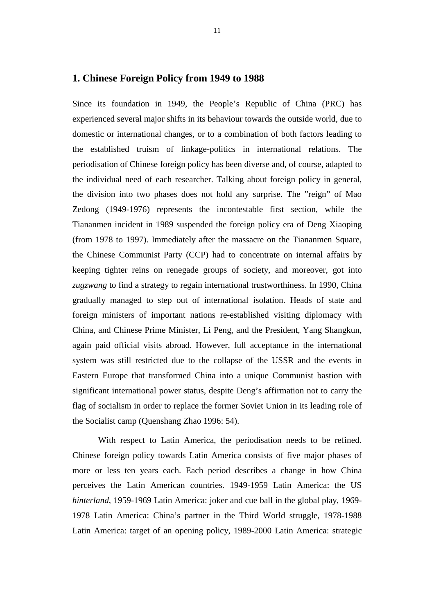### **1. Chinese Foreign Policy from 1949 to 1988**

Since its foundation in 1949, the People's Republic of China (PRC) has experienced several major shifts in its behaviour towards the outside world, due to domestic or international changes, or to a combination of both factors leading to the established truism of linkage-politics in international relations. The periodisation of Chinese foreign policy has been diverse and, of course, adapted to the individual need of each researcher. Talking about foreign policy in general, the division into two phases does not hold any surprise. The "reign" of Mao Zedong (1949-1976) represents the incontestable first section, while the Tiananmen incident in 1989 suspended the foreign policy era of Deng Xiaoping (from 1978 to 1997). Immediately after the massacre on the Tiananmen Square, the Chinese Communist Party (CCP) had to concentrate on internal affairs by keeping tighter reins on renegade groups of society, and moreover, got into *zugzwang* to find a strategy to regain international trustworthiness. In 1990, China gradually managed to step out of international isolation. Heads of state and foreign ministers of important nations re-established visiting diplomacy with China, and Chinese Prime Minister, Li Peng, and the President, Yang Shangkun, again paid official visits abroad. However, full acceptance in the international system was still restricted due to the collapse of the USSR and the events in Eastern Europe that transformed China into a unique Communist bastion with significant international power status, despite Deng's affirmation not to carry the flag of socialism in order to replace the former Soviet Union in its leading role of the Socialist camp (Quenshang Zhao 1996: 54).

With respect to Latin America, the periodisation needs to be refined. Chinese foreign policy towards Latin America consists of five major phases of more or less ten years each. Each period describes a change in how China perceives the Latin American countries. 1949-1959 Latin America: the US *hinterland*, 1959-1969 Latin America: joker and cue ball in the global play, 1969- 1978 Latin America: China's partner in the Third World struggle, 1978-1988 Latin America: target of an opening policy, 1989-2000 Latin America: strategic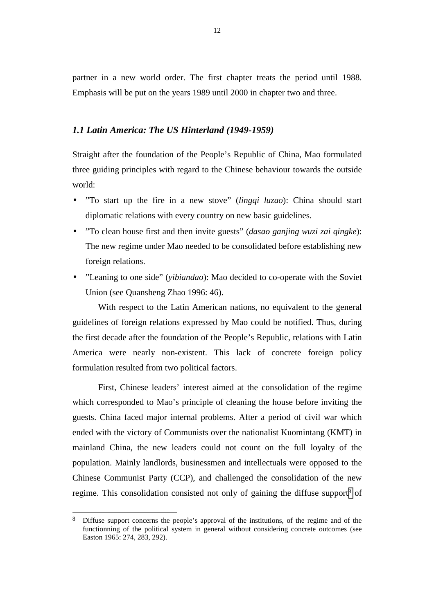partner in a new world order. The first chapter treats the period until 1988. Emphasis will be put on the years 1989 until 2000 in chapter two and three.

#### *1.1 Latin America: The US Hinterland (1949-1959)*

Straight after the foundation of the People's Republic of China, Mao formulated three guiding principles with regard to the Chinese behaviour towards the outside world:

- "To start up the fire in a new stove" (*lingqi luzao*): China should start diplomatic relations with every country on new basic guidelines.
- "To clean house first and then invite guests" (*dasao ganjing wuzi zai qingke*): The new regime under Mao needed to be consolidated before establishing new foreign relations.
- "Leaning to one side" (*yibiandao*): Mao decided to co-operate with the Soviet Union (see Quansheng Zhao 1996: 46).

With respect to the Latin American nations, no equivalent to the general guidelines of foreign relations expressed by Mao could be notified. Thus, during the first decade after the foundation of the People's Republic, relations with Latin America were nearly non-existent. This lack of concrete foreign policy formulation resulted from two political factors.

First, Chinese leaders' interest aimed at the consolidation of the regime which corresponded to Mao's principle of cleaning the house before inviting the guests. China faced major internal problems. After a period of civil war which ended with the victory of Communists over the nationalist Kuomintang (KMT) in mainland China, the new leaders could not count on the full loyalty of the population. Mainly landlords, businessmen and intellectuals were opposed to the Chinese Communist Party (CCP), and challenged the consolidation of the new regime. This consolidation consisted not only of gaining the diffuse support<sup>8</sup> of

<sup>8</sup> Diffuse support concerns the people's approval of the institutions, of the regime and of the functionning of the political system in general without considering concrete outcomes (see Easton 1965: 274, 283, 292).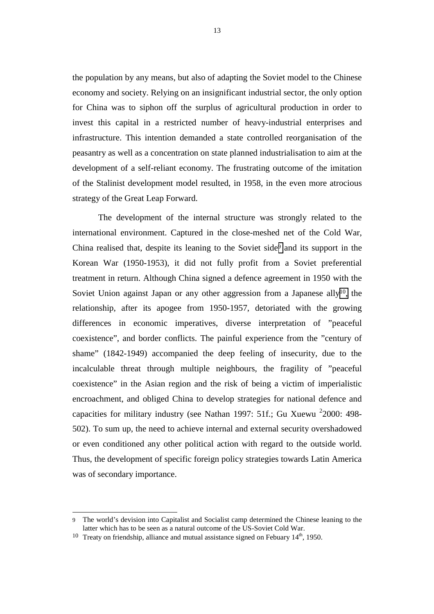the population by any means, but also of adapting the Soviet model to the Chinese economy and society. Relying on an insignificant industrial sector, the only option for China was to siphon off the surplus of agricultural production in order to invest this capital in a restricted number of heavy-industrial enterprises and infrastructure. This intention demanded a state controlled reorganisation of the peasantry as well as a concentration on state planned industrialisation to aim at the development of a self-reliant economy. The frustrating outcome of the imitation of the Stalinist development model resulted, in 1958, in the even more atrocious strategy of the Great Leap Forward.

The development of the internal structure was strongly related to the international environment. Captured in the close-meshed net of the Cold War, China realised that, despite its leaning to the Soviet side9 and its support in the Korean War (1950-1953), it did not fully profit from a Soviet preferential treatment in return. Although China signed a defence agreement in 1950 with the Soviet Union against Japan or any other aggression from a Japanese ally<sup>10</sup>, the relationship, after its apogee from 1950-1957, detoriated with the growing differences in economic imperatives, diverse interpretation of "peaceful coexistence", and border conflicts. The painful experience from the "century of shame" (1842-1949) accompanied the deep feeling of insecurity, due to the incalculable threat through multiple neighbours, the fragility of "peaceful coexistence" in the Asian region and the risk of being a victim of imperialistic encroachment, and obliged China to develop strategies for national defence and capacities for military industry (see Nathan 1997: 51f.; Gu Xuewu <sup>2</sup>2000: 498-502). To sum up, the need to achieve internal and external security overshadowed or even conditioned any other political action with regard to the outside world. Thus, the development of specific foreign policy strategies towards Latin America was of secondary importance.

<sup>9</sup> The world's devision into Capitalist and Socialist camp determined the Chinese leaning to the latter which has to be seen as a natural outcome of the US-Soviet Cold War.

<sup>&</sup>lt;sup>10</sup> Treaty on friendship, alliance and mutual assistance signed on Febuary  $14<sup>th</sup>$ , 1950.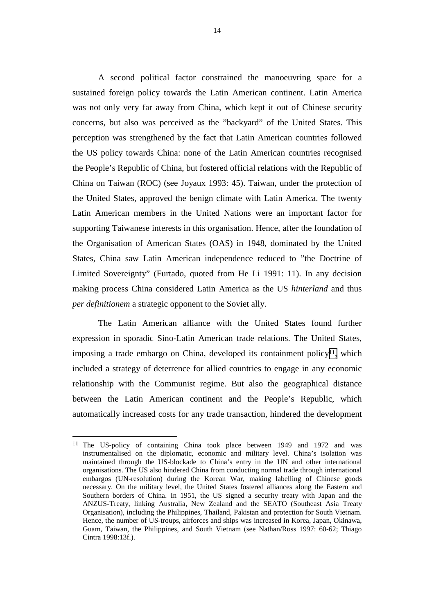A second political factor constrained the manoeuvring space for a sustained foreign policy towards the Latin American continent. Latin America was not only very far away from China, which kept it out of Chinese security concerns, but also was perceived as the "backyard" of the United States. This perception was strengthened by the fact that Latin American countries followed the US policy towards China: none of the Latin American countries recognised the People's Republic of China, but fostered official relations with the Republic of China on Taiwan (ROC) (see Joyaux 1993: 45). Taiwan, under the protection of the United States, approved the benign climate with Latin America. The twenty Latin American members in the United Nations were an important factor for supporting Taiwanese interests in this organisation. Hence, after the foundation of the Organisation of American States (OAS) in 1948, dominated by the United States, China saw Latin American independence reduced to "the Doctrine of Limited Sovereignty" (Furtado, quoted from He Li 1991: 11). In any decision making process China considered Latin America as the US *hinterland* and thus *per definitionem* a strategic opponent to the Soviet ally.

The Latin American alliance with the United States found further expression in sporadic Sino-Latin American trade relations. The United States, imposing a trade embargo on China, developed its containment policy<sup>11</sup>, which included a strategy of deterrence for allied countries to engage in any economic relationship with the Communist regime. But also the geographical distance between the Latin American continent and the People's Republic, which automatically increased costs for any trade transaction, hindered the development

<sup>11</sup> The US-policy of containing China took place between 1949 and 1972 and was instrumentalised on the diplomatic, economic and military level. China's isolation was maintained through the US-blockade to China's entry in the UN and other international organisations. The US also hindered China from conducting normal trade through international embargos (UN-resolution) during the Korean War, making labelling of Chinese goods necessary. On the military level, the United States fostered alliances along the Eastern and Southern borders of China. In 1951, the US signed a security treaty with Japan and the ANZUS-Treaty, linking Australia, New Zealand and the SEATO (Southeast Asia Treaty Organisation), including the Philippines, Thailand, Pakistan and protection for South Vietnam. Hence, the number of US-troups, airforces and ships was increased in Korea, Japan, Okinawa, Guam, Taiwan, the Philippines, and South Vietnam (see Nathan/Ross 1997: 60-62; Thiago Cintra 1998:13f.).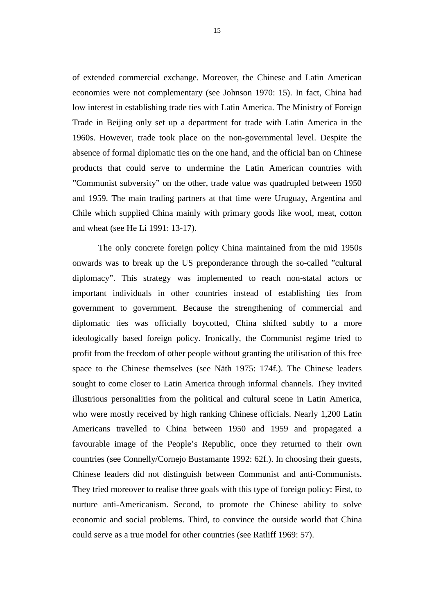of extended commercial exchange. Moreover, the Chinese and Latin American economies were not complementary (see Johnson 1970: 15). In fact, China had low interest in establishing trade ties with Latin America. The Ministry of Foreign Trade in Beijing only set up a department for trade with Latin America in the 1960s. However, trade took place on the non-governmental level. Despite the absence of formal diplomatic ties on the one hand, and the official ban on Chinese products that could serve to undermine the Latin American countries with "Communist subversity" on the other, trade value was quadrupled between 1950 and 1959. The main trading partners at that time were Uruguay, Argentina and Chile which supplied China mainly with primary goods like wool, meat, cotton and wheat (see He Li 1991: 13-17).

The only concrete foreign policy China maintained from the mid 1950s onwards was to break up the US preponderance through the so-called "cultural diplomacy". This strategy was implemented to reach non-statal actors or important individuals in other countries instead of establishing ties from government to government. Because the strengthening of commercial and diplomatic ties was officially boycotted, China shifted subtly to a more ideologically based foreign policy. Ironically, the Communist regime tried to profit from the freedom of other people without granting the utilisation of this free space to the Chinese themselves (see Näth 1975: 174f.). The Chinese leaders sought to come closer to Latin America through informal channels. They invited illustrious personalities from the political and cultural scene in Latin America, who were mostly received by high ranking Chinese officials. Nearly 1,200 Latin Americans travelled to China between 1950 and 1959 and propagated a favourable image of the People's Republic, once they returned to their own countries (see Connelly/Cornejo Bustamante 1992: 62f.). In choosing their guests, Chinese leaders did not distinguish between Communist and anti-Communists. They tried moreover to realise three goals with this type of foreign policy: First, to nurture anti-Americanism. Second, to promote the Chinese ability to solve economic and social problems. Third, to convince the outside world that China could serve as a true model for other countries (see Ratliff 1969: 57).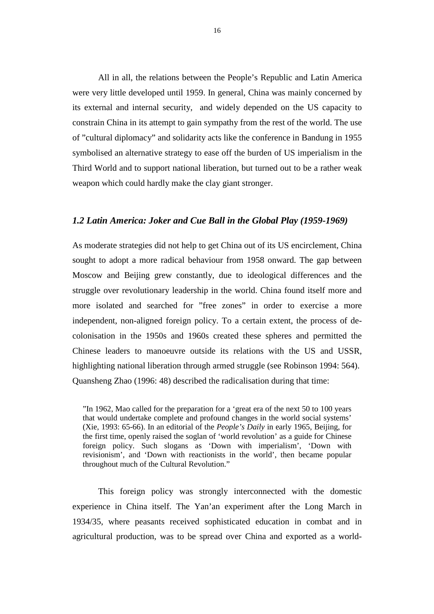<span id="page-16-0"></span>All in all, the relations between the People's Republic and Latin America were very little developed until 1959. In general, China was mainly concerned by its external and internal security, and widely depended on the US capacity to constrain China in its attempt to gain sympathy from the rest of the world. The use of "cultural diplomacy" and solidarity acts like the conference in Bandung in 1955 symbolised an alternative strategy to ease off the burden of US imperialism in the Third World and to support national liberation, but turned out to be a rather weak weapon which could hardly make the clay giant stronger.

#### *1.2 Latin America: Joker and Cue Ball in the Global Play (1959-1969)*

As moderate strategies did not help to get China out of its US encirclement, China sought to adopt a more radical behaviour from 1958 onward. The gap between Moscow and Beijing grew constantly, due to ideological differences and the struggle over revolutionary leadership in the world. China found itself more and more isolated and searched for "free zones" in order to exercise a more independent, non-aligned foreign policy. To a certain extent, the process of decolonisation in the 1950s and 1960s created these spheres and permitted the Chinese leaders to manoeuvre outside its relations with the US and USSR, highlighting national liberation through armed struggle (see Robinson 1994: 564). Quansheng Zhao (1996: 48) described the radicalisation during that time:

"In 1962, Mao called for the preparation for a 'great era of the next 50 to 100 years that would undertake complete and profound changes in the world social systems' (Xie, 1993: 65-66). In an editorial of the *People's Daily* in early 1965, Beijing, for the first time, openly raised the soglan of 'world revolution' as a guide for Chinese foreign policy. Such slogans as 'Down with imperialism', 'Down with revisionism', and 'Down with reactionists in the world', then became popular throughout much of the Cultural Revolution."

This foreign policy was strongly interconnected with the domestic experience in China itself. The Yan'an experiment after the Long March in 1934/35, where peasants received sophisticated education in combat and in agricultural production, was to be spread over China and exported as a world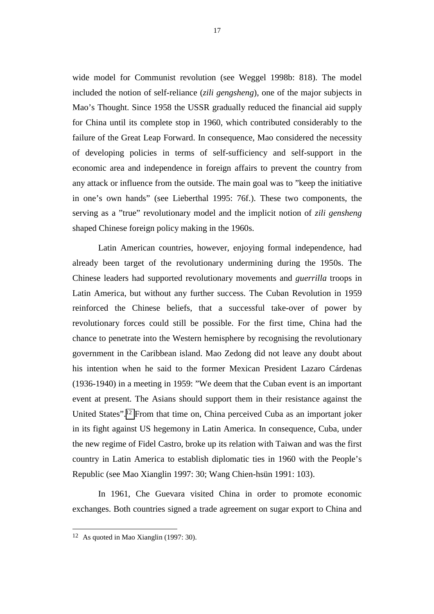wide model for Communist revolution (see Weggel 1998b: 818). The model included the notion of self-reliance (*zili gengsheng*), one of the major subjects in Mao's Thought. Since 1958 the USSR gradually reduced the financial aid supply for China until its complete stop in 1960, which contributed considerably to the failure of the Great Leap Forward. In consequence, Mao considered the necessity of developing policies in terms of self-sufficiency and self-support in the economic area and independence in foreign affairs to prevent the country from any attack or influence from the outside. The main goal was to "keep the initiative in one's own hands" (see Lieberthal 1995: 76f.). These two components, the serving as a "true" revolutionary model and the implicit notion of *zili gensheng* shaped Chinese foreign policy making in the 1960s.

Latin American countries, however, enjoying formal independence, had already been target of the revolutionary undermining during the 1950s. The Chinese leaders had supported revolutionary movements and *guerrilla* troops in Latin America, but without any further success. The Cuban Revolution in 1959 reinforced the Chinese beliefs, that a successful take-over of power by revolutionary forces could still be possible. For the first time, China had the chance to penetrate into the Western hemisphere by recognising the revolutionary government in the Caribbean island. Mao Zedong did not leave any doubt about his intention when he said to the former Mexican President Lazaro Cárdenas (1936-1940) in a meeting in 1959: "We deem that the Cuban event is an important event at present. The Asians should support them in their resistance against the United States".12 From that time on, China perceived Cuba as an important joker in its fight against US hegemony in Latin America. In consequence, Cuba, under the new regime of Fidel Castro, broke up its relation with Taiwan and was the first country in Latin America to establish diplomatic ties in 1960 with the People's Republic (see Mao Xianglin 1997: 30; Wang Chien-hsün 1991: 103).

In 1961, Che Guevara visited China in order to promote economic exchanges. Both countries signed a trade agreement on sugar export to China and

<sup>&</sup>lt;sup>12</sup> As quoted in Mao Xianglin (1997: 30).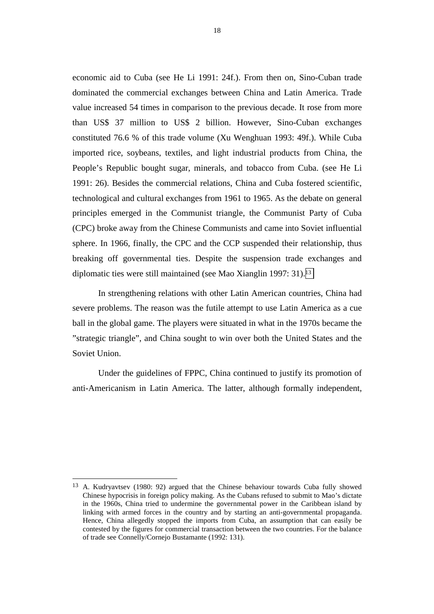economic aid to Cuba (see He Li 1991: 24f.). From then on, Sino-Cuban trade dominated the commercial exchanges between China and Latin America. Trade value increased 54 times in comparison to the previous decade. It rose from more than US\$ 37 million to US\$ 2 billion. However, Sino-Cuban exchanges constituted 76.6 % of this trade volume (Xu Wenghuan 1993: 49f.). While Cuba imported rice, soybeans, textiles, and light industrial products from China, the People's Republic bought sugar, minerals, and tobacco from Cuba. (see He Li 1991: 26). Besides the commercial relations, China and Cuba fostered scientific, technological and cultural exchanges from 1961 to 1965. As the debate on general principles emerged in the Communist triangle, the Communist Party of Cuba (CPC) broke away from the Chinese Communists and came into Soviet influential sphere. In 1966, finally, the CPC and the CCP suspended their relationship, thus breaking off governmental ties. Despite the suspension trade exchanges and diplomatic ties were still maintained (see Mao Xianglin 1997: 31).13

In strengthening relations with other Latin American countries, China had severe problems. The reason was the futile attempt to use Latin America as a cue ball in the global game. The players were situated in what in the 1970s became the "strategic triangle", and China sought to win over both the United States and the Soviet Union.

Under the guidelines of FPPC, China continued to justify its promotion of anti-Americanism in Latin America. The latter, although formally independent,

<sup>13</sup> A. Kudryavtsev (1980: 92) argued that the Chinese behaviour towards Cuba fully showed Chinese hypocrisis in foreign policy making. As the Cubans refused to submit to Mao's dictate in the 1960s, China tried to undermine the governmental power in the Caribbean island by linking with armed forces in the country and by starting an anti-governmental propaganda. Hence, China allegedly stopped the imports from Cuba, an assumption that can easily be contested by the figures for commercial transaction between the two countries. For the balance of trade see Connelly/Cornejo Bustamante (1992: 131).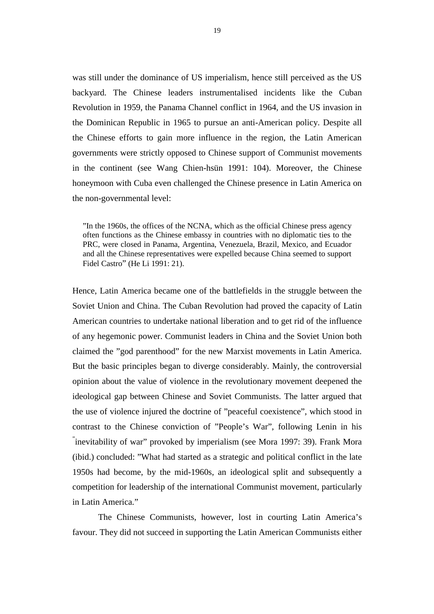was still under the dominance of US imperialism, hence still perceived as the US backyard. The Chinese leaders instrumentalised incidents like the Cuban Revolution in 1959, the Panama Channel conflict in 1964, and the US invasion in the Dominican Republic in 1965 to pursue an anti-American policy. Despite all the Chinese efforts to gain more influence in the region, the Latin American governments were strictly opposed to Chinese support of Communist movements in the continent (see Wang Chien-hsün 1991: 104). Moreover, the Chinese honeymoon with Cuba even challenged the Chinese presence in Latin America on the non-governmental level:

"In the 1960s, the offices of the NCNA, which as the official Chinese press agency often functions as the Chinese embassy in countries with no diplomatic ties to the PRC, were closed in Panama, Argentina, Venezuela, Brazil, Mexico, and Ecuador and all the Chinese representatives were expelled because China seemed to support Fidel Castro" (He Li 1991: 21).

Hence, Latin America became one of the battlefields in the struggle between the Soviet Union and China. The Cuban Revolution had proved the capacity of Latin American countries to undertake national liberation and to get rid of the influence of any hegemonic power. Communist leaders in China and the Soviet Union both claimed the "god parenthood" for the new Marxist movements in Latin America. But the basic principles began to diverge considerably. Mainly, the controversial opinion about the value of violence in the revolutionary movement deepened the ideological gap between Chinese and Soviet Communists. The latter argued that the use of violence injured the doctrine of "peaceful coexistence", which stood in contrast to the Chinese conviction of "People's War", following Lenin in his " inevitability of war" provoked by imperialism (see Mora 1997: 39). Frank Mora (ibid.) concluded: "What had started as a strategic and political conflict in the late 1950s had become, by the mid-1960s, an ideological split and subsequently a competition for leadership of the international Communist movement, particularly in Latin America."

The Chinese Communists, however, lost in courting Latin America's favour. They did not succeed in supporting the Latin American Communists either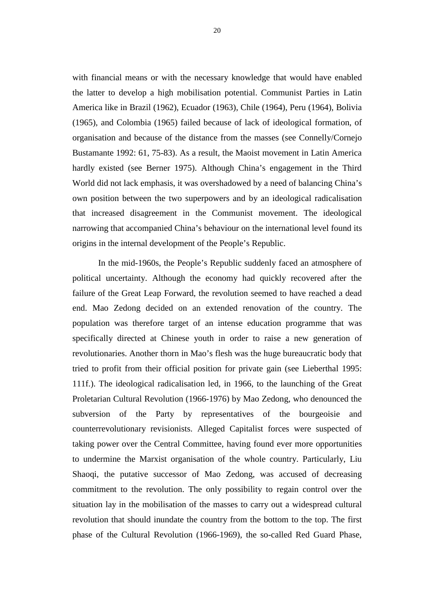with financial means or with the necessary knowledge that would have enabled the latter to develop a high mobilisation potential. Communist Parties in Latin America like in Brazil (1962), Ecuador (1963), Chile (1964), Peru (1964), Bolivia (1965), and Colombia (1965) failed because of lack of ideological formation, of organisation and because of the distance from the masses (see Connelly/Cornejo Bustamante 1992: 61, 75-83). As a result, the Maoist movement in Latin America hardly existed (see Berner 1975). Although China's engagement in the Third World did not lack emphasis, it was overshadowed by a need of balancing China's own position between the two superpowers and by an ideological radicalisation that increased disagreement in the Communist movement. The ideological narrowing that accompanied China's behaviour on the international level found its origins in the internal development of the People's Republic.

In the mid-1960s, the People's Republic suddenly faced an atmosphere of political uncertainty. Although the economy had quickly recovered after the failure of the Great Leap Forward, the revolution seemed to have reached a dead end. Mao Zedong decided on an extended renovation of the country. The population was therefore target of an intense education programme that was specifically directed at Chinese youth in order to raise a new generation of revolutionaries. Another thorn in Mao's flesh was the huge bureaucratic body that tried to profit from their official position for private gain (see Lieberthal 1995: 111f.). The ideological radicalisation led, in 1966, to the launching of the Great Proletarian Cultural Revolution (1966-1976) by Mao Zedong, who denounced the subversion of the Party by representatives of the bourgeoisie and counterrevolutionary revisionists. Alleged Capitalist forces were suspected of taking power over the Central Committee, having found ever more opportunities to undermine the Marxist organisation of the whole country. Particularly, Liu Shaoqi, the putative successor of Mao Zedong, was accused of decreasing commitment to the revolution. The only possibility to regain control over the situation lay in the mobilisation of the masses to carry out a widespread cultural revolution that should inundate the country from the bottom to the top. The first phase of the Cultural Revolution (1966-1969), the so-called Red Guard Phase,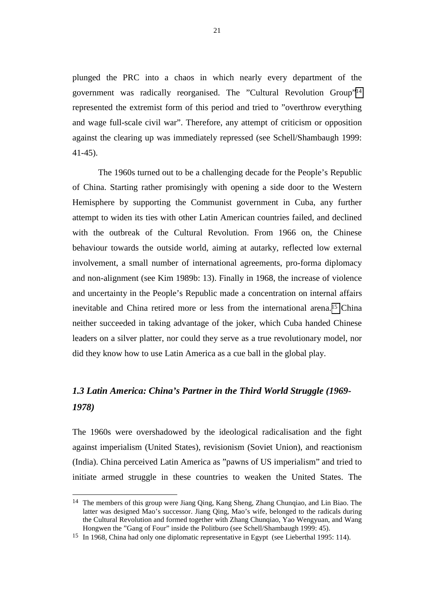plunged the PRC into a chaos in which nearly every department of the government was radically reorganised. The "Cultural Revolution Group"14 represented the extremist form of this period and tried to "overthrow everything and wage full-scale civil war". Therefore, any attempt of criticism or opposition against the clearing up was immediately repressed (see Schell/Shambaugh 1999: 41-45).

The 1960s turned out to be a challenging decade for the People's Republic of China. Starting rather promisingly with opening a side door to the Western Hemisphere by supporting the Communist government in Cuba, any further attempt to widen its ties with other Latin American countries failed, and declined with the outbreak of the Cultural Revolution. From 1966 on, the Chinese behaviour towards the outside world, aiming at autarky, reflected low external involvement, a small number of international agreements, pro-forma diplomacy and non-alignment (see Kim 1989b: 13). Finally in 1968, the increase of violence and uncertainty in the People's Republic made a concentration on internal affairs inevitable and China retired more or less from the international arena.15 China neither succeeded in taking advantage of the joker, which Cuba handed Chinese leaders on a silver platter, nor could they serve as a true revolutionary model, nor did they know how to use Latin America as a cue ball in the global play.

## *1.3 Latin America: China's Partner in the Third World Struggle (1969- 1978)*

The 1960s were overshadowed by the ideological radicalisation and the fight against imperialism (United States), revisionism (Soviet Union), and reactionism (India). China perceived Latin America as "pawns of US imperialism" and tried to initiate armed struggle in these countries to weaken the United States. The

<sup>14</sup> The members of this group were Jiang Qing, Kang Sheng, Zhang Chunqiao, and Lin Biao. The latter was designed Mao's successor. Jiang Qing, Mao's wife, belonged to the radicals during the Cultural Revolution and formed together with Zhang Chunqiao, Yao Wengyuan, and Wang Hongwen the "Gang of Four" inside the Politburo (see Schell/Shambaugh 1999: 45).

<sup>&</sup>lt;sup>15</sup> In 1968, China had only one diplomatic representative in Egypt (see Lieberthal 1995: 114).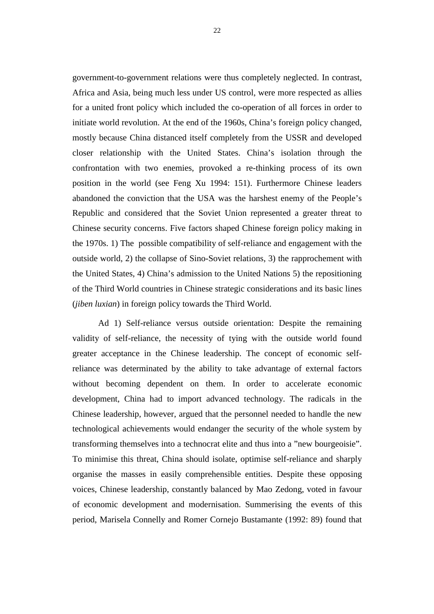government-to-government relations were thus completely neglected. In contrast, Africa and Asia, being much less under US control, were more respected as allies for a united front policy which included the co-operation of all forces in order to initiate world revolution. At the end of the 1960s, China's foreign policy changed, mostly because China distanced itself completely from the USSR and developed closer relationship with the United States. China's isolation through the confrontation with two enemies, provoked a re-thinking process of its own position in the world (see Feng Xu 1994: 151). Furthermore Chinese leaders abandoned the conviction that the USA was the harshest enemy of the People's Republic and considered that the Soviet Union represented a greater threat to Chinese security concerns. Five factors shaped Chinese foreign policy making in the 1970s. 1) The possible compatibility of self-reliance and engagement with the outside world, 2) the collapse of Sino-Soviet relations, 3) the rapprochement with the United States, 4) China's admission to the United Nations 5) the repositioning of the Third World countries in Chinese strategic considerations and its basic lines (*jiben luxian*) in foreign policy towards the Third World.

Ad 1) Self-reliance versus outside orientation: Despite the remaining validity of self-reliance, the necessity of tying with the outside world found greater acceptance in the Chinese leadership. The concept of economic selfreliance was determinated by the ability to take advantage of external factors without becoming dependent on them. In order to accelerate economic development, China had to import advanced technology. The radicals in the Chinese leadership, however, argued that the personnel needed to handle the new technological achievements would endanger the security of the whole system by transforming themselves into a technocrat elite and thus into a "new bourgeoisie". To minimise this threat, China should isolate, optimise self-reliance and sharply organise the masses in easily comprehensible entities. Despite these opposing voices, Chinese leadership, constantly balanced by Mao Zedong, voted in favour of economic development and modernisation. Summerising the events of this period, Marisela Connelly and Romer Cornejo Bustamante (1992: 89) found that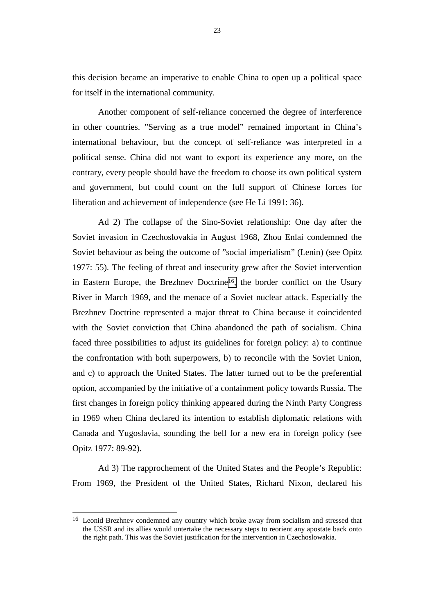this decision became an imperative to enable China to open up a political space for itself in the international community.

Another component of self-reliance concerned the degree of interference in other countries. "Serving as a true model" remained important in China's international behaviour, but the concept of self-reliance was interpreted in a political sense. China did not want to export its experience any more, on the contrary, every people should have the freedom to choose its own political system and government, but could count on the full support of Chinese forces for liberation and achievement of independence (see He Li 1991: 36).

Ad 2) The collapse of the Sino-Soviet relationship: One day after the Soviet invasion in Czechoslovakia in August 1968, Zhou Enlai condemned the Soviet behaviour as being the outcome of "social imperialism" (Lenin) (see Opitz 1977: 55). The feeling of threat and insecurity grew after the Soviet intervention in Eastern Europe, the Brezhnev Doctrine16, the border conflict on the Usury River in March 1969, and the menace of a Soviet nuclear attack. Especially the Brezhnev Doctrine represented a major threat to China because it coincidented with the Soviet conviction that China abandoned the path of socialism. China faced three possibilities to adjust its guidelines for foreign policy: a) to continue the confrontation with both superpowers, b) to reconcile with the Soviet Union, and c) to approach the United States. The latter turned out to be the preferential option, accompanied by the initiative of a containment policy towards Russia. The first changes in foreign policy thinking appeared during the Ninth Party Congress in 1969 when China declared its intention to establish diplomatic relations with Canada and Yugoslavia, sounding the bell for a new era in foreign policy (see Opitz 1977: 89-92).

Ad 3) The rapprochement of the United States and the People's Republic: From 1969, the President of the United States, Richard Nixon, declared his

<sup>16</sup> Leonid Brezhnev condemned any country which broke away from socialism and stressed that the USSR and its allies would untertake the necessary steps to reorient any apostate back onto the right path. This was the Soviet justification for the intervention in Czechoslowakia.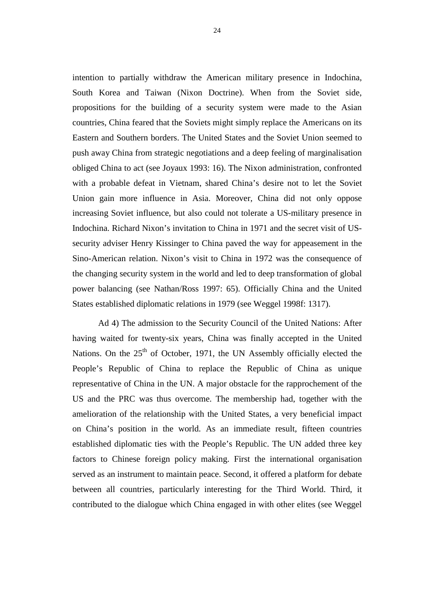intention to partially withdraw the American military presence in Indochina, South Korea and Taiwan (Nixon Doctrine). When from the Soviet side, propositions for the building of a security system were made to the Asian countries, China feared that the Soviets might simply replace the Americans on its Eastern and Southern borders. The United States and the Soviet Union seemed to push away China from strategic negotiations and a deep feeling of marginalisation obliged China to act (see Joyaux 1993: 16). The Nixon administration, confronted with a probable defeat in Vietnam, shared China's desire not to let the Soviet Union gain more influence in Asia. Moreover, China did not only oppose increasing Soviet influence, but also could not tolerate a US-military presence in Indochina. Richard Nixon's invitation to China in 1971 and the secret visit of USsecurity adviser Henry Kissinger to China paved the way for appeasement in the Sino-American relation. Nixon's visit to China in 1972 was the consequence of the changing security system in the world and led to deep transformation of global power balancing (see Nathan/Ross 1997: 65). Officially China and the United States established diplomatic relations in 1979 (see Weggel 1998f: 1317).

Ad 4) The admission to the Security Council of the United Nations: After having waited for twenty-six years, China was finally accepted in the United Nations. On the  $25<sup>th</sup>$  of October, 1971, the UN Assembly officially elected the People's Republic of China to replace the Republic of China as unique representative of China in the UN. A major obstacle for the rapprochement of the US and the PRC was thus overcome. The membership had, together with the amelioration of the relationship with the United States, a very beneficial impact on China's position in the world. As an immediate result, fifteen countries established diplomatic ties with the People's Republic. The UN added three key factors to Chinese foreign policy making. First the international organisation served as an instrument to maintain peace. Second, it offered a platform for debate between all countries, particularly interesting for the Third World. Third, it contributed to the dialogue which China engaged in with other elites (see Weggel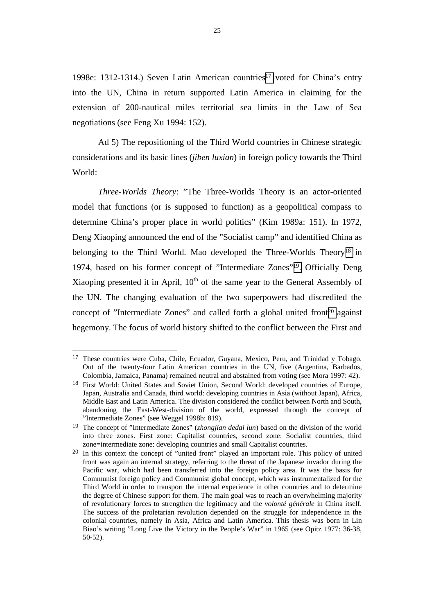1998e: 1312-1314.) Seven Latin American countries17 voted for China's entry into the UN, China in return supported Latin America in claiming for the extension of 200-nautical miles territorial sea limits in the Law of Sea negotiations (see Feng Xu 1994: 152).

Ad 5) The repositioning of the Third World countries in Chinese strategic considerations and its basic lines (*jiben luxian*) in foreign policy towards the Third World:

*Three-Worlds Theory*: "The Three-Worlds Theory is an actor-oriented model that functions (or is supposed to function) as a geopolitical compass to determine China's proper place in world politics" (Kim 1989a: 151). In 1972, Deng Xiaoping announced the end of the "Socialist camp" and identified China as belonging to the Third World. Mao developed the Three-Worlds Theory<sup>18</sup> in 1974, based on his former concept of "Intermediate Zones"19. Officially Deng Xiaoping presented it in April,  $10<sup>th</sup>$  of the same year to the General Assembly of the UN. The changing evaluation of the two superpowers had discredited the concept of "Intermediate Zones" and called forth a global united front<sup>20</sup> against hegemony. The focus of world history shifted to the conflict between the First and

<sup>17</sup> These countries were Cuba, Chile, Ecuador, Guyana, Mexico, Peru, and Trinidad y Tobago. Out of the twenty-four Latin American countries in the UN, five (Argentina, Barbados, Colombia, Jamaica, Panama) remained neutral and abstained from voting (see Mora 1997: 42).

<sup>&</sup>lt;sup>18</sup> First World: United States and Soviet Union, Second World: developed countries of Europe, Japan, Australia and Canada, third world: developing countries in Asia (without Japan), Africa, Middle East and Latin America. The division considered the conflict between North and South, abandoning the East-West-division of the world, expressed through the concept of "Intermediate Zones" (see Weggel 1998b: 819).

<sup>19</sup> The concept of "Intermediate Zones" (*zhongjian dedai lun*) based on the division of the world into three zones. First zone: Capitalist countries, second zone: Socialist countries, third zone=intermediate zone: developing countries and small Capitalist countries.

<sup>20</sup> In this context the concept of "united front" played an important role. This policy of united front was again an internal strategy, referring to the threat of the Japanese invador during the Pacific war, which had been transferred into the foreign policy area. It was the basis for Communist foreign policy and Communist global concept, which was instrumentalized for the Third World in order to transport the internal experience in other countries and to determine the degree of Chinese support for them. The main goal was to reach an overwhelming majority of revolutionary forces to strengthen the legitimacy and the *volonté générale* in China itself. The success of the proletarian revolution depended on the struggle for independence in the colonial countries, namely in Asia, Africa and Latin America. This thesis was born in Lin Biao's writing "Long Live the Victory in the People's War" in 1965 (see Opitz 1977: 36-38, 50-52).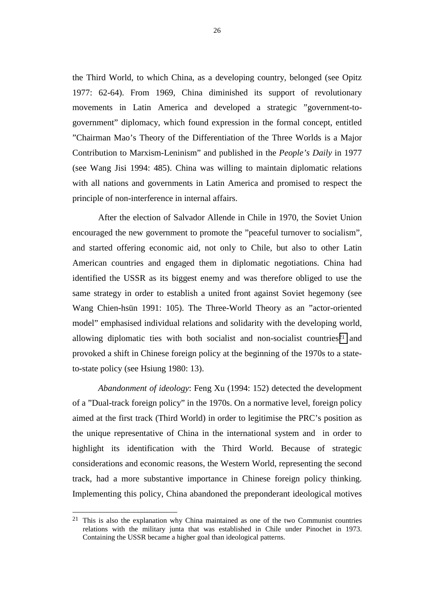the Third World, to which China, as a developing country, belonged (see Opitz 1977: 62-64). From 1969, China diminished its support of revolutionary movements in Latin America and developed a strategic "government-togovernment" diplomacy, which found expression in the formal concept, entitled "Chairman Mao's Theory of the Differentiation of the Three Worlds is a Major Contribution to Marxism-Leninism" and published in the *People's Daily* in 1977 (see Wang Jisi 1994: 485). China was willing to maintain diplomatic relations with all nations and governments in Latin America and promised to respect the principle of non-interference in internal affairs.

After the election of Salvador Allende in Chile in 1970, the Soviet Union encouraged the new government to promote the "peaceful turnover to socialism", and started offering economic aid, not only to Chile, but also to other Latin American countries and engaged them in diplomatic negotiations. China had identified the USSR as its biggest enemy and was therefore obliged to use the same strategy in order to establish a united front against Soviet hegemony (see Wang Chien-hsün 1991: 105). The Three-World Theory as an "actor-oriented model" emphasised individual relations and solidarity with the developing world, allowing diplomatic ties with both socialist and non-socialist countries<sup>21</sup> and provoked a shift in Chinese foreign policy at the beginning of the 1970s to a stateto-state policy (see Hsiung 1980: 13).

*Abandonment of ideology*: Feng Xu (1994: 152) detected the development of a "Dual-track foreign policy" in the 1970s. On a normative level, foreign policy aimed at the first track (Third World) in order to legitimise the PRC's position as the unique representative of China in the international system and in order to highlight its identification with the Third World. Because of strategic considerations and economic reasons, the Western World, representing the second track, had a more substantive importance in Chinese foreign policy thinking. Implementing this policy, China abandoned the preponderant ideological motives

<sup>21</sup> This is also the explanation why China maintained as one of the two Communist countries relations with the military junta that was established in Chile under Pinochet in 1973. Containing the USSR became a higher goal than ideological patterns.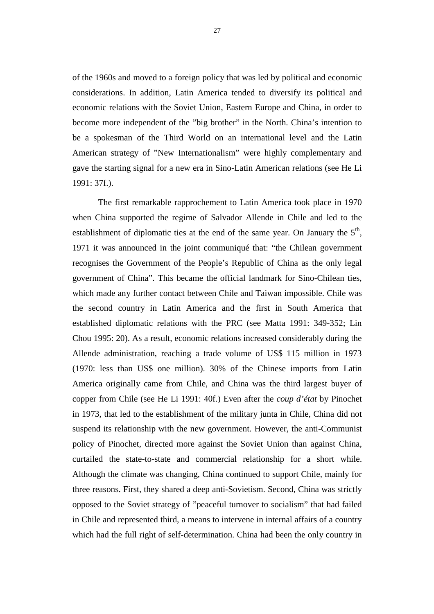of the 1960s and moved to a foreign policy that was led by political and economic considerations. In addition, Latin America tended to diversify its political and economic relations with the Soviet Union, Eastern Europe and China, in order to become more independent of the "big brother" in the North. China's intention to be a spokesman of the Third World on an international level and the Latin American strategy of "New Internationalism" were highly complementary and gave the starting signal for a new era in Sino-Latin American relations (see He Li 1991: 37f.).

The first remarkable rapprochement to Latin America took place in 1970 when China supported the regime of Salvador Allende in Chile and led to the establishment of diplomatic ties at the end of the same year. On January the  $5<sup>th</sup>$ , 1971 it was announced in the joint communiqué that: "the Chilean government recognises the Government of the People's Republic of China as the only legal government of China". This became the official landmark for Sino-Chilean ties, which made any further contact between Chile and Taiwan impossible. Chile was the second country in Latin America and the first in South America that established diplomatic relations with the PRC (see Matta 1991: 349-352; Lin Chou 1995: 20). As a result, economic relations increased considerably during the Allende administration, reaching a trade volume of US\$ 115 million in 1973 (1970: less than US\$ one million). 30% of the Chinese imports from Latin America originally came from Chile, and China was the third largest buyer of copper from Chile (see He Li 1991: 40f.) Even after the *coup d'état* by Pinochet in 1973, that led to the establishment of the military junta in Chile, China did not suspend its relationship with the new government. However, the anti-Communist policy of Pinochet, directed more against the Soviet Union than against China, curtailed the state-to-state and commercial relationship for a short while. Although the climate was changing, China continued to support Chile, mainly for three reasons. First, they shared a deep anti-Sovietism. Second, China was strictly opposed to the Soviet strategy of "peaceful turnover to socialism" that had failed in Chile and represented third, a means to intervene in internal affairs of a country which had the full right of self-determination. China had been the only country in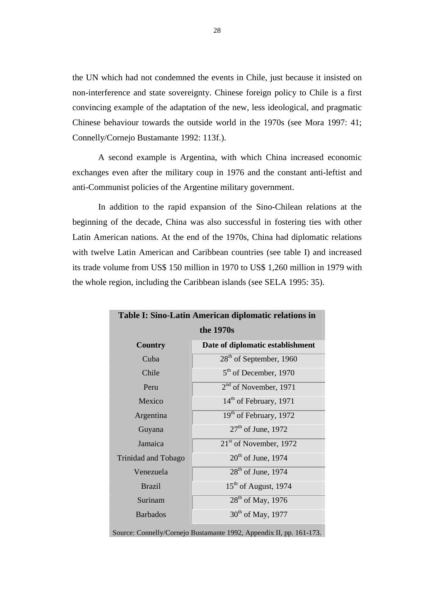the UN which had not condemned the events in Chile, just because it insisted on non-interference and state sovereignty. Chinese foreign policy to Chile is a first convincing example of the adaptation of the new, less ideological, and pragmatic Chinese behaviour towards the outside world in the 1970s (see Mora 1997: 41; Connelly/Cornejo Bustamante 1992: 113f.).

A second example is Argentina, with which China increased economic exchanges even after the military coup in 1976 and the constant anti-leftist and anti-Communist policies of the Argentine military government.

In addition to the rapid expansion of the Sino-Chilean relations at the beginning of the decade, China was also successful in fostering ties with other Latin American nations. At the end of the 1970s, China had diplomatic relations with twelve Latin American and Caribbean countries (see table I) and increased its trade volume from US\$ 150 million in 1970 to US\$ 1,260 million in 1979 with the whole region, including the Caribbean islands (see SELA 1995: 35).

| Table I: Sino-Latin American diplomatic relations in |                                     |  |
|------------------------------------------------------|-------------------------------------|--|
| the 1970s                                            |                                     |  |
| <b>Country</b>                                       | Date of diplomatic establishment    |  |
| Cuba                                                 | 28 <sup>th</sup> of September, 1960 |  |
| Chile                                                | $5th$ of December, 1970             |  |
| Peru                                                 | $2nd$ of November, 1971             |  |
| Mexico                                               | 14 <sup>th</sup> of February, 1971  |  |
| Argentina                                            | 19 <sup>th</sup> of February, 1972  |  |
| Guyana                                               | $27th$ of June, 1972                |  |
| Jamaica                                              | 21 <sup>st</sup> of November, 1972  |  |
| Trinidad and Tobago                                  | $20th$ of June, 1974                |  |
| Venezuela                                            | $28th$ of June, 1974                |  |
| <b>Brazil</b>                                        | 15 <sup>th</sup> of August, 1974    |  |
| Surinam                                              | $28th$ of May, 1976                 |  |
| <b>Barbados</b>                                      | 30 <sup>th</sup> of May, 1977       |  |

Source: Connelly/Cornejo Bustamante 1992, Appendix II, pp. 161-173.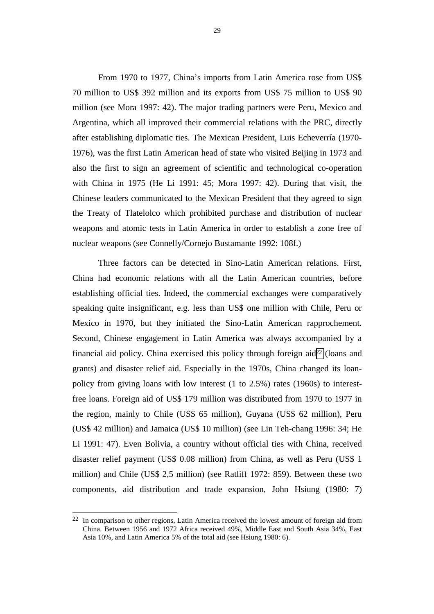From 1970 to 1977, China's imports from Latin America rose from US\$ 70 million to US\$ 392 million and its exports from US\$ 75 million to US\$ 90 million (see Mora 1997: 42). The major trading partners were Peru, Mexico and Argentina, which all improved their commercial relations with the PRC, directly after establishing diplomatic ties. The Mexican President, Luis Echeverría (1970- 1976), was the first Latin American head of state who visited Beijing in 1973 and also the first to sign an agreement of scientific and technological co-operation with China in 1975 (He Li 1991: 45; Mora 1997: 42). During that visit, the Chinese leaders communicated to the Mexican President that they agreed to sign the Treaty of Tlatelolco which prohibited purchase and distribution of nuclear weapons and atomic tests in Latin America in order to establish a zone free of nuclear weapons (see Connelly/Cornejo Bustamante 1992: 108f.)

Three factors can be detected in Sino-Latin American relations. First, China had economic relations with all the Latin American countries, before establishing official ties. Indeed, the commercial exchanges were comparatively speaking quite insignificant, e.g. less than US\$ one million with Chile, Peru or Mexico in 1970, but they initiated the Sino-Latin American rapprochement. Second, Chinese engagement in Latin America was always accompanied by a financial aid policy. China exercised this policy through foreign aid22 (loans and grants) and disaster relief aid. Especially in the 1970s, China changed its loanpolicy from giving loans with low interest (1 to 2.5%) rates (1960s) to interestfree loans. Foreign aid of US\$ 179 million was distributed from 1970 to 1977 in the region, mainly to Chile (US\$ 65 million), Guyana (US\$ 62 million), Peru (US\$ 42 million) and Jamaica (US\$ 10 million) (see Lin Teh-chang 1996: 34; He Li 1991: 47). Even Bolivia, a country without official ties with China, received disaster relief payment (US\$ 0.08 million) from China, as well as Peru (US\$ 1 million) and Chile (US\$ 2,5 million) (see Ratliff 1972: 859). Between these two components, aid distribution and trade expansion, John Hsiung (1980: 7)

<sup>&</sup>lt;sup>22</sup> In comparison to other regions, Latin America received the lowest amount of foreign aid from China. Between 1956 and 1972 Africa received 49%, Middle East and South Asia 34%, East Asia 10%, and Latin America 5% of the total aid (see Hsiung 1980: 6).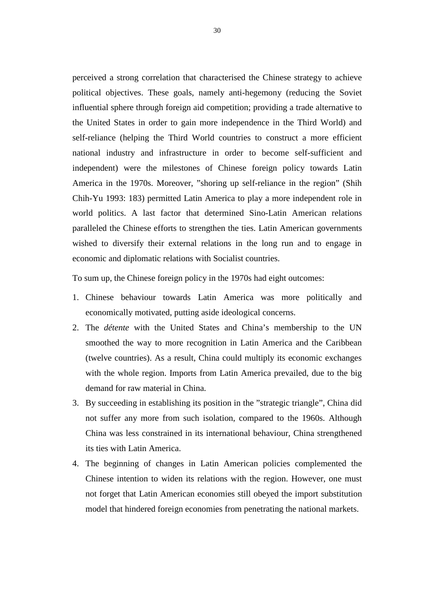perceived a strong correlation that characterised the Chinese strategy to achieve political objectives. These goals, namely anti-hegemony (reducing the Soviet influential sphere through foreign aid competition; providing a trade alternative to the United States in order to gain more independence in the Third World) and self-reliance (helping the Third World countries to construct a more efficient national industry and infrastructure in order to become self-sufficient and independent) were the milestones of Chinese foreign policy towards Latin America in the 1970s. Moreover, "shoring up self-reliance in the region" (Shih Chih-Yu 1993: 183) permitted Latin America to play a more independent role in world politics. A last factor that determined Sino-Latin American relations paralleled the Chinese efforts to strengthen the ties. Latin American governments wished to diversify their external relations in the long run and to engage in economic and diplomatic relations with Socialist countries.

To sum up, the Chinese foreign policy in the 1970s had eight outcomes:

- 1. Chinese behaviour towards Latin America was more politically and economically motivated, putting aside ideological concerns.
- 2. The *détente* with the United States and China's membership to the UN smoothed the way to more recognition in Latin America and the Caribbean (twelve countries). As a result, China could multiply its economic exchanges with the whole region. Imports from Latin America prevailed, due to the big demand for raw material in China.
- 3. By succeeding in establishing its position in the "strategic triangle", China did not suffer any more from such isolation, compared to the 1960s. Although China was less constrained in its international behaviour, China strengthened its ties with Latin America.
- 4. The beginning of changes in Latin American policies complemented the Chinese intention to widen its relations with the region. However, one must not forget that Latin American economies still obeyed the import substitution model that hindered foreign economies from penetrating the national markets.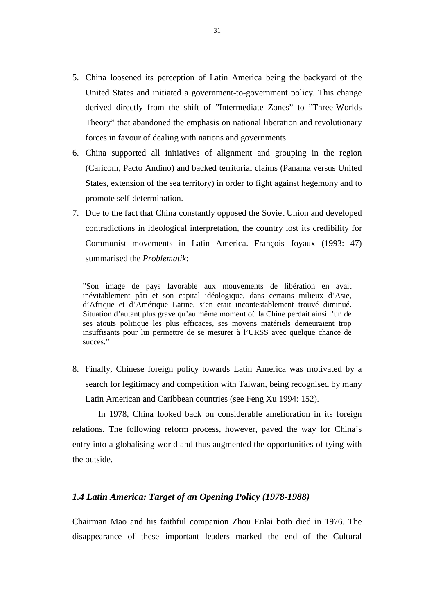- 5. China loosened its perception of Latin America being the backyard of the United States and initiated a government-to-government policy. This change derived directly from the shift of "Intermediate Zones" to "Three-Worlds Theory" that abandoned the emphasis on national liberation and revolutionary forces in favour of dealing with nations and governments.
- 6. China supported all initiatives of alignment and grouping in the region (Caricom, Pacto Andino) and backed territorial claims (Panama versus United States, extension of the sea territory) in order to fight against hegemony and to promote self-determination.
- 7. Due to the fact that China constantly opposed the Soviet Union and developed contradictions in ideological interpretation, the country lost its credibility for Communist movements in Latin America. François Joyaux (1993: 47) summarised the *Problematik*:

"Son image de pays favorable aux mouvements de libération en avait inévitablement pâti et son capital idéologique, dans certains milieux d'Asie, d'Afrique et d'Amérique Latine, s'en etait incontestablement trouvé diminué. Situation d'autant plus grave qu'au même moment où la Chine perdait ainsi l'un de ses atouts politique les plus efficaces, ses moyens matériels demeuraient trop insuffisants pour lui permettre de se mesurer à l'URSS avec quelque chance de succès."

8. Finally, Chinese foreign policy towards Latin America was motivated by a search for legitimacy and competition with Taiwan, being recognised by many Latin American and Caribbean countries (see Feng Xu 1994: 152).

In 1978, China looked back on considerable amelioration in its foreign relations. The following reform process, however, paved the way for China's entry into a globalising world and thus augmented the opportunities of tying with the outside.

#### *1.4 Latin America: Target of an Opening Policy (1978-1988)*

Chairman Mao and his faithful companion Zhou Enlai both died in 1976. The disappearance of these important leaders marked the end of the Cultural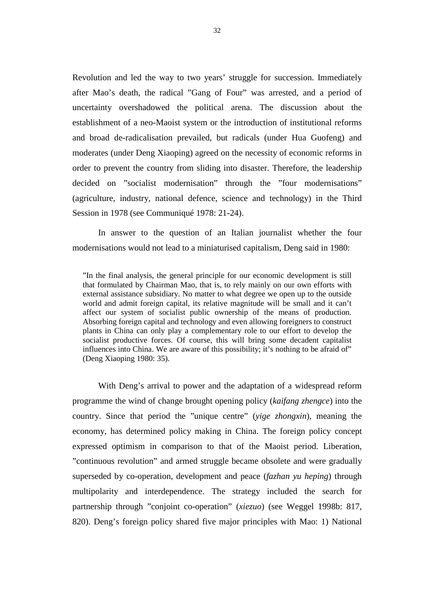Revolution and led the way to two years' struggle for succession. Immediately after Mao's death, the radical "Gang of Four" was arrested, and a period of uncertainty overshadowed the political arena. The discussion about the establishment of a neo-Maoist system or the introduction of institutional reforms and broad de-radicalisation prevailed, but radicals (under Hua Guofeng) and moderates (under Deng Xiaoping) agreed on the necessity of economic reforms in order to prevent the country from sliding into disaster. Therefore, the leadership decided on "socialist modernisation" through the "four modernisations" (agriculture, industry, national defence, science and technology) in the Third Session in 1978 (see Communiqué 1978: 21-24).

In answer to the question of an Italian journalist whether the four modernisations would not lead to a miniaturised capitalism, Deng said in 1980:

"In the final analysis, the general principle for our economic development is still that formulated by Chairman Mao, that is, to rely mainly on our own efforts with external assistance subsidiary. No matter to what degree we open up to the outside world and admit foreign capital, its relative magnitude will be small and it can't affect our system of socialist public ownership of the means of production. Absorbing foreign capital and technology and even allowing foreigners to construct plants in China can only play a complementary role to our effort to develop the socialist productive forces. Of course, this will bring some decadent capitalist influences into China. We are aware of this possibility; it's nothing to be afraid of" (Deng Xiaoping 1980: 35).

With Deng's arrival to power and the adaptation of a widespread reform programme the wind of change brought opening policy (*kaifang zhengce*) into the country. Since that period the "unique centre" (*yige zhongxin*), meaning the economy, has determined policy making in China. The foreign policy concept expressed optimism in comparison to that of the Maoist period. Liberation, "continuous revolution" and armed struggle became obsolete and were gradually superseded by co-operation, development and peace (*fazhan yu heping*) through multipolarity and interdependence. The strategy included the search for partnership through "conjoint co-operation" (*xiezuo*) (see Weggel 1998b: 817, 820). Deng's foreign policy shared five major principles with Mao: 1) National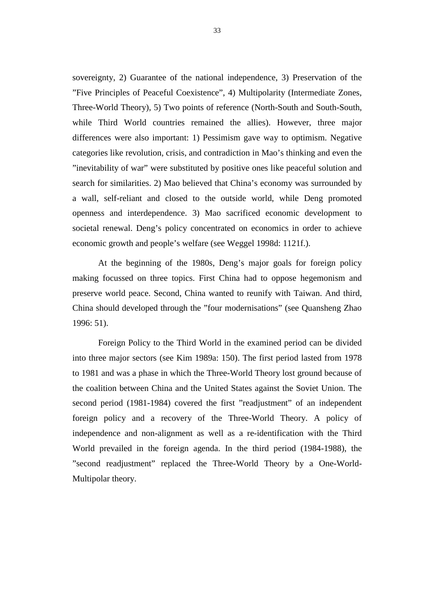sovereignty, 2) Guarantee of the national independence, 3) Preservation of the "Five Principles of Peaceful Coexistence", 4) Multipolarity (Intermediate Zones, Three-World Theory), 5) Two points of reference (North-South and South-South, while Third World countries remained the allies). However, three major differences were also important: 1) Pessimism gave way to optimism. Negative categories like revolution, crisis, and contradiction in Mao's thinking and even the "inevitability of war" were substituted by positive ones like peaceful solution and search for similarities. 2) Mao believed that China's economy was surrounded by a wall, self-reliant and closed to the outside world, while Deng promoted openness and interdependence. 3) Mao sacrificed economic development to societal renewal. Deng's policy concentrated on economics in order to achieve economic growth and people's welfare (see Weggel 1998d: 1121f.).

At the beginning of the 1980s, Deng's major goals for foreign policy making focussed on three topics. First China had to oppose hegemonism and preserve world peace. Second, China wanted to reunify with Taiwan. And third, China should developed through the "four modernisations" (see Quansheng Zhao 1996: 51).

Foreign Policy to the Third World in the examined period can be divided into three major sectors (see Kim 1989a: 150). The first period lasted from 1978 to 1981 and was a phase in which the Three-World Theory lost ground because of the coalition between China and the United States against the Soviet Union. The second period (1981-1984) covered the first "readjustment" of an independent foreign policy and a recovery of the Three-World Theory. A policy of independence and non-alignment as well as a re-identification with the Third World prevailed in the foreign agenda. In the third period (1984-1988), the "second readjustment" replaced the Three-World Theory by a One-World-Multipolar theory.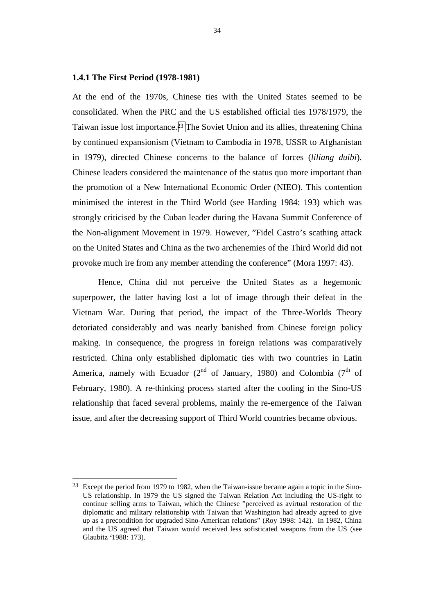#### <span id="page-34-0"></span>**1.4.1 The First Period (1978-1981)**

l

At the end of the 1970s, Chinese ties with the United States seemed to be consolidated. When the PRC and the US established official ties 1978/1979, the Taiwan issue lost importance.23 The Soviet Union and its allies, threatening China by continued expansionism (Vietnam to Cambodia in 1978, USSR to Afghanistan in 1979), directed Chinese concerns to the balance of forces (*liliang duibi*). Chinese leaders considered the maintenance of the status quo more important than the promotion of a New International Economic Order (NIEO). This contention minimised the interest in the Third World (see Harding 1984: 193) which was strongly criticised by the Cuban leader during the Havana Summit Conference of the Non-alignment Movement in 1979. However, "Fidel Castro's scathing attack on the United States and China as the two archenemies of the Third World did not provoke much ire from any member attending the conference" (Mora 1997: 43).

Hence, China did not perceive the United States as a hegemonic superpower, the latter having lost a lot of image through their defeat in the Vietnam War. During that period, the impact of the Three-Worlds Theory detoriated considerably and was nearly banished from Chinese foreign policy making. In consequence, the progress in foreign relations was comparatively restricted. China only established diplomatic ties with two countries in Latin America, namely with Ecuador ( $2<sup>nd</sup>$  of January, 1980) and Colombia ( $7<sup>th</sup>$  of February, 1980). A re-thinking process started after the cooling in the Sino-US relationship that faced several problems, mainly the re-emergence of the Taiwan issue, and after the decreasing support of Third World countries became obvious.

 $23$  Except the period from 1979 to 1982, when the Taiwan-issue became again a topic in the Sino-US relationship. In 1979 the US signed the Taiwan Relation Act including the US-right to continue selling arms to Taiwan, which the Chinese "perceived as avirtual restoration of the diplomatic and military relationship with Taiwan that Washington had already agreed to give up as a precondition for upgraded Sino-American relations" (Roy 1998: 142). In 1982, China and the US agreed that Taiwan would received less sofisticated weapons from the US (see Glaubitz <sup>2</sup>1988: 173).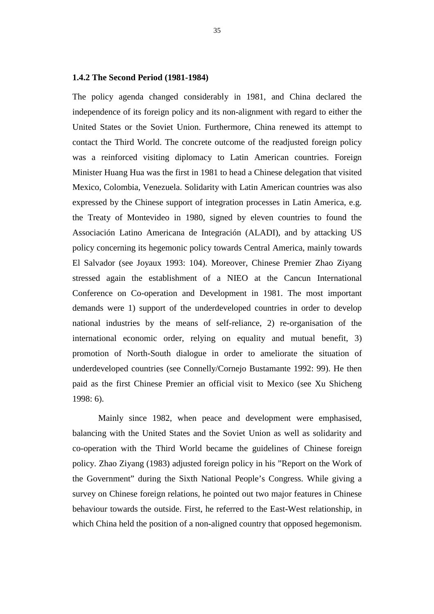#### <span id="page-35-0"></span>**1.4.2 The Second Period (1981-1984)**

The policy agenda changed considerably in 1981, and China declared the independence of its foreign policy and its non-alignment with regard to either the United States or the Soviet Union. Furthermore, China renewed its attempt to contact the Third World. The concrete outcome of the readjusted foreign policy was a reinforced visiting diplomacy to Latin American countries. Foreign Minister Huang Hua was the first in 1981 to head a Chinese delegation that visited Mexico, Colombia, Venezuela. Solidarity with Latin American countries was also expressed by the Chinese support of integration processes in Latin America, e.g. the Treaty of Montevideo in 1980, signed by eleven countries to found the Associación Latino Americana de Integración (ALADI), and by attacking US policy concerning its hegemonic policy towards Central America, mainly towards El Salvador (see Joyaux 1993: 104). Moreover, Chinese Premier Zhao Ziyang stressed again the establishment of a NIEO at the Cancun International Conference on Co-operation and Development in 1981. The most important demands were 1) support of the underdeveloped countries in order to develop national industries by the means of self-reliance, 2) re-organisation of the international economic order, relying on equality and mutual benefit, 3) promotion of North-South dialogue in order to ameliorate the situation of underdeveloped countries (see Connelly/Cornejo Bustamante 1992: 99). He then paid as the first Chinese Premier an official visit to Mexico (see Xu Shicheng 1998: 6).

Mainly since 1982, when peace and development were emphasised, balancing with the United States and the Soviet Union as well as solidarity and co-operation with the Third World became the guidelines of Chinese foreign policy. Zhao Ziyang (1983) adjusted foreign policy in his "Report on the Work of the Government" during the Sixth National People's Congress. While giving a survey on Chinese foreign relations, he pointed out two major features in Chinese behaviour towards the outside. First, he referred to the East-West relationship, in which China held the position of a non-aligned country that opposed hegemonism.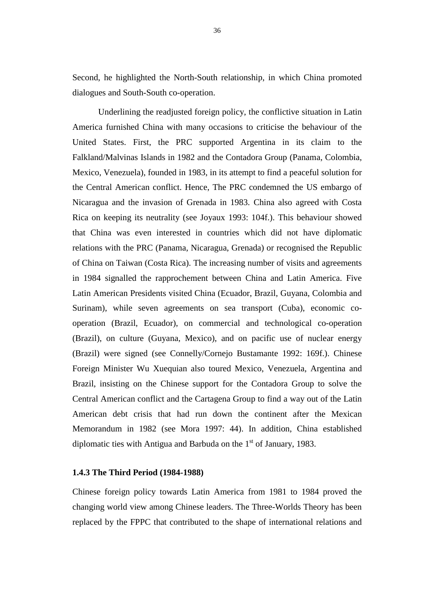Second, he highlighted the North-South relationship, in which China promoted dialogues and South-South co-operation.

Underlining the readjusted foreign policy, the conflictive situation in Latin America furnished China with many occasions to criticise the behaviour of the United States. First, the PRC supported Argentina in its claim to the Falkland/Malvinas Islands in 1982 and the Contadora Group (Panama, Colombia, Mexico, Venezuela), founded in 1983, in its attempt to find a peaceful solution for the Central American conflict. Hence, The PRC condemned the US embargo of Nicaragua and the invasion of Grenada in 1983. China also agreed with Costa Rica on keeping its neutrality (see Joyaux 1993: 104f.). This behaviour showed that China was even interested in countries which did not have diplomatic relations with the PRC (Panama, Nicaragua, Grenada) or recognised the Republic of China on Taiwan (Costa Rica). The increasing number of visits and agreements in 1984 signalled the rapprochement between China and Latin America. Five Latin American Presidents visited China (Ecuador, Brazil, Guyana, Colombia and Surinam), while seven agreements on sea transport (Cuba), economic cooperation (Brazil, Ecuador), on commercial and technological co-operation (Brazil), on culture (Guyana, Mexico), and on pacific use of nuclear energy (Brazil) were signed (see Connelly/Cornejo Bustamante 1992: 169f.). Chinese Foreign Minister Wu Xuequian also toured Mexico, Venezuela, Argentina and Brazil, insisting on the Chinese support for the Contadora Group to solve the Central American conflict and the Cartagena Group to find a way out of the Latin American debt crisis that had run down the continent after the Mexican Memorandum in 1982 (see Mora 1997: 44). In addition, China established diplomatic ties with Antigua and Barbuda on the  $1<sup>st</sup>$  of January, 1983.

#### **1.4.3 The Third Period (1984-1988)**

Chinese foreign policy towards Latin America from 1981 to 1984 proved the changing world view among Chinese leaders. The Three-Worlds Theory has been replaced by the FPPC that contributed to the shape of international relations and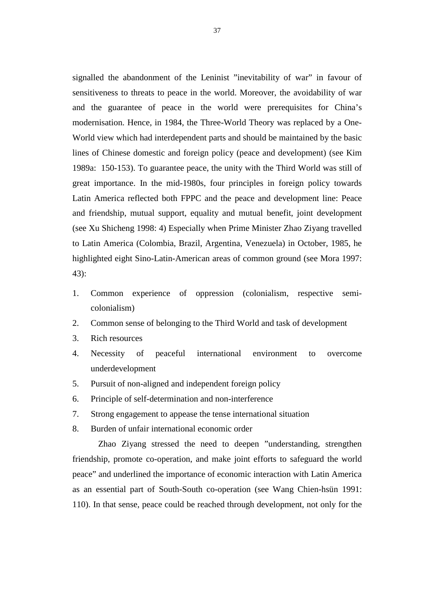signalled the abandonment of the Leninist "inevitability of war" in favour of sensitiveness to threats to peace in the world. Moreover, the avoidability of war and the guarantee of peace in the world were prerequisites for China's modernisation. Hence, in 1984, the Three-World Theory was replaced by a One-World view which had interdependent parts and should be maintained by the basic lines of Chinese domestic and foreign policy (peace and development) (see Kim 1989a: 150-153). To guarantee peace, the unity with the Third World was still of great importance. In the mid-1980s, four principles in foreign policy towards Latin America reflected both FPPC and the peace and development line: Peace and friendship, mutual support, equality and mutual benefit, joint development (see Xu Shicheng 1998: 4) Especially when Prime Minister Zhao Ziyang travelled to Latin America (Colombia, Brazil, Argentina, Venezuela) in October, 1985, he highlighted eight Sino-Latin-American areas of common ground (see Mora 1997: 43):

- 1. Common experience of oppression (colonialism, respective semicolonialism)
- 2. Common sense of belonging to the Third World and task of development
- 3. Rich resources
- 4. Necessity of peaceful international environment to overcome underdevelopment
- 5. Pursuit of non-aligned and independent foreign policy
- 6. Principle of self-determination and non-interference
- 7. Strong engagement to appease the tense international situation
- 8. Burden of unfair international economic order

Zhao Ziyang stressed the need to deepen "understanding, strengthen friendship, promote co-operation, and make joint efforts to safeguard the world peace" and underlined the importance of economic interaction with Latin America as an essential part of South-South co-operation (see Wang Chien-hsün 1991: 110). In that sense, peace could be reached through development, not only for the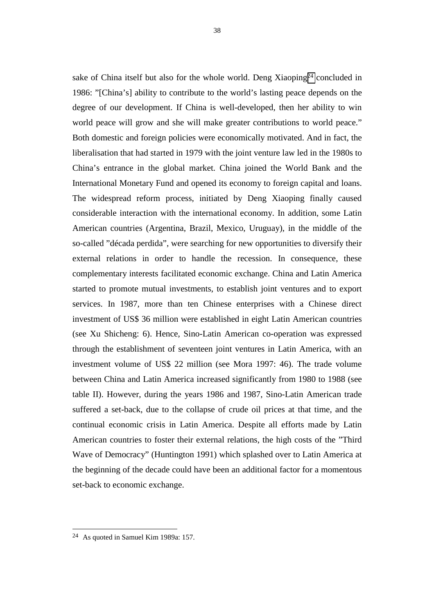sake of China itself but also for the whole world. Deng Xiaoping<sup>24</sup> concluded in 1986: "[China's] ability to contribute to the world's lasting peace depends on the degree of our development. If China is well-developed, then her ability to win world peace will grow and she will make greater contributions to world peace." Both domestic and foreign policies were economically motivated. And in fact, the liberalisation that had started in 1979 with the joint venture law led in the 1980s to China's entrance in the global market. China joined the World Bank and the International Monetary Fund and opened its economy to foreign capital and loans. The widespread reform process, initiated by Deng Xiaoping finally caused considerable interaction with the international economy. In addition, some Latin American countries (Argentina, Brazil, Mexico, Uruguay), in the middle of the so-called "década perdida", were searching for new opportunities to diversify their external relations in order to handle the recession. In consequence, these complementary interests facilitated economic exchange. China and Latin America started to promote mutual investments, to establish joint ventures and to export services. In 1987, more than ten Chinese enterprises with a Chinese direct investment of US\$ 36 million were established in eight Latin American countries (see Xu Shicheng: 6). Hence, Sino-Latin American co-operation was expressed through the establishment of seventeen joint ventures in Latin America, with an investment volume of US\$ 22 million (see Mora 1997: 46). The trade volume between China and Latin America increased significantly from 1980 to 1988 (see table II). However, during the years 1986 and 1987, Sino-Latin American trade suffered a set-back, due to the collapse of crude oil prices at that time, and the continual economic crisis in Latin America. Despite all efforts made by Latin American countries to foster their external relations, the high costs of the "Third Wave of Democracy" (Huntington 1991) which splashed over to Latin America at the beginning of the decade could have been an additional factor for a momentous set-back to economic exchange.

l

<sup>24</sup> As quoted in Samuel Kim 1989a: 157.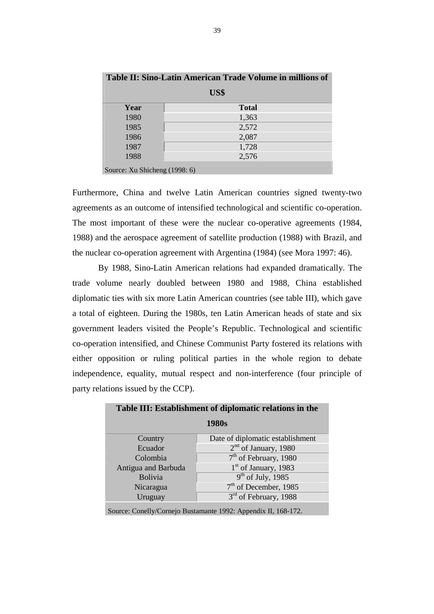| Table II: Sino-Latin American Trade Volume in millions of<br>US\$ |       |  |
|-------------------------------------------------------------------|-------|--|
|                                                                   |       |  |
| 1980                                                              | 1,363 |  |
| 1985                                                              | 2,572 |  |
| 1986                                                              | 2,087 |  |
| 1987                                                              | 1,728 |  |
| 1988                                                              | 2,576 |  |
| Source: Xu Shicheng (1998: 6)                                     |       |  |

Furthermore, China and twelve Latin American countries signed twenty-two agreements as an outcome of intensified technological and scientific co-operation. The most important of these were the nuclear co-operative agreements (1984, 1988) and the aerospace agreement of satellite production (1988) with Brazil, and the nuclear co-operation agreement with Argentina (1984) (see Mora 1997: 46).

By 1988, Sino-Latin American relations had expanded dramatically. The trade volume nearly doubled between 1980 and 1988, China established diplomatic ties with six more Latin American countries (see table III), which gave a total of eighteen. During the 1980s, ten Latin American heads of state and six government leaders visited the People's Republic. Technological and scientific co-operation intensified, and Chinese Communist Party fostered its relations with either opposition or ruling political parties in the whole region to debate independence, equality, mutual respect and non-interference (four principle of party relations issued by the CCP).

| Table III: Establishment of diplomatic relations in the        |                                  |  |  |  |
|----------------------------------------------------------------|----------------------------------|--|--|--|
| 1980s                                                          |                                  |  |  |  |
| Country                                                        | Date of diplomatic establishment |  |  |  |
| Ecuador                                                        | 2 <sup>nd</sup> of January, 1980 |  |  |  |
| Colombia                                                       | $7th$ of February, 1980          |  |  |  |
| Antigua and Barbuda                                            | $1st$ of January, 1983           |  |  |  |
| Bolivia                                                        | $9th$ of July, 1985              |  |  |  |
| Nicaragua                                                      | $7th$ of December, 1985          |  |  |  |
| Uruguay                                                        | $3rd$ of February, 1988          |  |  |  |
| Source: Conelly/Cornejo Bustamante 1992: Appendix II, 168-172. |                                  |  |  |  |

39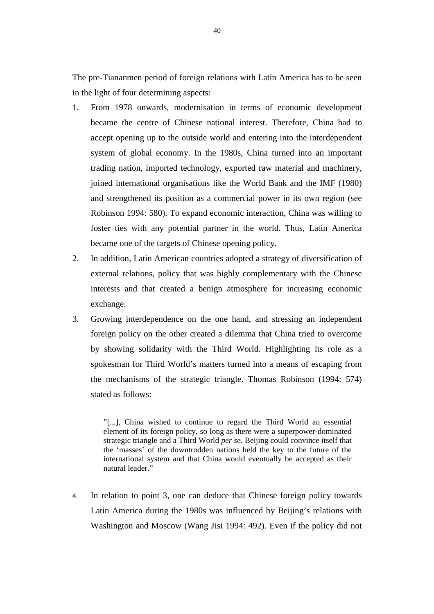The pre-Tiananmen period of foreign relations with Latin America has to be seen in the light of four determining aspects:

- 1. From 1978 onwards, modernisation in terms of economic development became the centre of Chinese national interest. Therefore, China had to accept opening up to the outside world and entering into the interdependent system of global economy. In the 1980s, China turned into an important trading nation, imported technology, exported raw material and machinery, joined international organisations like the World Bank and the IMF (1980) and strengthened its position as a commercial power in its own region (see Robinson 1994: 580). To expand economic interaction, China was willing to foster ties with any potential partner in the world. Thus, Latin America became one of the targets of Chinese opening policy.
- 2. In addition, Latin American countries adopted a strategy of diversification of external relations, policy that was highly complementary with the Chinese interests and that created a benign atmosphere for increasing economic exchange.
- 3. Growing interdependence on the one hand, and stressing an independent foreign policy on the other created a dilemma that China tried to overcome by showing solidarity with the Third World. Highlighting its role as a spokesman for Third World's matters turned into a means of escaping from the mechanisms of the strategic triangle. Thomas Robinson (1994: 574) stated as follows:

"[...], China wished to continue to regard the Third World an essential element of its foreign policy, so long as there were a superpower-dominated strategic triangle and a Third World *per se*. Beijing could convince itself that the 'masses' of the downtrodden nations held the key to the future of the international system and that China would eventually be accepted as their natural leader."

4. In relation to point 3, one can deduce that Chinese foreign policy towards Latin America during the 1980s was influenced by Beijing's relations with Washington and Moscow (Wang Jisi 1994: 492). Even if the policy did not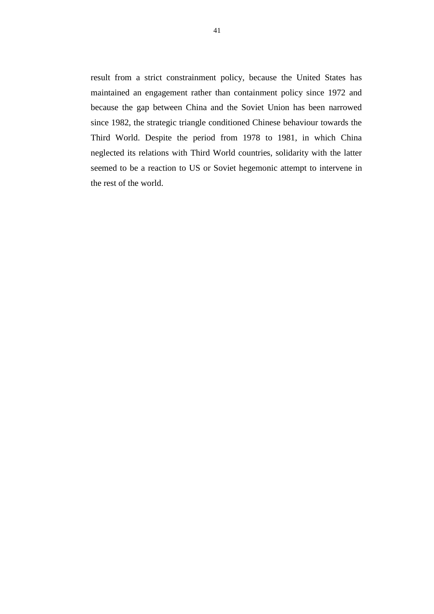result from a strict constrainment policy, because the United States has maintained an engagement rather than containment policy since 1972 and because the gap between China and the Soviet Union has been narrowed since 1982, the strategic triangle conditioned Chinese behaviour towards the Third World. Despite the period from 1978 to 1981, in which China neglected its relations with Third World countries, solidarity with the latter seemed to be a reaction to US or Soviet hegemonic attempt to intervene in the rest of the world.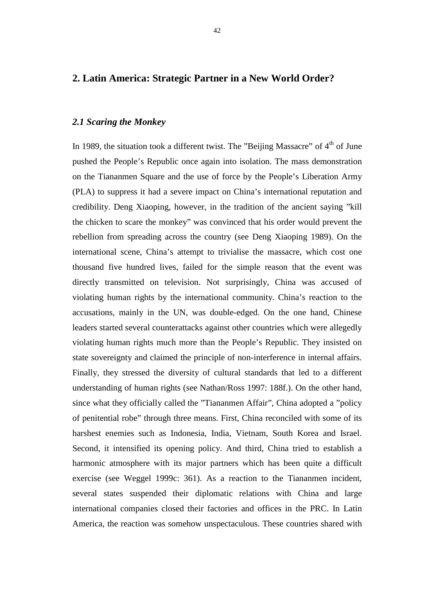# **2. Latin America: Strategic Partner in a New World Order?**

#### *2.1 Scaring the Monkey*

In 1989, the situation took a different twist. The "Beijing Massacre" of  $4<sup>th</sup>$  of June pushed the People's Republic once again into isolation. The mass demonstration on the Tiananmen Square and the use of force by the People's Liberation Army (PLA) to suppress it had a severe impact on China's international reputation and credibility. Deng Xiaoping, however, in the tradition of the ancient saying "kill the chicken to scare the monkey" was convinced that his order would prevent the rebellion from spreading across the country (see Deng Xiaoping 1989). On the international scene, China's attempt to trivialise the massacre, which cost one thousand five hundred lives, failed for the simple reason that the event was directly transmitted on television. Not surprisingly, China was accused of violating human rights by the international community. China's reaction to the accusations, mainly in the UN, was double-edged. On the one hand, Chinese leaders started several counterattacks against other countries which were allegedly violating human rights much more than the People's Republic. They insisted on state sovereignty and claimed the principle of non-interference in internal affairs. Finally, they stressed the diversity of cultural standards that led to a different understanding of human rights (see Nathan/Ross 1997: 188f.). On the other hand, since what they officially called the "Tiananmen Affair", China adopted a "policy of penitential robe" through three means. First, China reconciled with some of its harshest enemies such as Indonesia, India, Vietnam, South Korea and Israel. Second, it intensified its opening policy. And third, China tried to establish a harmonic atmosphere with its major partners which has been quite a difficult exercise (see Weggel 1999c: 361). As a reaction to the Tiananmen incident, several states suspended their diplomatic relations with China and large international companies closed their factories and offices in the PRC. In Latin America, the reaction was somehow unspectaculous. These countries shared with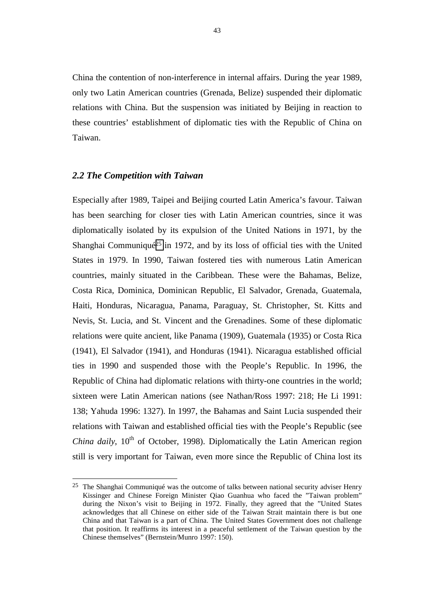China the contention of non-interference in internal affairs. During the year 1989, only two Latin American countries (Grenada, Belize) suspended their diplomatic relations with China. But the suspension was initiated by Beijing in reaction to these countries' establishment of diplomatic ties with the Republic of China on Taiwan.

#### *2.2 The Competition with Taiwan*

l

Especially after 1989, Taipei and Beijing courted Latin America's favour. Taiwan has been searching for closer ties with Latin American countries, since it was diplomatically isolated by its expulsion of the United Nations in 1971, by the Shanghai Communiqué<sup>25</sup> in 1972, and by its loss of official ties with the United States in 1979. In 1990, Taiwan fostered ties with numerous Latin American countries, mainly situated in the Caribbean. These were the Bahamas, Belize, Costa Rica, Dominica, Dominican Republic, El Salvador, Grenada, Guatemala, Haiti, Honduras, Nicaragua, Panama, Paraguay, St. Christopher, St. Kitts and Nevis, St. Lucia, and St. Vincent and the Grenadines. Some of these diplomatic relations were quite ancient, like Panama (1909), Guatemala (1935) or Costa Rica (1941), El Salvador (1941), and Honduras (1941). Nicaragua established official ties in 1990 and suspended those with the People's Republic. In 1996, the Republic of China had diplomatic relations with thirty-one countries in the world; sixteen were Latin American nations (see Nathan/Ross 1997: 218; He Li 1991: 138; Yahuda 1996: 1327). In 1997, the Bahamas and Saint Lucia suspended their relations with Taiwan and established official ties with the People's Republic (see *China daily*,  $10^{th}$  of October, 1998). Diplomatically the Latin American region still is very important for Taiwan, even more since the Republic of China lost its

<sup>25</sup> The Shanghai Communiqué was the outcome of talks between national security adviser Henry Kissinger and Chinese Foreign Minister Qiao Guanhua who faced the "Taiwan problem" during the Nixon's visit to Beijing in 1972. Finally, they agreed that the "United States acknowledges that all Chinese on either side of the Taiwan Strait maintain there is but one China and that Taiwan is a part of China. The United States Government does not challenge that position. It reaffirms its interest in a peaceful settlement of the Taiwan question by the Chinese themselves" (Bernstein/Munro 1997: 150).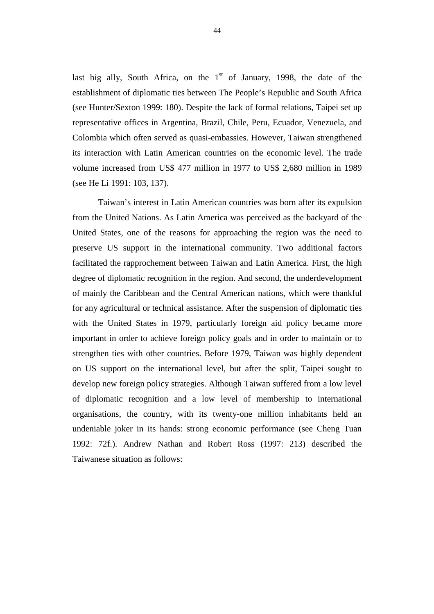last big ally, South Africa, on the  $1<sup>st</sup>$  of January, 1998, the date of the establishment of diplomatic ties between The People's Republic and South Africa (see Hunter/Sexton 1999: 180). Despite the lack of formal relations, Taipei set up representative offices in Argentina, Brazil, Chile, Peru, Ecuador, Venezuela, and Colombia which often served as quasi-embassies. However, Taiwan strengthened its interaction with Latin American countries on the economic level. The trade volume increased from US\$ 477 million in 1977 to US\$ 2,680 million in 1989 (see He Li 1991: 103, 137).

Taiwan's interest in Latin American countries was born after its expulsion from the United Nations. As Latin America was perceived as the backyard of the United States, one of the reasons for approaching the region was the need to preserve US support in the international community. Two additional factors facilitated the rapprochement between Taiwan and Latin America. First, the high degree of diplomatic recognition in the region. And second, the underdevelopment of mainly the Caribbean and the Central American nations, which were thankful for any agricultural or technical assistance. After the suspension of diplomatic ties with the United States in 1979, particularly foreign aid policy became more important in order to achieve foreign policy goals and in order to maintain or to strengthen ties with other countries. Before 1979, Taiwan was highly dependent on US support on the international level, but after the split, Taipei sought to develop new foreign policy strategies. Although Taiwan suffered from a low level of diplomatic recognition and a low level of membership to international organisations, the country, with its twenty-one million inhabitants held an undeniable joker in its hands: strong economic performance (see Cheng Tuan 1992: 72f.). Andrew Nathan and Robert Ross (1997: 213) described the Taiwanese situation as follows: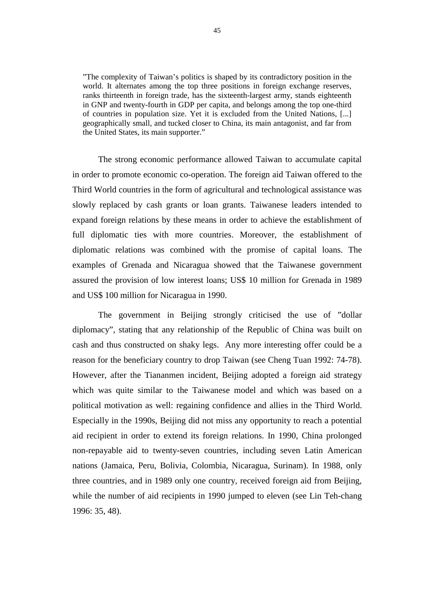"The complexity of Taiwan's politics is shaped by its contradictory position in the world. It alternates among the top three positions in foreign exchange reserves, ranks thirteenth in foreign trade, has the sixteenth-largest army, stands eighteenth in GNP and twenty-fourth in GDP per capita, and belongs among the top one-third of countries in population size. Yet it is excluded from the United Nations, [...] geographically small, and tucked closer to China, its main antagonist, and far from the United States, its main supporter."

The strong economic performance allowed Taiwan to accumulate capital in order to promote economic co-operation. The foreign aid Taiwan offered to the Third World countries in the form of agricultural and technological assistance was slowly replaced by cash grants or loan grants. Taiwanese leaders intended to expand foreign relations by these means in order to achieve the establishment of full diplomatic ties with more countries. Moreover, the establishment of diplomatic relations was combined with the promise of capital loans. The examples of Grenada and Nicaragua showed that the Taiwanese government assured the provision of low interest loans; US\$ 10 million for Grenada in 1989 and US\$ 100 million for Nicaragua in 1990.

The government in Beijing strongly criticised the use of "dollar diplomacy", stating that any relationship of the Republic of China was built on cash and thus constructed on shaky legs. Any more interesting offer could be a reason for the beneficiary country to drop Taiwan (see Cheng Tuan 1992: 74-78). However, after the Tiananmen incident, Beijing adopted a foreign aid strategy which was quite similar to the Taiwanese model and which was based on a political motivation as well: regaining confidence and allies in the Third World. Especially in the 1990s, Beijing did not miss any opportunity to reach a potential aid recipient in order to extend its foreign relations. In 1990, China prolonged non-repayable aid to twenty-seven countries, including seven Latin American nations (Jamaica, Peru, Bolivia, Colombia, Nicaragua, Surinam). In 1988, only three countries, and in 1989 only one country, received foreign aid from Beijing, while the number of aid recipients in 1990 jumped to eleven (see Lin Teh-chang 1996: 35, 48).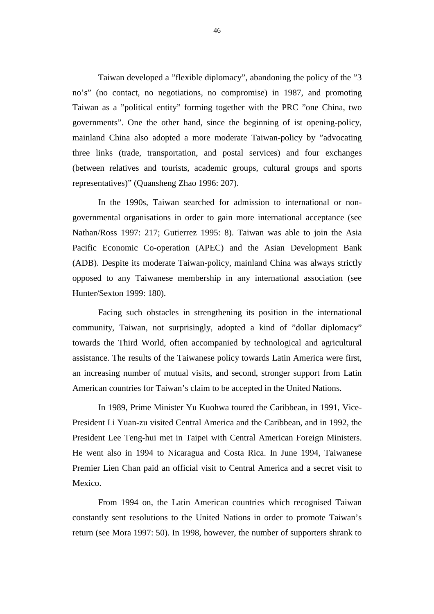Taiwan developed a "flexible diplomacy", abandoning the policy of the "3 no's" (no contact, no negotiations, no compromise) in 1987, and promoting Taiwan as a "political entity" forming together with the PRC "one China, two governments". One the other hand, since the beginning of ist opening-policy, mainland China also adopted a more moderate Taiwan-policy by "advocating three links (trade, transportation, and postal services) and four exchanges (between relatives and tourists, academic groups, cultural groups and sports representatives)" (Quansheng Zhao 1996: 207).

In the 1990s, Taiwan searched for admission to international or nongovernmental organisations in order to gain more international acceptance (see Nathan/Ross 1997: 217; Gutierrez 1995: 8). Taiwan was able to join the Asia Pacific Economic Co-operation (APEC) and the Asian Development Bank (ADB). Despite its moderate Taiwan-policy, mainland China was always strictly opposed to any Taiwanese membership in any international association (see Hunter/Sexton 1999: 180).

Facing such obstacles in strengthening its position in the international community, Taiwan, not surprisingly, adopted a kind of "dollar diplomacy" towards the Third World, often accompanied by technological and agricultural assistance. The results of the Taiwanese policy towards Latin America were first, an increasing number of mutual visits, and second, stronger support from Latin American countries for Taiwan's claim to be accepted in the United Nations.

In 1989, Prime Minister Yu Kuohwa toured the Caribbean, in 1991, Vice-President Li Yuan-zu visited Central America and the Caribbean, and in 1992, the President Lee Teng-hui met in Taipei with Central American Foreign Ministers. He went also in 1994 to Nicaragua and Costa Rica. In June 1994, Taiwanese Premier Lien Chan paid an official visit to Central America and a secret visit to Mexico.

From 1994 on, the Latin American countries which recognised Taiwan constantly sent resolutions to the United Nations in order to promote Taiwan's return (see Mora 1997: 50). In 1998, however, the number of supporters shrank to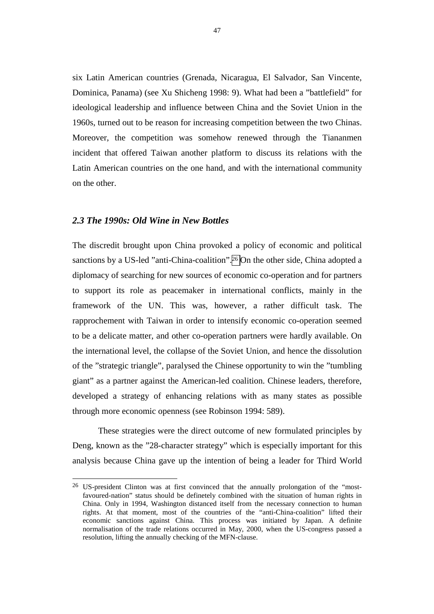six Latin American countries (Grenada, Nicaragua, El Salvador, San Vincente, Dominica, Panama) (see Xu Shicheng 1998: 9). What had been a "battlefield" for ideological leadership and influence between China and the Soviet Union in the 1960s, turned out to be reason for increasing competition between the two Chinas. Moreover, the competition was somehow renewed through the Tiananmen incident that offered Taiwan another platform to discuss its relations with the Latin American countries on the one hand, and with the international community on the other.

## *2.3 The 1990s: Old Wine in New Bottles*

l

The discredit brought upon China provoked a policy of economic and political sanctions by a US-led "anti-China-coalition".26 On the other side, China adopted a diplomacy of searching for new sources of economic co-operation and for partners to support its role as peacemaker in international conflicts, mainly in the framework of the UN. This was, however, a rather difficult task. The rapprochement with Taiwan in order to intensify economic co-operation seemed to be a delicate matter, and other co-operation partners were hardly available. On the international level, the collapse of the Soviet Union, and hence the dissolution of the "strategic triangle", paralysed the Chinese opportunity to win the "tumbling giant" as a partner against the American-led coalition. Chinese leaders, therefore, developed a strategy of enhancing relations with as many states as possible through more economic openness (see Robinson 1994: 589).

These strategies were the direct outcome of new formulated principles by Deng, known as the "28-character strategy" which is especially important for this analysis because China gave up the intention of being a leader for Third World

<sup>26</sup> US-president Clinton was at first convinced that the annually prolongation of the "mostfavoured-nation" status should be definetely combined with the situation of human rights in China. Only in 1994, Washington distanced itself from the necessary connection to human rights. At that moment, most of the countries of the "anti-China-coalition" lifted their economic sanctions against China. This process was initiated by Japan. A definite normalisation of the trade relations occurred in May, 2000, when the US-congress passed a resolution, lifting the annually checking of the MFN-clause.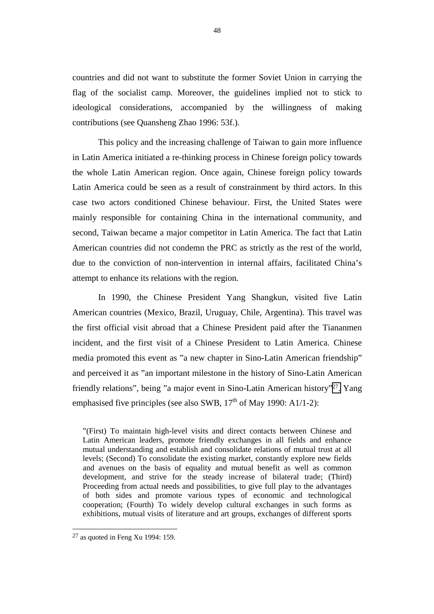countries and did not want to substitute the former Soviet Union in carrying the flag of the socialist camp. Moreover, the guidelines implied not to stick to ideological considerations, accompanied by the willingness of making contributions (see Quansheng Zhao 1996: 53f.).

This policy and the increasing challenge of Taiwan to gain more influence in Latin America initiated a re-thinking process in Chinese foreign policy towards the whole Latin American region. Once again, Chinese foreign policy towards Latin America could be seen as a result of constrainment by third actors. In this case two actors conditioned Chinese behaviour. First, the United States were mainly responsible for containing China in the international community, and second, Taiwan became a major competitor in Latin America. The fact that Latin American countries did not condemn the PRC as strictly as the rest of the world, due to the conviction of non-intervention in internal affairs, facilitated China's attempt to enhance its relations with the region.

In 1990, the Chinese President Yang Shangkun, visited five Latin American countries (Mexico, Brazil, Uruguay, Chile, Argentina). This travel was the first official visit abroad that a Chinese President paid after the Tiananmen incident, and the first visit of a Chinese President to Latin America. Chinese media promoted this event as "a new chapter in Sino-Latin American friendship" and perceived it as "an important milestone in the history of Sino-Latin American friendly relations", being "a major event in Sino-Latin American history"27. Yang emphasised five principles (see also SWB,  $17<sup>th</sup>$  of May 1990: A1/1-2):

"(First) To maintain high-level visits and direct contacts between Chinese and Latin American leaders, promote friendly exchanges in all fields and enhance mutual understanding and establish and consolidate relations of mutual trust at all levels; (Second) To consolidate the existing market, constantly explore new fields and avenues on the basis of equality and mutual benefit as well as common development, and strive for the steady increase of bilateral trade; (Third) Proceeding from actual needs and possibilities, to give full play to the advantages of both sides and promote various types of economic and technological cooperation; (Fourth) To widely develop cultural exchanges in such forms as exhibitions, mutual visits of literature and art groups, exchanges of different sports

l

 $27$  as quoted in Feng Xu 1994: 159.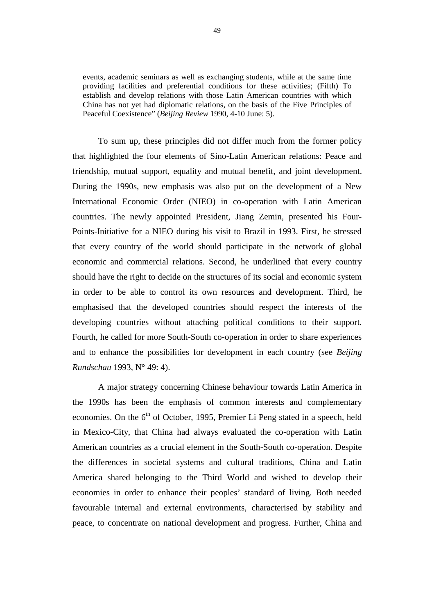events, academic seminars as well as exchanging students, while at the same time providing facilities and preferential conditions for these activities; (Fifth) To establish and develop relations with those Latin American countries with which China has not yet had diplomatic relations, on the basis of the Five Principles of Peaceful Coexistence" (*Beijing Review* 1990, 4-10 June: 5).

To sum up, these principles did not differ much from the former policy that highlighted the four elements of Sino-Latin American relations: Peace and friendship, mutual support, equality and mutual benefit, and joint development. During the 1990s, new emphasis was also put on the development of a New International Economic Order (NIEO) in co-operation with Latin American countries. The newly appointed President, Jiang Zemin, presented his Four-Points-Initiative for a NIEO during his visit to Brazil in 1993. First, he stressed that every country of the world should participate in the network of global economic and commercial relations. Second, he underlined that every country should have the right to decide on the structures of its social and economic system in order to be able to control its own resources and development. Third, he emphasised that the developed countries should respect the interests of the developing countries without attaching political conditions to their support. Fourth, he called for more South-South co-operation in order to share experiences and to enhance the possibilities for development in each country (see *Beijing Rundschau* 1993, N° 49: 4).

A major strategy concerning Chinese behaviour towards Latin America in the 1990s has been the emphasis of common interests and complementary economies. On the 6<sup>th</sup> of October, 1995, Premier Li Peng stated in a speech, held in Mexico-City, that China had always evaluated the co-operation with Latin American countries as a crucial element in the South-South co-operation. Despite the differences in societal systems and cultural traditions, China and Latin America shared belonging to the Third World and wished to develop their economies in order to enhance their peoples' standard of living. Both needed favourable internal and external environments, characterised by stability and peace, to concentrate on national development and progress. Further, China and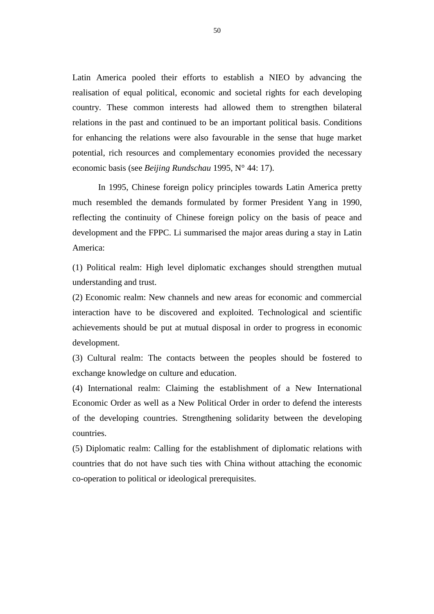Latin America pooled their efforts to establish a NIEO by advancing the realisation of equal political, economic and societal rights for each developing country. These common interests had allowed them to strengthen bilateral relations in the past and continued to be an important political basis. Conditions for enhancing the relations were also favourable in the sense that huge market potential, rich resources and complementary economies provided the necessary economic basis (see *Beijing Rundschau* 1995, N° 44: 17).

In 1995, Chinese foreign policy principles towards Latin America pretty much resembled the demands formulated by former President Yang in 1990, reflecting the continuity of Chinese foreign policy on the basis of peace and development and the FPPC. Li summarised the major areas during a stay in Latin America:

(1) Political realm: High level diplomatic exchanges should strengthen mutual understanding and trust.

(2) Economic realm: New channels and new areas for economic and commercial interaction have to be discovered and exploited. Technological and scientific achievements should be put at mutual disposal in order to progress in economic development.

(3) Cultural realm: The contacts between the peoples should be fostered to exchange knowledge on culture and education.

(4) International realm: Claiming the establishment of a New International Economic Order as well as a New Political Order in order to defend the interests of the developing countries. Strengthening solidarity between the developing countries.

(5) Diplomatic realm: Calling for the establishment of diplomatic relations with countries that do not have such ties with China without attaching the economic co-operation to political or ideological prerequisites.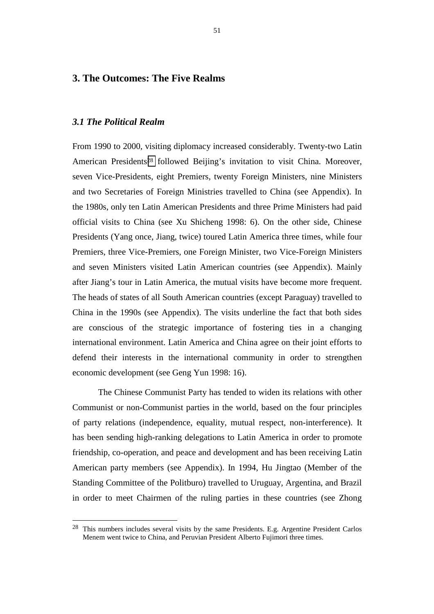## **3. The Outcomes: The Five Realms**

## *3.1 The Political Realm*

l

From 1990 to 2000, visiting diplomacy increased considerably. Twenty-two Latin American Presidents<sup>28</sup> followed Beijing's invitation to visit China. Moreover, seven Vice-Presidents, eight Premiers, twenty Foreign Ministers, nine Ministers and two Secretaries of Foreign Ministries travelled to China (see Appendix). In the 1980s, only ten Latin American Presidents and three Prime Ministers had paid official visits to China (see Xu Shicheng 1998: 6). On the other side, Chinese Presidents (Yang once, Jiang, twice) toured Latin America three times, while four Premiers, three Vice-Premiers, one Foreign Minister, two Vice-Foreign Ministers and seven Ministers visited Latin American countries (see Appendix). Mainly after Jiang's tour in Latin America, the mutual visits have become more frequent. The heads of states of all South American countries (except Paraguay) travelled to China in the 1990s (see Appendix). The visits underline the fact that both sides are conscious of the strategic importance of fostering ties in a changing international environment. Latin America and China agree on their joint efforts to defend their interests in the international community in order to strengthen economic development (see Geng Yun 1998: 16).

The Chinese Communist Party has tended to widen its relations with other Communist or non-Communist parties in the world, based on the four principles of party relations (independence, equality, mutual respect, non-interference). It has been sending high-ranking delegations to Latin America in order to promote friendship, co-operation, and peace and development and has been receiving Latin American party members (see Appendix). In 1994, Hu Jingtao (Member of the Standing Committee of the Politburo) travelled to Uruguay, Argentina, and Brazil in order to meet Chairmen of the ruling parties in these countries (see Zhong

<sup>&</sup>lt;sup>28</sup> This numbers includes several visits by the same Presidents. E.g. Argentine President Carlos Menem went twice to China, and Peruvian President Alberto Fujimori three times.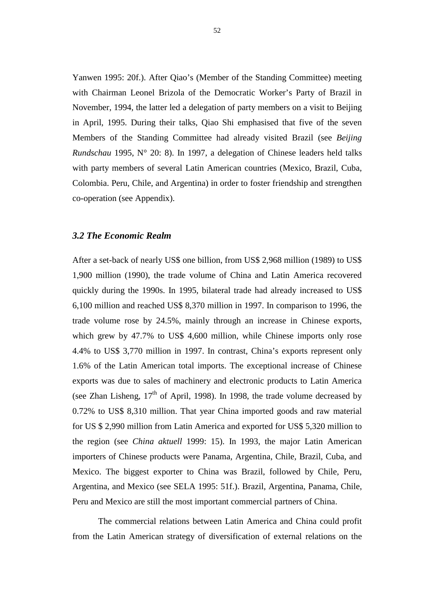Yanwen 1995: 20f.). After Qiao's (Member of the Standing Committee) meeting with Chairman Leonel Brizola of the Democratic Worker's Party of Brazil in November, 1994, the latter led a delegation of party members on a visit to Beijing in April, 1995. During their talks, Qiao Shi emphasised that five of the seven Members of the Standing Committee had already visited Brazil (see *Beijing Rundschau* 1995, N° 20: 8). In 1997, a delegation of Chinese leaders held talks with party members of several Latin American countries (Mexico, Brazil, Cuba, Colombia. Peru, Chile, and Argentina) in order to foster friendship and strengthen co-operation (see Appendix).

## *3.2 The Economic Realm*

After a set-back of nearly US\$ one billion, from US\$ 2,968 million (1989) to US\$ 1,900 million (1990), the trade volume of China and Latin America recovered quickly during the 1990s. In 1995, bilateral trade had already increased to US\$ 6,100 million and reached US\$ 8,370 million in 1997. In comparison to 1996, the trade volume rose by 24.5%, mainly through an increase in Chinese exports, which grew by 47.7% to US\$ 4,600 million, while Chinese imports only rose 4.4% to US\$ 3,770 million in 1997. In contrast, China's exports represent only 1.6% of the Latin American total imports. The exceptional increase of Chinese exports was due to sales of machinery and electronic products to Latin America (see Zhan Lisheng,  $17<sup>th</sup>$  of April, 1998). In 1998, the trade volume decreased by 0.72% to US\$ 8,310 million. That year China imported goods and raw material for US \$ 2,990 million from Latin America and exported for US\$ 5,320 million to the region (see *China aktuell* 1999: 15). In 1993, the major Latin American importers of Chinese products were Panama, Argentina, Chile, Brazil, Cuba, and Mexico. The biggest exporter to China was Brazil, followed by Chile, Peru, Argentina, and Mexico (see SELA 1995: 51f.). Brazil, Argentina, Panama, Chile, Peru and Mexico are still the most important commercial partners of China.

The commercial relations between Latin America and China could profit from the Latin American strategy of diversification of external relations on the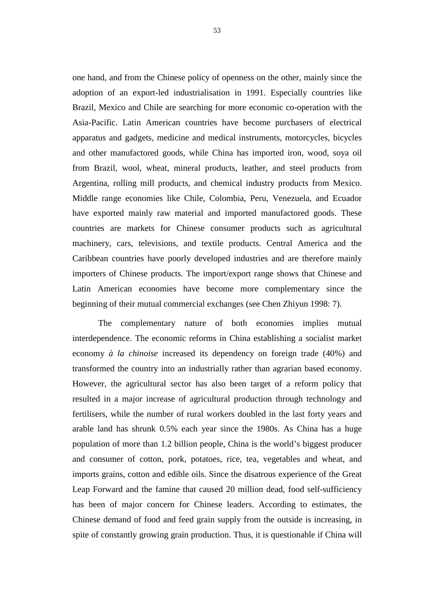one hand, and from the Chinese policy of openness on the other, mainly since the adoption of an export-led industrialisation in 1991. Especially countries like Brazil, Mexico and Chile are searching for more economic co-operation with the Asia-Pacific. Latin American countries have become purchasers of electrical apparatus and gadgets, medicine and medical instruments, motorcycles, bicycles and other manufactored goods, while China has imported iron, wood, soya oil from Brazil, wool, wheat, mineral products, leather, and steel products from Argentina, rolling mill products, and chemical industry products from Mexico. Middle range economies like Chile, Colombia, Peru, Venezuela, and Ecuador have exported mainly raw material and imported manufactored goods. These countries are markets for Chinese consumer products such as agricultural machinery, cars, televisions, and textile products. Central America and the Caribbean countries have poorly developed industries and are therefore mainly importers of Chinese products. The import/export range shows that Chinese and Latin American economies have become more complementary since the beginning of their mutual commercial exchanges (see Chen Zhiyun 1998: 7).

The complementary nature of both economies implies mutual interdependence. The economic reforms in China establishing a socialist market economy *à la chinoise* increased its dependency on foreign trade (40%) and transformed the country into an industrially rather than agrarian based economy. However, the agricultural sector has also been target of a reform policy that resulted in a major increase of agricultural production through technology and fertilisers, while the number of rural workers doubled in the last forty years and arable land has shrunk 0.5% each year since the 1980s. As China has a huge population of more than 1.2 billion people, China is the world's biggest producer and consumer of cotton, pork, potatoes, rice, tea, vegetables and wheat, and imports grains, cotton and edible oils. Since the disatrous experience of the Great Leap Forward and the famine that caused 20 million dead, food self-sufficiency has been of major concern for Chinese leaders. According to estimates, the Chinese demand of food and feed grain supply from the outside is increasing, in spite of constantly growing grain production. Thus, it is questionable if China will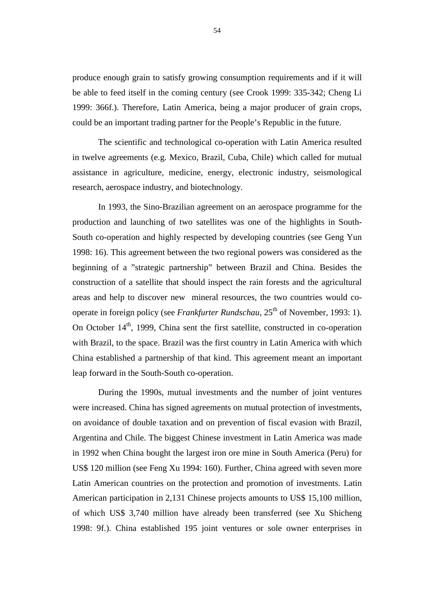produce enough grain to satisfy growing consumption requirements and if it will be able to feed itself in the coming century (see Crook 1999: 335-342; Cheng Li 1999: 366f.). Therefore, Latin America, being a major producer of grain crops, could be an important trading partner for the People's Republic in the future.

The scientific and technological co-operation with Latin America resulted in twelve agreements (e.g. Mexico, Brazil, Cuba, Chile) which called for mutual assistance in agriculture, medicine, energy, electronic industry, seismological research, aerospace industry, and biotechnology.

In 1993, the Sino-Brazilian agreement on an aerospace programme for the production and launching of two satellites was one of the highlights in South-South co-operation and highly respected by developing countries (see Geng Yun 1998: 16). This agreement between the two regional powers was considered as the beginning of a "strategic partnership" between Brazil and China. Besides the construction of a satellite that should inspect the rain forests and the agricultural areas and help to discover new mineral resources, the two countries would cooperate in foreign policy (see *Frankfurter Rundschau*, 25<sup>th</sup> of November, 1993: 1). On October  $14<sup>th</sup>$ , 1999, China sent the first satellite, constructed in co-operation with Brazil, to the space. Brazil was the first country in Latin America with which China established a partnership of that kind. This agreement meant an important leap forward in the South-South co-operation.

During the 1990s, mutual investments and the number of joint ventures were increased. China has signed agreements on mutual protection of investments, on avoidance of double taxation and on prevention of fiscal evasion with Brazil, Argentina and Chile. The biggest Chinese investment in Latin America was made in 1992 when China bought the largest iron ore mine in South America (Peru) for US\$ 120 million (see Feng Xu 1994: 160). Further, China agreed with seven more Latin American countries on the protection and promotion of investments. Latin American participation in 2,131 Chinese projects amounts to US\$ 15,100 million, of which US\$ 3,740 million have already been transferred (see Xu Shicheng 1998: 9f.). China established 195 joint ventures or sole owner enterprises in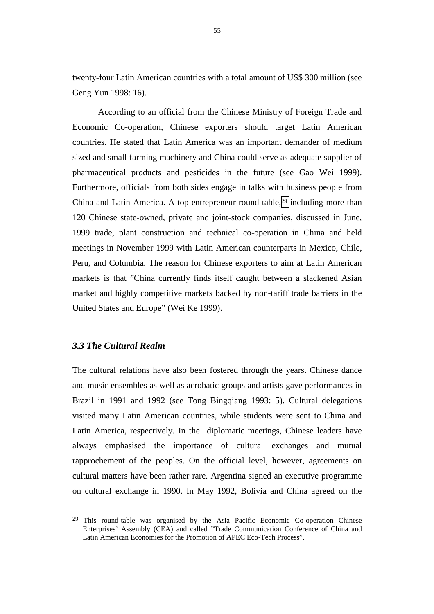twenty-four Latin American countries with a total amount of US\$ 300 million (see Geng Yun 1998: 16).

According to an official from the Chinese Ministry of Foreign Trade and Economic Co-operation, Chinese exporters should target Latin American countries. He stated that Latin America was an important demander of medium sized and small farming machinery and China could serve as adequate supplier of pharmaceutical products and pesticides in the future (see Gao Wei 1999). Furthermore, officials from both sides engage in talks with business people from China and Latin America. A top entrepreneur round-table,<sup>29</sup> including more than 120 Chinese state-owned, private and joint-stock companies, discussed in June, 1999 trade, plant construction and technical co-operation in China and held meetings in November 1999 with Latin American counterparts in Mexico, Chile, Peru, and Columbia. The reason for Chinese exporters to aim at Latin American markets is that "China currently finds itself caught between a slackened Asian market and highly competitive markets backed by non-tariff trade barriers in the United States and Europe" (Wei Ke 1999).

### *3.3 The Cultural Realm*

l

The cultural relations have also been fostered through the years. Chinese dance and music ensembles as well as acrobatic groups and artists gave performances in Brazil in 1991 and 1992 (see Tong Bingqiang 1993: 5). Cultural delegations visited many Latin American countries, while students were sent to China and Latin America, respectively. In the diplomatic meetings, Chinese leaders have always emphasised the importance of cultural exchanges and mutual rapprochement of the peoples. On the official level, however, agreements on cultural matters have been rather rare. Argentina signed an executive programme on cultural exchange in 1990. In May 1992, Bolivia and China agreed on the

<sup>29</sup> This round-table was organised by the Asia Pacific Economic Co-operation Chinese Enterprises' Assembly (CEA) and called "Trade Communication Conference of China and Latin American Economies for the Promotion of APEC Eco-Tech Process".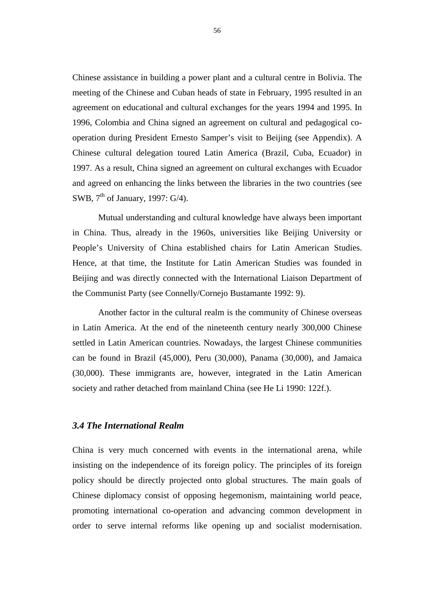Chinese assistance in building a power plant and a cultural centre in Bolivia. The meeting of the Chinese and Cuban heads of state in February, 1995 resulted in an agreement on educational and cultural exchanges for the years 1994 and 1995. In 1996, Colombia and China signed an agreement on cultural and pedagogical cooperation during President Ernesto Samper's visit to Beijing (see Appendix). A Chinese cultural delegation toured Latin America (Brazil, Cuba, Ecuador) in 1997. As a result, China signed an agreement on cultural exchanges with Ecuador and agreed on enhancing the links between the libraries in the two countries (see SWB,  $7<sup>th</sup>$  of January, 1997: G/4).

Mutual understanding and cultural knowledge have always been important in China. Thus, already in the 1960s, universities like Beijing University or People's University of China established chairs for Latin American Studies. Hence, at that time, the Institute for Latin American Studies was founded in Beijing and was directly connected with the International Liaison Department of the Communist Party (see Connelly/Cornejo Bustamante 1992: 9).

Another factor in the cultural realm is the community of Chinese overseas in Latin America. At the end of the nineteenth century nearly 300,000 Chinese settled in Latin American countries. Nowadays, the largest Chinese communities can be found in Brazil (45,000), Peru (30,000), Panama (30,000), and Jamaica (30,000). These immigrants are, however, integrated in the Latin American society and rather detached from mainland China (see He Li 1990: 122f.).

#### *3.4 The International Realm*

China is very much concerned with events in the international arena, while insisting on the independence of its foreign policy. The principles of its foreign policy should be directly projected onto global structures. The main goals of Chinese diplomacy consist of opposing hegemonism, maintaining world peace, promoting international co-operation and advancing common development in order to serve internal reforms like opening up and socialist modernisation.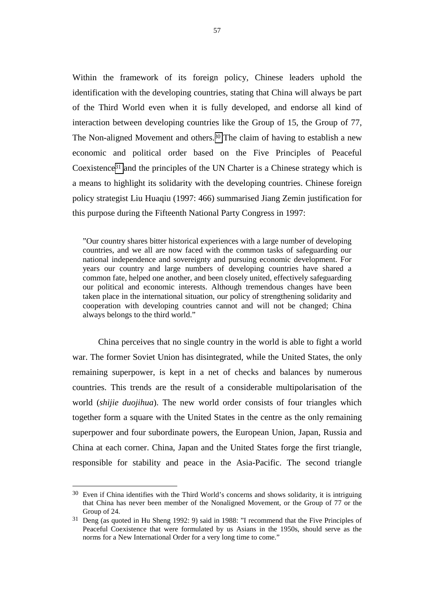Within the framework of its foreign policy, Chinese leaders uphold the identification with the developing countries, stating that China will always be part of the Third World even when it is fully developed, and endorse all kind of interaction between developing countries like the Group of 15, the Group of 77, The Non-aligned Movement and others.<sup>30</sup> The claim of having to establish a new economic and political order based on the Five Principles of Peaceful Coexistence31 and the principles of the UN Charter is a Chinese strategy which is a means to highlight its solidarity with the developing countries. Chinese foreign policy strategist Liu Huaqiu (1997: 466) summarised Jiang Zemin justification for this purpose during the Fifteenth National Party Congress in 1997:

"Our country shares bitter historical experiences with a large number of developing countries, and we all are now faced with the common tasks of safeguarding our national independence and sovereignty and pursuing economic development. For years our country and large numbers of developing countries have shared a common fate, helped one another, and been closely united, effectively safeguarding our political and economic interests. Although tremendous changes have been taken place in the international situation, our policy of strengthening solidarity and cooperation with developing countries cannot and will not be changed; China always belongs to the third world."

China perceives that no single country in the world is able to fight a world war. The former Soviet Union has disintegrated, while the United States, the only remaining superpower, is kept in a net of checks and balances by numerous countries. This trends are the result of a considerable multipolarisation of the world (*shijie duojihua*). The new world order consists of four triangles which together form a square with the United States in the centre as the only remaining superpower and four subordinate powers, the European Union, Japan, Russia and China at each corner. China, Japan and the United States forge the first triangle, responsible for stability and peace in the Asia-Pacific. The second triangle

l

<sup>30</sup> Even if China identifies with the Third World's concerns and shows solidarity, it is intriguing that China has never been member of the Nonaligned Movement, or the Group of 77 or the Group of 24.

<sup>31</sup> Deng (as quoted in Hu Sheng 1992: 9) said in 1988: "I recommend that the Five Principles of Peaceful Coexistence that were formulated by us Asians in the 1950s, should serve as the norms for a New International Order for a very long time to come."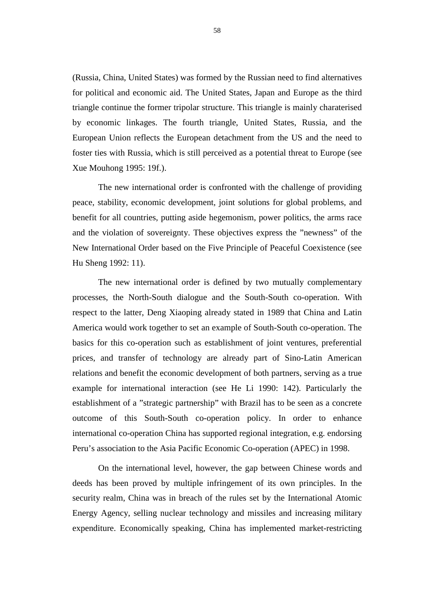(Russia, China, United States) was formed by the Russian need to find alternatives for political and economic aid. The United States, Japan and Europe as the third triangle continue the former tripolar structure. This triangle is mainly charaterised by economic linkages. The fourth triangle, United States, Russia, and the European Union reflects the European detachment from the US and the need to foster ties with Russia, which is still perceived as a potential threat to Europe (see Xue Mouhong 1995: 19f.).

The new international order is confronted with the challenge of providing peace, stability, economic development, joint solutions for global problems, and benefit for all countries, putting aside hegemonism, power politics, the arms race and the violation of sovereignty. These objectives express the "newness" of the New International Order based on the Five Principle of Peaceful Coexistence (see Hu Sheng 1992: 11).

The new international order is defined by two mutually complementary processes, the North-South dialogue and the South-South co-operation. With respect to the latter, Deng Xiaoping already stated in 1989 that China and Latin America would work together to set an example of South-South co-operation. The basics for this co-operation such as establishment of joint ventures, preferential prices, and transfer of technology are already part of Sino-Latin American relations and benefit the economic development of both partners, serving as a true example for international interaction (see He Li 1990: 142). Particularly the establishment of a "strategic partnership" with Brazil has to be seen as a concrete outcome of this South-South co-operation policy. In order to enhance international co-operation China has supported regional integration, e.g. endorsing Peru's association to the Asia Pacific Economic Co-operation (APEC) in 1998.

On the international level, however, the gap between Chinese words and deeds has been proved by multiple infringement of its own principles. In the security realm, China was in breach of the rules set by the International Atomic Energy Agency, selling nuclear technology and missiles and increasing military expenditure. Economically speaking, China has implemented market-restricting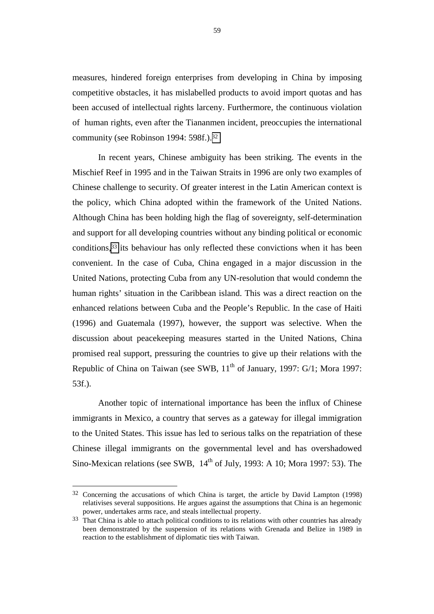measures, hindered foreign enterprises from developing in China by imposing competitive obstacles, it has mislabelled products to avoid import quotas and has been accused of intellectual rights larceny. Furthermore, the continuous violation of human rights, even after the Tiananmen incident, preoccupies the international community (see Robinson 1994: 598f.).32

In recent years, Chinese ambiguity has been striking. The events in the Mischief Reef in 1995 and in the Taiwan Straits in 1996 are only two examples of Chinese challenge to security. Of greater interest in the Latin American context is the policy, which China adopted within the framework of the United Nations. Although China has been holding high the flag of sovereignty, self-determination and support for all developing countries without any binding political or economic conditions,33 its behaviour has only reflected these convictions when it has been convenient. In the case of Cuba, China engaged in a major discussion in the United Nations, protecting Cuba from any UN-resolution that would condemn the human rights' situation in the Caribbean island. This was a direct reaction on the enhanced relations between Cuba and the People's Republic. In the case of Haiti (1996) and Guatemala (1997), however, the support was selective. When the discussion about peacekeeping measures started in the United Nations, China promised real support, pressuring the countries to give up their relations with the Republic of China on Taiwan (see SWB,  $11<sup>th</sup>$  of January, 1997: G/1; Mora 1997: 53f.).

Another topic of international importance has been the influx of Chinese immigrants in Mexico, a country that serves as a gateway for illegal immigration to the United States. This issue has led to serious talks on the repatriation of these Chinese illegal immigrants on the governmental level and has overshadowed Sino-Mexican relations (see SWB,  $14<sup>th</sup>$  of July, 1993: A 10; Mora 1997: 53). The

l

<sup>32</sup> Concerning the accusations of which China is target, the article by David Lampton (1998) relativises several suppositions. He argues against the assumptions that China is an hegemonic power, undertakes arms race, and steals intellectual property.

<sup>&</sup>lt;sup>33</sup> That China is able to attach political conditions to its relations with other countries has already been demonstrated by the suspension of its relations with Grenada and Belize in 1989 in reaction to the establishment of diplomatic ties with Taiwan.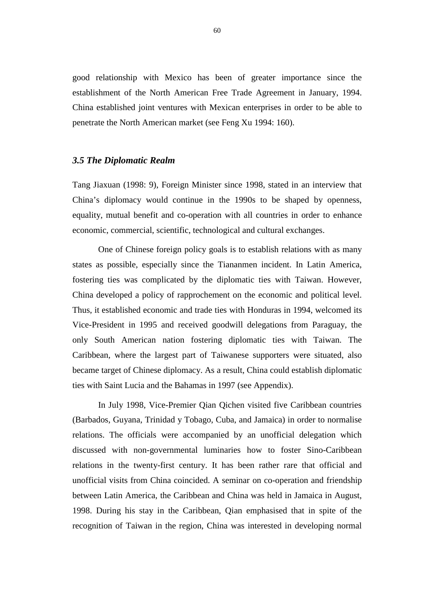good relationship with Mexico has been of greater importance since the establishment of the North American Free Trade Agreement in January, 1994. China established joint ventures with Mexican enterprises in order to be able to penetrate the North American market (see Feng Xu 1994: 160).

### *3.5 The Diplomatic Realm*

Tang Jiaxuan (1998: 9), Foreign Minister since 1998, stated in an interview that China's diplomacy would continue in the 1990s to be shaped by openness, equality, mutual benefit and co-operation with all countries in order to enhance economic, commercial, scientific, technological and cultural exchanges.

One of Chinese foreign policy goals is to establish relations with as many states as possible, especially since the Tiananmen incident. In Latin America, fostering ties was complicated by the diplomatic ties with Taiwan. However, China developed a policy of rapprochement on the economic and political level. Thus, it established economic and trade ties with Honduras in 1994, welcomed its Vice-President in 1995 and received goodwill delegations from Paraguay, the only South American nation fostering diplomatic ties with Taiwan. The Caribbean, where the largest part of Taiwanese supporters were situated, also became target of Chinese diplomacy. As a result, China could establish diplomatic ties with Saint Lucia and the Bahamas in 1997 (see Appendix).

In July 1998, Vice-Premier Qian Qichen visited five Caribbean countries (Barbados, Guyana, Trinidad y Tobago, Cuba, and Jamaica) in order to normalise relations. The officials were accompanied by an unofficial delegation which discussed with non-governmental luminaries how to foster Sino-Caribbean relations in the twenty-first century. It has been rather rare that official and unofficial visits from China coincided. A seminar on co-operation and friendship between Latin America, the Caribbean and China was held in Jamaica in August, 1998. During his stay in the Caribbean, Qian emphasised that in spite of the recognition of Taiwan in the region, China was interested in developing normal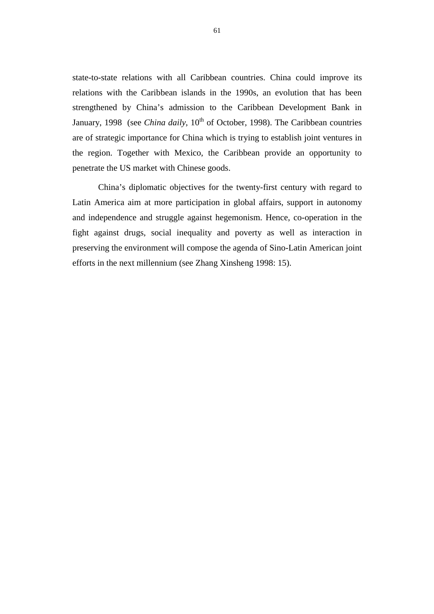state-to-state relations with all Caribbean countries. China could improve its relations with the Caribbean islands in the 1990s, an evolution that has been strengthened by China's admission to the Caribbean Development Bank in January, 1998 (see *China daily*, 10<sup>th</sup> of October, 1998). The Caribbean countries are of strategic importance for China which is trying to establish joint ventures in the region. Together with Mexico, the Caribbean provide an opportunity to penetrate the US market with Chinese goods.

China's diplomatic objectives for the twenty-first century with regard to Latin America aim at more participation in global affairs, support in autonomy and independence and struggle against hegemonism. Hence, co-operation in the fight against drugs, social inequality and poverty as well as interaction in preserving the environment will compose the agenda of Sino-Latin American joint efforts in the next millennium (see Zhang Xinsheng 1998: 15).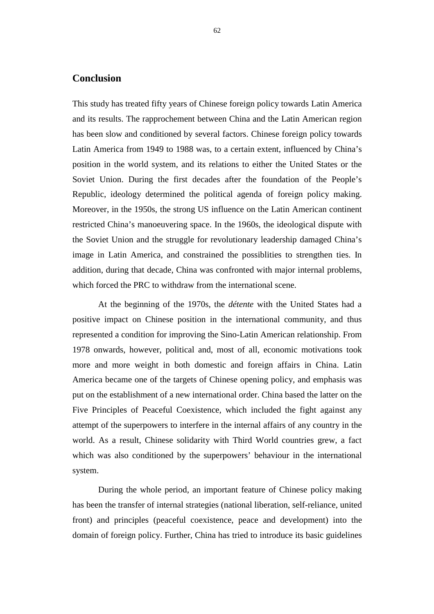# **Conclusion**

This study has treated fifty years of Chinese foreign policy towards Latin America and its results. The rapprochement between China and the Latin American region has been slow and conditioned by several factors. Chinese foreign policy towards Latin America from 1949 to 1988 was, to a certain extent, influenced by China's position in the world system, and its relations to either the United States or the Soviet Union. During the first decades after the foundation of the People's Republic, ideology determined the political agenda of foreign policy making. Moreover, in the 1950s, the strong US influence on the Latin American continent restricted China's manoeuvering space. In the 1960s, the ideological dispute with the Soviet Union and the struggle for revolutionary leadership damaged China's image in Latin America, and constrained the possiblities to strengthen ties. In addition, during that decade, China was confronted with major internal problems, which forced the PRC to withdraw from the international scene.

At the beginning of the 1970s, the *détente* with the United States had a positive impact on Chinese position in the international community, and thus represented a condition for improving the Sino-Latin American relationship. From 1978 onwards, however, political and, most of all, economic motivations took more and more weight in both domestic and foreign affairs in China. Latin America became one of the targets of Chinese opening policy, and emphasis was put on the establishment of a new international order. China based the latter on the Five Principles of Peaceful Coexistence, which included the fight against any attempt of the superpowers to interfere in the internal affairs of any country in the world. As a result, Chinese solidarity with Third World countries grew, a fact which was also conditioned by the superpowers' behaviour in the international system.

During the whole period, an important feature of Chinese policy making has been the transfer of internal strategies (national liberation, self-reliance, united front) and principles (peaceful coexistence, peace and development) into the domain of foreign policy. Further, China has tried to introduce its basic guidelines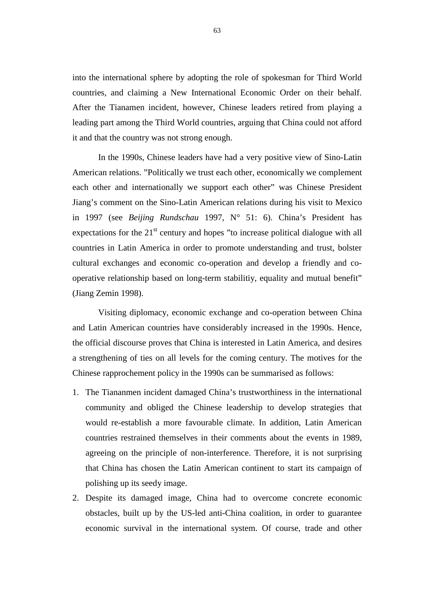into the international sphere by adopting the role of spokesman for Third World countries, and claiming a New International Economic Order on their behalf. After the Tianamen incident, however, Chinese leaders retired from playing a leading part among the Third World countries, arguing that China could not afford it and that the country was not strong enough.

In the 1990s, Chinese leaders have had a very positive view of Sino-Latin American relations. "Politically we trust each other, economically we complement each other and internationally we support each other" was Chinese President Jiang's comment on the Sino-Latin American relations during his visit to Mexico in 1997 (see *Beijing Rundschau* 1997, N° 51: 6). China's President has expectations for the  $21<sup>st</sup>$  century and hopes "to increase political dialogue with all countries in Latin America in order to promote understanding and trust, bolster cultural exchanges and economic co-operation and develop a friendly and cooperative relationship based on long-term stabilitiy, equality and mutual benefit" (Jiang Zemin 1998).

Visiting diplomacy, economic exchange and co-operation between China and Latin American countries have considerably increased in the 1990s. Hence, the official discourse proves that China is interested in Latin America, and desires a strengthening of ties on all levels for the coming century. The motives for the Chinese rapprochement policy in the 1990s can be summarised as follows:

- 1. The Tiananmen incident damaged China's trustworthiness in the international community and obliged the Chinese leadership to develop strategies that would re-establish a more favourable climate. In addition, Latin American countries restrained themselves in their comments about the events in 1989, agreeing on the principle of non-interference. Therefore, it is not surprising that China has chosen the Latin American continent to start its campaign of polishing up its seedy image.
- 2. Despite its damaged image, China had to overcome concrete economic obstacles, built up by the US-led anti-China coalition, in order to guarantee economic survival in the international system. Of course, trade and other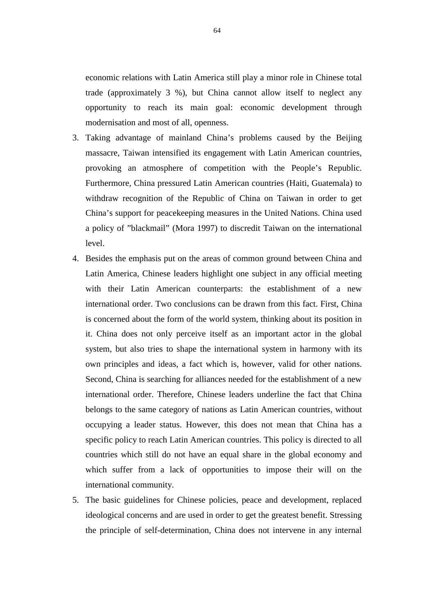economic relations with Latin America still play a minor role in Chinese total trade (approximately 3 %), but China cannot allow itself to neglect any opportunity to reach its main goal: economic development through modernisation and most of all, openness.

- 3. Taking advantage of mainland China's problems caused by the Beijing massacre, Taiwan intensified its engagement with Latin American countries, provoking an atmosphere of competition with the People's Republic. Furthermore, China pressured Latin American countries (Haiti, Guatemala) to withdraw recognition of the Republic of China on Taiwan in order to get China's support for peacekeeping measures in the United Nations. China used a policy of "blackmail" (Mora 1997) to discredit Taiwan on the international level.
- 4. Besides the emphasis put on the areas of common ground between China and Latin America, Chinese leaders highlight one subject in any official meeting with their Latin American counterparts: the establishment of a new international order. Two conclusions can be drawn from this fact. First, China is concerned about the form of the world system, thinking about its position in it. China does not only perceive itself as an important actor in the global system, but also tries to shape the international system in harmony with its own principles and ideas, a fact which is, however, valid for other nations. Second, China is searching for alliances needed for the establishment of a new international order. Therefore, Chinese leaders underline the fact that China belongs to the same category of nations as Latin American countries, without occupying a leader status. However, this does not mean that China has a specific policy to reach Latin American countries. This policy is directed to all countries which still do not have an equal share in the global economy and which suffer from a lack of opportunities to impose their will on the international community.
- 5. The basic guidelines for Chinese policies, peace and development, replaced ideological concerns and are used in order to get the greatest benefit. Stressing the principle of self-determination, China does not intervene in any internal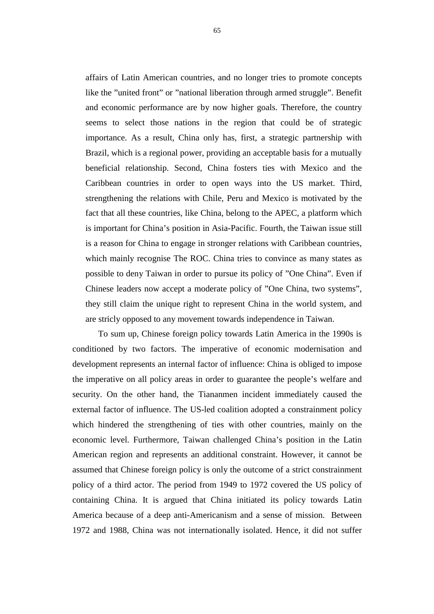affairs of Latin American countries, and no longer tries to promote concepts like the "united front" or "national liberation through armed struggle". Benefit and economic performance are by now higher goals. Therefore, the country seems to select those nations in the region that could be of strategic importance. As a result, China only has, first, a strategic partnership with Brazil, which is a regional power, providing an acceptable basis for a mutually beneficial relationship. Second, China fosters ties with Mexico and the Caribbean countries in order to open ways into the US market. Third, strengthening the relations with Chile, Peru and Mexico is motivated by the fact that all these countries, like China, belong to the APEC, a platform which is important for China's position in Asia-Pacific. Fourth, the Taiwan issue still is a reason for China to engage in stronger relations with Caribbean countries, which mainly recognise The ROC. China tries to convince as many states as possible to deny Taiwan in order to pursue its policy of "One China". Even if Chinese leaders now accept a moderate policy of "One China, two systems", they still claim the unique right to represent China in the world system, and are stricly opposed to any movement towards independence in Taiwan.

To sum up, Chinese foreign policy towards Latin America in the 1990s is conditioned by two factors. The imperative of economic modernisation and development represents an internal factor of influence: China is obliged to impose the imperative on all policy areas in order to guarantee the people's welfare and security. On the other hand, the Tiananmen incident immediately caused the external factor of influence. The US-led coalition adopted a constrainment policy which hindered the strengthening of ties with other countries, mainly on the economic level. Furthermore, Taiwan challenged China's position in the Latin American region and represents an additional constraint. However, it cannot be assumed that Chinese foreign policy is only the outcome of a strict constrainment policy of a third actor. The period from 1949 to 1972 covered the US policy of containing China. It is argued that China initiated its policy towards Latin America because of a deep anti-Americanism and a sense of mission. Between 1972 and 1988, China was not internationally isolated. Hence, it did not suffer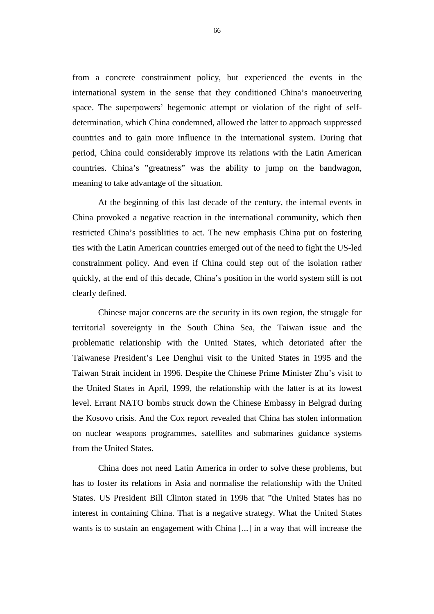from a concrete constrainment policy, but experienced the events in the international system in the sense that they conditioned China's manoeuvering space. The superpowers' hegemonic attempt or violation of the right of selfdetermination, which China condemned, allowed the latter to approach suppressed countries and to gain more influence in the international system. During that period, China could considerably improve its relations with the Latin American countries. China's "greatness" was the ability to jump on the bandwagon, meaning to take advantage of the situation.

At the beginning of this last decade of the century, the internal events in China provoked a negative reaction in the international community, which then restricted China's possiblities to act. The new emphasis China put on fostering ties with the Latin American countries emerged out of the need to fight the US-led constrainment policy. And even if China could step out of the isolation rather quickly, at the end of this decade, China's position in the world system still is not clearly defined.

Chinese major concerns are the security in its own region, the struggle for territorial sovereignty in the South China Sea, the Taiwan issue and the problematic relationship with the United States, which detoriated after the Taiwanese President's Lee Denghui visit to the United States in 1995 and the Taiwan Strait incident in 1996. Despite the Chinese Prime Minister Zhu's visit to the United States in April, 1999, the relationship with the latter is at its lowest level. Errant NATO bombs struck down the Chinese Embassy in Belgrad during the Kosovo crisis. And the Cox report revealed that China has stolen information on nuclear weapons programmes, satellites and submarines guidance systems from the United States.

China does not need Latin America in order to solve these problems, but has to foster its relations in Asia and normalise the relationship with the United States. US President Bill Clinton stated in 1996 that "the United States has no interest in containing China. That is a negative strategy. What the United States wants is to sustain an engagement with China [...] in a way that will increase the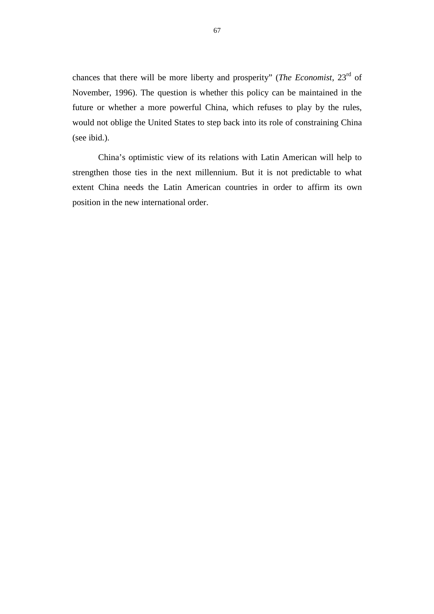chances that there will be more liberty and prosperity" (*The Economist*, 23<sup>rd</sup> of November, 1996). The question is whether this policy can be maintained in the future or whether a more powerful China, which refuses to play by the rules, would not oblige the United States to step back into its role of constraining China (see ibid.).

China's optimistic view of its relations with Latin American will help to strengthen those ties in the next millennium. But it is not predictable to what extent China needs the Latin American countries in order to affirm its own position in the new international order.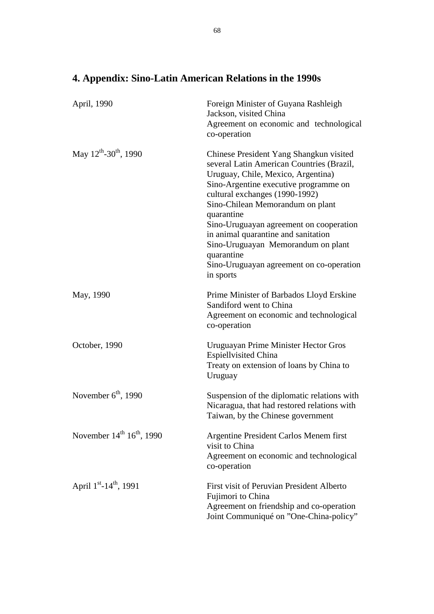| April, 1990                                       | Foreign Minister of Guyana Rashleigh<br>Jackson, visited China<br>Agreement on economic and technological<br>co-operation                                                                                                                                                                                                                                                                                                                              |
|---------------------------------------------------|--------------------------------------------------------------------------------------------------------------------------------------------------------------------------------------------------------------------------------------------------------------------------------------------------------------------------------------------------------------------------------------------------------------------------------------------------------|
| May $12^{th}$ -30 <sup>th</sup> , 1990            | Chinese President Yang Shangkun visited<br>several Latin American Countries (Brazil,<br>Uruguay, Chile, Mexico, Argentina)<br>Sino-Argentine executive programme on<br>cultural exchanges (1990-1992)<br>Sino-Chilean Memorandum on plant<br>quarantine<br>Sino-Uruguayan agreement on cooperation<br>in animal quarantine and sanitation<br>Sino-Uruguayan Memorandum on plant<br>quarantine<br>Sino-Uruguayan agreement on co-operation<br>in sports |
| May, 1990                                         | Prime Minister of Barbados Lloyd Erskine<br>Sandiford went to China<br>Agreement on economic and technological<br>co-operation                                                                                                                                                                                                                                                                                                                         |
| October, 1990                                     | Uruguayan Prime Minister Hector Gros<br><b>Espiellvisited China</b><br>Treaty on extension of loans by China to<br>Uruguay                                                                                                                                                                                                                                                                                                                             |
| November $6th$ , 1990                             | Suspension of the diplomatic relations with<br>Nicaragua, that had restored relations with<br>Taiwan, by the Chinese government                                                                                                                                                                                                                                                                                                                        |
| November 14 <sup>th</sup> 16 <sup>th</sup> , 1990 | <b>Argentine President Carlos Menem first</b><br>visit to China<br>Agreement on economic and technological<br>co-operation                                                                                                                                                                                                                                                                                                                             |
| April 1 <sup>st</sup> -14 <sup>th</sup> , 1991    | First visit of Peruvian President Alberto<br>Fujimori to China<br>Agreement on friendship and co-operation<br>Joint Communiqué on "One-China-policy"                                                                                                                                                                                                                                                                                                   |

# **4. Appendix: Sino-Latin American Relations in the 1990s**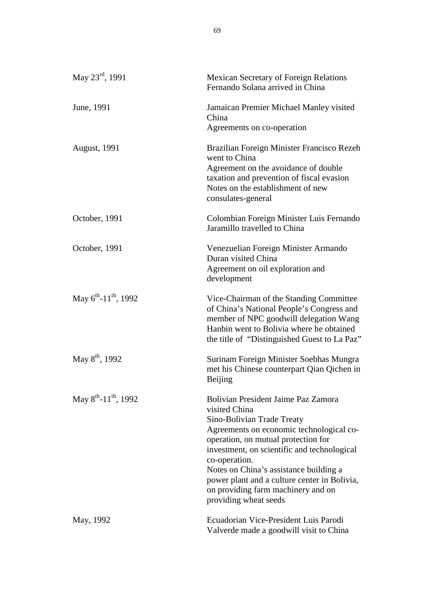| May $23^{\text{rd}}$ , 1991                  | <b>Mexican Secretary of Foreign Relations</b><br>Fernando Solana arrived in China                                                                                                                                                                                                                                                                                                                     |
|----------------------------------------------|-------------------------------------------------------------------------------------------------------------------------------------------------------------------------------------------------------------------------------------------------------------------------------------------------------------------------------------------------------------------------------------------------------|
| June, 1991                                   | Jamaican Premier Michael Manley visited<br>China<br>Agreements on co-operation                                                                                                                                                                                                                                                                                                                        |
| <b>August</b> , 1991                         | Brazilian Foreign Minister Francisco Rezeh<br>went to China<br>Agreement on the avoidance of double<br>taxation and prevention of fiscal evasion<br>Notes on the establishment of new<br>consulates-general                                                                                                                                                                                           |
| October, 1991                                | Colombian Foreign Minister Luis Fernando<br>Jaramillo travelled to China                                                                                                                                                                                                                                                                                                                              |
| October, 1991                                | Venezuelian Foreign Minister Armando<br>Duran visited China<br>Agreement on oil exploration and<br>development                                                                                                                                                                                                                                                                                        |
| May $6^{th}$ -11 <sup>th</sup> , 1992        | Vice-Chairman of the Standing Committee<br>of China's National People's Congress and<br>member of NPC goodwill delegation Wang<br>Hanbin went to Bolivia where he obtained<br>the title of "Distinguished Guest to La Paz"                                                                                                                                                                            |
| May $8^{\text{th}}$ , 1992                   | Surinam Foreign Minister Soebhas Mungra<br>met his Chinese counterpart Qian Qichen in<br>Beijing                                                                                                                                                                                                                                                                                                      |
| May 8 <sup>th</sup> -11 <sup>th</sup> , 1992 | <b>Bolivian President Jaime Paz Zamora</b><br>visited China<br>Sino-Bolivian Trade Treaty<br>Agreements on economic technological co-<br>operation, on mutual protection for<br>investment, on scientific and technological<br>co-operation.<br>Notes on China's assistance building a<br>power plant and a culture center in Bolivia,<br>on providing farm machinery and on<br>providing wheat seeds |
| May, 1992                                    | Ecuadorian Vice-President Luis Parodi<br>Valverde made a goodwill visit to China                                                                                                                                                                                                                                                                                                                      |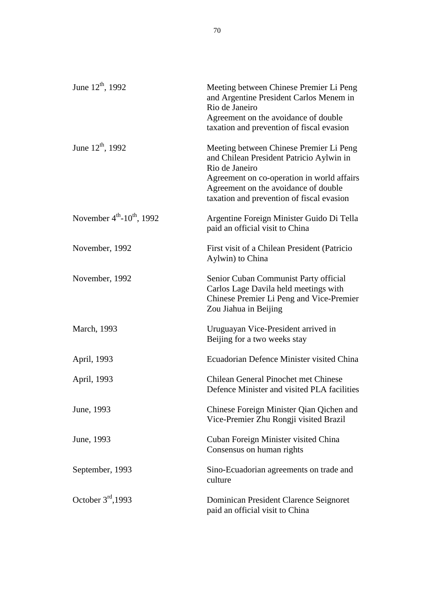| June $12^{th}$ , 1992                      | Meeting between Chinese Premier Li Peng<br>and Argentine President Carlos Menem in<br>Rio de Janeiro<br>Agreement on the avoidance of double<br>taxation and prevention of fiscal evasion                                                |
|--------------------------------------------|------------------------------------------------------------------------------------------------------------------------------------------------------------------------------------------------------------------------------------------|
| June 12 <sup>th</sup> , 1992               | Meeting between Chinese Premier Li Peng<br>and Chilean President Patricio Aylwin in<br>Rio de Janeiro<br>Agreement on co-operation in world affairs<br>Agreement on the avoidance of double<br>taxation and prevention of fiscal evasion |
| November $4^{th}$ -10 <sup>th</sup> , 1992 | Argentine Foreign Minister Guido Di Tella<br>paid an official visit to China                                                                                                                                                             |
| November, 1992                             | First visit of a Chilean President (Patricio<br>Aylwin) to China                                                                                                                                                                         |
| November, 1992                             | Senior Cuban Communist Party official<br>Carlos Lage Davila held meetings with<br>Chinese Premier Li Peng and Vice-Premier<br>Zou Jiahua in Beijing                                                                                      |
| March, 1993                                | Uruguayan Vice-President arrived in<br>Beijing for a two weeks stay                                                                                                                                                                      |
| April, 1993                                | Ecuadorian Defence Minister visited China                                                                                                                                                                                                |
| April, 1993                                | <b>Chilean General Pinochet met Chinese</b><br>Defence Minister and visited PLA facilities                                                                                                                                               |
| June, 1993                                 | Chinese Foreign Minister Qian Qichen and<br>Vice-Premier Zhu Rongji visited Brazil                                                                                                                                                       |
| June, 1993                                 | Cuban Foreign Minister visited China<br>Consensus on human rights                                                                                                                                                                        |
| September, 1993                            | Sino-Ecuadorian agreements on trade and<br>culture                                                                                                                                                                                       |
| October $3rd$ , 1993                       | Dominican President Clarence Seignoret<br>paid an official visit to China                                                                                                                                                                |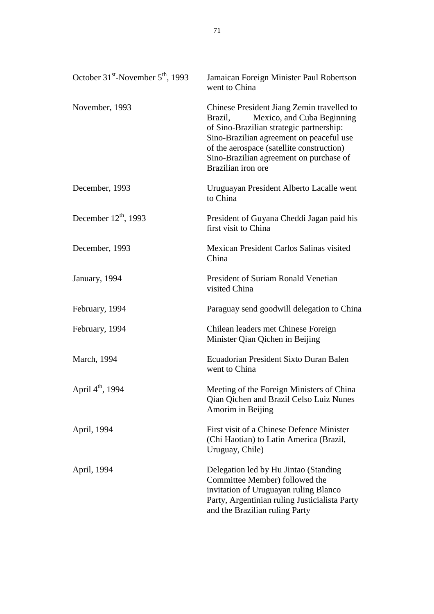| October $31^{st}$ -November $5^{th}$ , 1993 | Jamaican Foreign Minister Paul Robertson<br>went to China                                                                                                                                                                                                                                 |
|---------------------------------------------|-------------------------------------------------------------------------------------------------------------------------------------------------------------------------------------------------------------------------------------------------------------------------------------------|
| November, 1993                              | Chinese President Jiang Zemin travelled to<br>Mexico, and Cuba Beginning<br>Brazil,<br>of Sino-Brazilian strategic partnership:<br>Sino-Brazilian agreement on peaceful use<br>of the aerospace (satellite construction)<br>Sino-Brazilian agreement on purchase of<br>Brazilian iron ore |
| December, 1993                              | Uruguayan President Alberto Lacalle went<br>to China                                                                                                                                                                                                                                      |
| December $12th$ , 1993                      | President of Guyana Cheddi Jagan paid his<br>first visit to China                                                                                                                                                                                                                         |
| December, 1993                              | Mexican President Carlos Salinas visited<br>China                                                                                                                                                                                                                                         |
| January, 1994                               | President of Suriam Ronald Venetian<br>visited China                                                                                                                                                                                                                                      |
| February, 1994                              | Paraguay send goodwill delegation to China                                                                                                                                                                                                                                                |
| February, 1994                              | Chilean leaders met Chinese Foreign<br>Minister Qian Qichen in Beijing                                                                                                                                                                                                                    |
| March, 1994                                 | Ecuadorian President Sixto Duran Balen<br>went to China                                                                                                                                                                                                                                   |
| April $4^{th}$ , 1994                       | Meeting of the Foreign Ministers of China<br>Qian Qichen and Brazil Celso Luiz Nunes<br>Amorim in Beijing                                                                                                                                                                                 |
| April, 1994                                 | First visit of a Chinese Defence Minister<br>(Chi Haotian) to Latin America (Brazil,<br>Uruguay, Chile)                                                                                                                                                                                   |
| April, 1994                                 | Delegation led by Hu Jintao (Standing<br>Committee Member) followed the<br>invitation of Uruguayan ruling Blanco<br>Party, Argentinian ruling Justicialista Party<br>and the Brazilian ruling Party                                                                                       |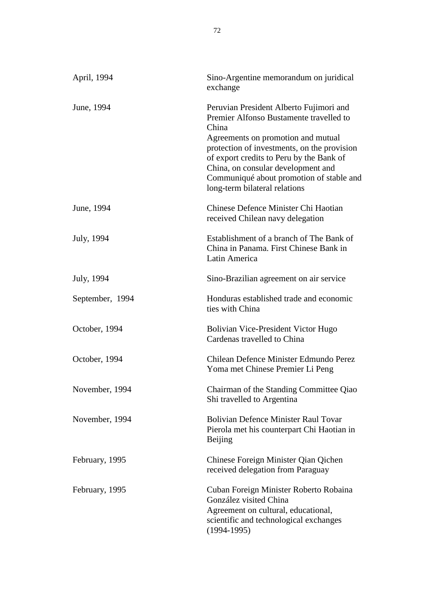| April, 1994     | Sino-Argentine memorandum on juridical<br>exchange                                                                                                                                                                                                                                                                                              |
|-----------------|-------------------------------------------------------------------------------------------------------------------------------------------------------------------------------------------------------------------------------------------------------------------------------------------------------------------------------------------------|
| June, 1994      | Peruvian President Alberto Fujimori and<br>Premier Alfonso Bustamente travelled to<br>China<br>Agreements on promotion and mutual<br>protection of investments, on the provision<br>of export credits to Peru by the Bank of<br>China, on consular development and<br>Communiqué about promotion of stable and<br>long-term bilateral relations |
| June, 1994      | Chinese Defence Minister Chi Haotian<br>received Chilean navy delegation                                                                                                                                                                                                                                                                        |
| July, 1994      | Establishment of a branch of The Bank of<br>China in Panama. First Chinese Bank in<br>Latin America                                                                                                                                                                                                                                             |
| July, 1994      | Sino-Brazilian agreement on air service                                                                                                                                                                                                                                                                                                         |
| September, 1994 | Honduras established trade and economic<br>ties with China                                                                                                                                                                                                                                                                                      |
| October, 1994   | <b>Bolivian Vice-President Victor Hugo</b><br>Cardenas travelled to China                                                                                                                                                                                                                                                                       |
| October, 1994   | Chilean Defence Minister Edmundo Perez<br>Yoma met Chinese Premier Li Peng                                                                                                                                                                                                                                                                      |
| November, 1994  | Chairman of the Standing Committee Qiao<br>Shi travelled to Argentina                                                                                                                                                                                                                                                                           |
| November, 1994  | <b>Bolivian Defence Minister Raul Tovar</b><br>Pierola met his counterpart Chi Haotian in<br>Beijing                                                                                                                                                                                                                                            |
| February, 1995  | Chinese Foreign Minister Qian Qichen<br>received delegation from Paraguay                                                                                                                                                                                                                                                                       |
| February, 1995  | Cuban Foreign Minister Roberto Robaina<br>González visited China<br>Agreement on cultural, educational,<br>scientific and technological exchanges<br>$(1994-1995)$                                                                                                                                                                              |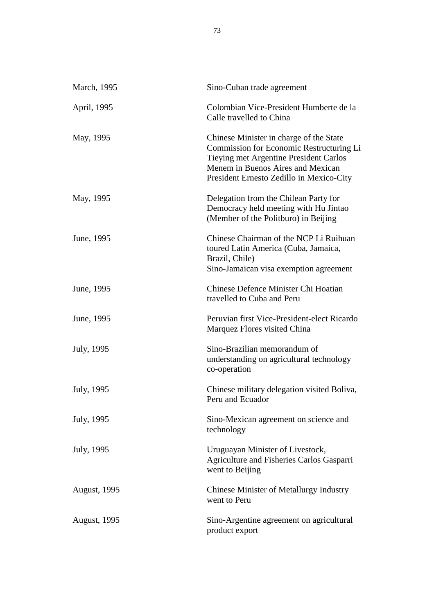| March, 1995         | Sino-Cuban trade agreement                                                                                                                                                                                     |
|---------------------|----------------------------------------------------------------------------------------------------------------------------------------------------------------------------------------------------------------|
| April, 1995         | Colombian Vice-President Humberte de la<br>Calle travelled to China                                                                                                                                            |
| May, 1995           | Chinese Minister in charge of the State<br>Commission for Economic Restructuring Li<br>Tieying met Argentine President Carlos<br>Menem in Buenos Aires and Mexican<br>President Ernesto Zedillo in Mexico-City |
| May, 1995           | Delegation from the Chilean Party for<br>Democracy held meeting with Hu Jintao<br>(Member of the Politburo) in Beijing                                                                                         |
| June, 1995          | Chinese Chairman of the NCP Li Ruihuan<br>toured Latin America (Cuba, Jamaica,<br>Brazil, Chile)<br>Sino-Jamaican visa exemption agreement                                                                     |
| June, 1995          | Chinese Defence Minister Chi Hoatian<br>travelled to Cuba and Peru                                                                                                                                             |
| June, 1995          | Peruvian first Vice-President-elect Ricardo<br>Marquez Flores visited China                                                                                                                                    |
| July, 1995          | Sino-Brazilian memorandum of<br>understanding on agricultural technology<br>co-operation                                                                                                                       |
| July, 1995          | Chinese military delegation visited Boliva,<br>Peru and Ecuador                                                                                                                                                |
| July, 1995          | Sino-Mexican agreement on science and<br>technology                                                                                                                                                            |
| July, 1995          | Uruguayan Minister of Livestock,<br>Agriculture and Fisheries Carlos Gasparri<br>went to Beijing                                                                                                               |
| <b>August, 1995</b> | Chinese Minister of Metallurgy Industry<br>went to Peru                                                                                                                                                        |
| <b>August, 1995</b> | Sino-Argentine agreement on agricultural<br>product export                                                                                                                                                     |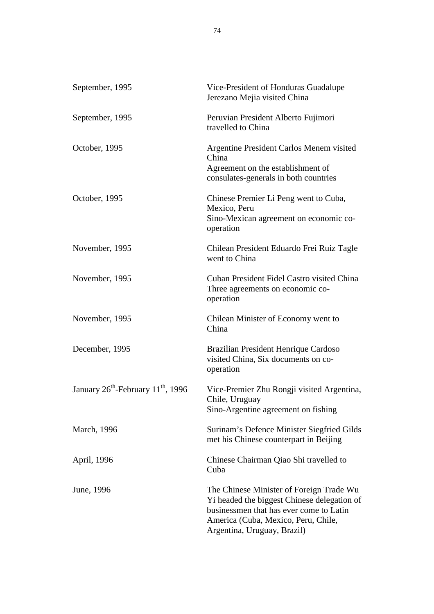| September, 1995                                            | Vice-President of Honduras Guadalupe<br>Jerezano Mejia visited China                                                                                                                                     |
|------------------------------------------------------------|----------------------------------------------------------------------------------------------------------------------------------------------------------------------------------------------------------|
| September, 1995                                            | Peruvian President Alberto Fujimori<br>travelled to China                                                                                                                                                |
| October, 1995                                              | Argentine President Carlos Menem visited<br>China<br>Agreement on the establishment of<br>consulates-generals in both countries                                                                          |
| October, 1995                                              | Chinese Premier Li Peng went to Cuba,<br>Mexico, Peru<br>Sino-Mexican agreement on economic co-<br>operation                                                                                             |
| November, 1995                                             | Chilean President Eduardo Frei Ruiz Tagle<br>went to China                                                                                                                                               |
| November, 1995                                             | Cuban President Fidel Castro visited China<br>Three agreements on economic co-<br>operation                                                                                                              |
| November, 1995                                             | Chilean Minister of Economy went to<br>China                                                                                                                                                             |
| December, 1995                                             | Brazilian President Henrique Cardoso<br>visited China, Six documents on co-<br>operation                                                                                                                 |
| January 26 <sup>th</sup> -February 11 <sup>th</sup> , 1996 | Vice-Premier Zhu Rongji visited Argentina,<br>Chile, Uruguay<br>Sino-Argentine agreement on fishing                                                                                                      |
| March, 1996                                                | Surinam's Defence Minister Siegfried Gilds<br>met his Chinese counterpart in Beijing                                                                                                                     |
| April, 1996                                                | Chinese Chairman Qiao Shi travelled to<br>Cuba                                                                                                                                                           |
| June, 1996                                                 | The Chinese Minister of Foreign Trade Wu<br>Yi headed the biggest Chinese delegation of<br>businessmen that has ever come to Latin<br>America (Cuba, Mexico, Peru, Chile,<br>Argentina, Uruguay, Brazil) |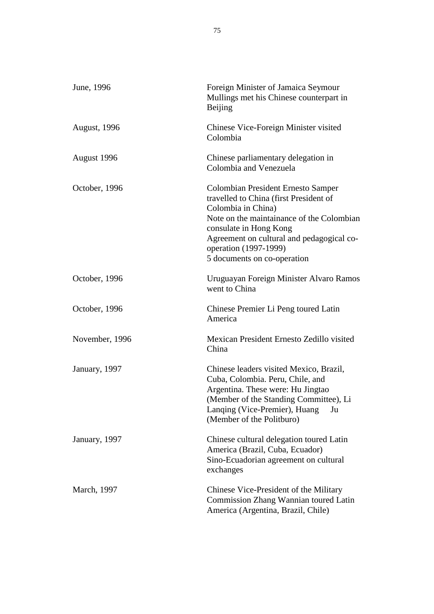| June, 1996          | Foreign Minister of Jamaica Seymour<br>Mullings met his Chinese counterpart in<br>Beijing                                                                                                                                                                                             |
|---------------------|---------------------------------------------------------------------------------------------------------------------------------------------------------------------------------------------------------------------------------------------------------------------------------------|
| <b>August, 1996</b> | Chinese Vice-Foreign Minister visited<br>Colombia                                                                                                                                                                                                                                     |
| August 1996         | Chinese parliamentary delegation in<br>Colombia and Venezuela                                                                                                                                                                                                                         |
| October, 1996       | <b>Colombian President Ernesto Samper</b><br>travelled to China (first President of<br>Colombia in China)<br>Note on the maintainance of the Colombian<br>consulate in Hong Kong<br>Agreement on cultural and pedagogical co-<br>operation (1997-1999)<br>5 documents on co-operation |
| October, 1996       | Uruguayan Foreign Minister Alvaro Ramos<br>went to China                                                                                                                                                                                                                              |
| October, 1996       | Chinese Premier Li Peng toured Latin<br>America                                                                                                                                                                                                                                       |
| November, 1996      | Mexican President Ernesto Zedillo visited<br>China                                                                                                                                                                                                                                    |
| January, 1997       | Chinese leaders visited Mexico, Brazil,<br>Cuba, Colombia. Peru, Chile, and<br>Argentina. These were: Hu Jingtao<br>(Member of the Standing Committee), Li<br>Lanqing (Vice-Premier), Huang<br>Ju<br>(Member of the Politburo)                                                        |
| January, 1997       | Chinese cultural delegation toured Latin<br>America (Brazil, Cuba, Ecuador)<br>Sino-Ecuadorian agreement on cultural<br>exchanges                                                                                                                                                     |
| March, 1997         | Chinese Vice-President of the Military<br>Commission Zhang Wannian toured Latin<br>America (Argentina, Brazil, Chile)                                                                                                                                                                 |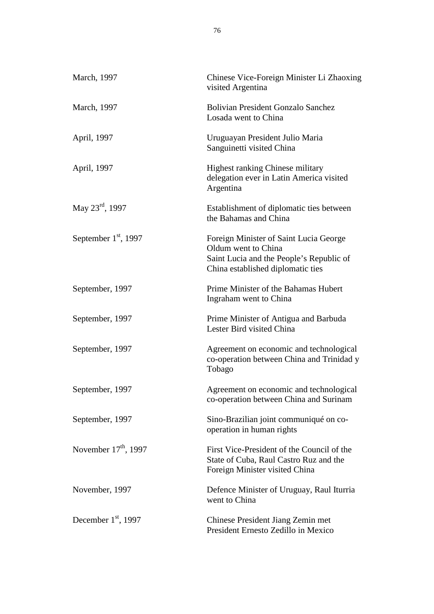| March, 1997                 | Chinese Vice-Foreign Minister Li Zhaoxing<br>visited Argentina                                                                                 |
|-----------------------------|------------------------------------------------------------------------------------------------------------------------------------------------|
| March, 1997                 | <b>Bolivian President Gonzalo Sanchez</b><br>Losada went to China                                                                              |
| April, 1997                 | Uruguayan President Julio Maria<br>Sanguinetti visited China                                                                                   |
| April, 1997                 | <b>Highest ranking Chinese military</b><br>delegation ever in Latin America visited<br>Argentina                                               |
| May $23^{\text{rd}}$ , 1997 | Establishment of diplomatic ties between<br>the Bahamas and China                                                                              |
| September $1st$ , 1997      | Foreign Minister of Saint Lucia George<br>Oldum went to China<br>Saint Lucia and the People's Republic of<br>China established diplomatic ties |
| September, 1997             | Prime Minister of the Bahamas Hubert<br>Ingraham went to China                                                                                 |
| September, 1997             | Prime Minister of Antigua and Barbuda<br>Lester Bird visited China                                                                             |
| September, 1997             | Agreement on economic and technological<br>co-operation between China and Trinidad y<br>Tobago                                                 |
| September, 1997             | Agreement on economic and technological<br>co-operation between China and Surinam                                                              |
| September, 1997             | Sino-Brazilian joint communiqué on co-<br>operation in human rights                                                                            |
| November $17th$ , 1997      | First Vice-President of the Council of the<br>State of Cuba, Raul Castro Ruz and the<br>Foreign Minister visited China                         |
| November, 1997              | Defence Minister of Uruguay, Raul Iturria<br>went to China                                                                                     |
| December $1st$ , 1997       | Chinese President Jiang Zemin met<br>President Ernesto Zedillo in Mexico                                                                       |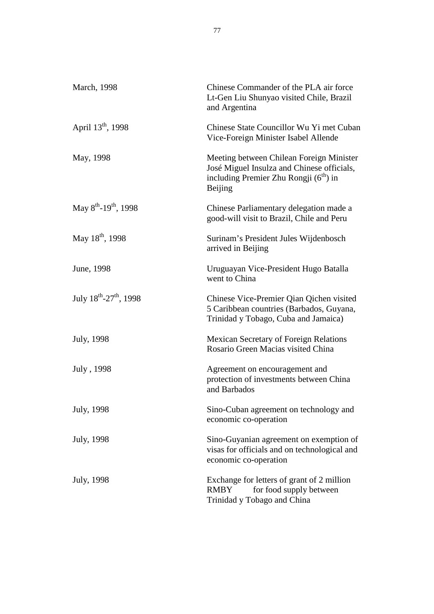| March, 1998                             | Chinese Commander of the PLA air force<br>Lt-Gen Liu Shunyao visited Chile, Brazil<br>and Argentina                                          |
|-----------------------------------------|----------------------------------------------------------------------------------------------------------------------------------------------|
| April 13 <sup>th</sup> , 1998           | Chinese State Councillor Wu Yi met Cuban<br>Vice-Foreign Minister Isabel Allende                                                             |
| May, 1998                               | Meeting between Chilean Foreign Minister<br>José Miguel Insulza and Chinese officials,<br>including Premier Zhu Rongji $(6th)$ in<br>Beijing |
| May $8^{th}$ -19 <sup>th</sup> , 1998   | Chinese Parliamentary delegation made a<br>good-will visit to Brazil, Chile and Peru                                                         |
| May 18 <sup>th</sup> , 1998             | Surinam's President Jules Wijdenbosch<br>arrived in Beijing                                                                                  |
| June, 1998                              | Uruguayan Vice-President Hugo Batalla<br>went to China                                                                                       |
| July $18^{th}$ -27 <sup>th</sup> , 1998 | Chinese Vice-Premier Qian Qichen visited<br>5 Caribbean countries (Barbados, Guyana,<br>Trinidad y Tobago, Cuba and Jamaica)                 |
| July, 1998                              | <b>Mexican Secretary of Foreign Relations</b><br>Rosario Green Macias visited China                                                          |
| July, 1998                              | Agreement on encouragement and<br>protection of investments between China<br>and Barbados                                                    |
| July, 1998                              | Sino-Cuban agreement on technology and<br>economic co-operation                                                                              |
| July, 1998                              | Sino-Guyanian agreement on exemption of<br>visas for officials and on technological and<br>economic co-operation                             |
| July, 1998                              | Exchange for letters of grant of 2 million<br>for food supply between<br><b>RMBY</b><br>Trinidad y Tobago and China                          |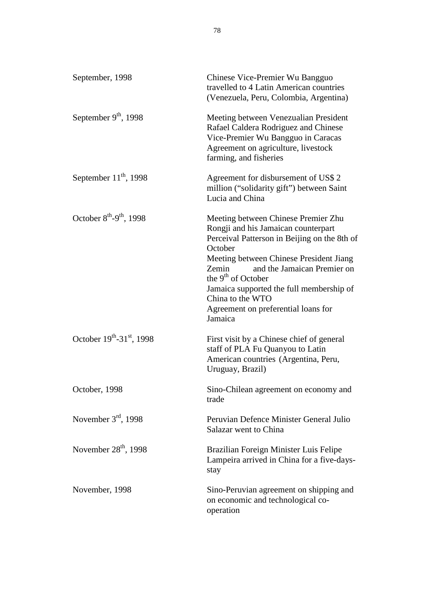| September, 1998                          | Chinese Vice-Premier Wu Bangguo<br>travelled to 4 Latin American countries<br>(Venezuela, Peru, Colombia, Argentina)                                                                                                                                                                                                                                               |
|------------------------------------------|--------------------------------------------------------------------------------------------------------------------------------------------------------------------------------------------------------------------------------------------------------------------------------------------------------------------------------------------------------------------|
| September $9th$ , 1998                   | Meeting between Venezualian President<br>Rafael Caldera Rodriguez and Chinese<br>Vice-Premier Wu Bangguo in Caracas<br>Agreement on agriculture, livestock<br>farming, and fisheries                                                                                                                                                                               |
| September $11^{th}$ , 1998               | Agreement for disbursement of US\$ 2<br>million ("solidarity gift") between Saint<br>Lucia and China                                                                                                                                                                                                                                                               |
| October $8^{th}$ -9 <sup>th</sup> , 1998 | Meeting between Chinese Premier Zhu<br>Rongji and his Jamaican counterpart<br>Perceival Patterson in Beijing on the 8th of<br>October<br>Meeting between Chinese President Jiang<br>and the Jamaican Premier on<br>Zemin<br>the $9th$ of October<br>Jamaica supported the full membership of<br>China to the WTO<br>Agreement on preferential loans for<br>Jamaica |
| October 19th-31st, 1998                  | First visit by a Chinese chief of general<br>staff of PLA Fu Quanyou to Latin<br>American countries (Argentina, Peru,<br>Uruguay, Brazil)                                                                                                                                                                                                                          |
| October, 1998                            | Sino-Chilean agreement on economy and<br>trade                                                                                                                                                                                                                                                                                                                     |
| November $3rd$ , 1998                    | Peruvian Defence Minister General Julio<br>Salazar went to China                                                                                                                                                                                                                                                                                                   |
| November $28th$ , 1998                   | Brazilian Foreign Minister Luis Felipe<br>Lampeira arrived in China for a five-days-<br>stay                                                                                                                                                                                                                                                                       |
| November, 1998                           | Sino-Peruvian agreement on shipping and<br>on economic and technological co-<br>operation                                                                                                                                                                                                                                                                          |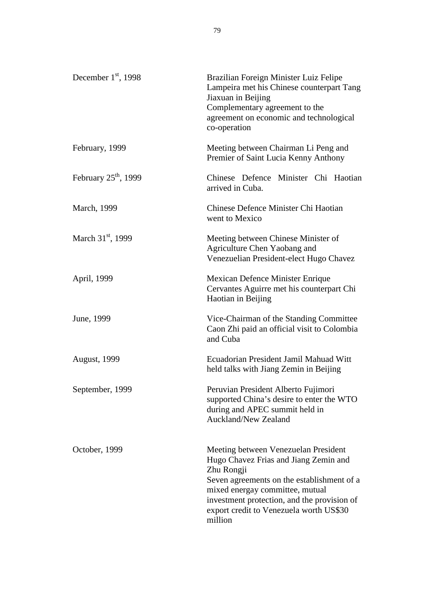| December $1st$ , 1998         | Brazilian Foreign Minister Luiz Felipe<br>Lampeira met his Chinese counterpart Tang<br>Jiaxuan in Beijing<br>Complementary agreement to the<br>agreement on economic and technological<br>co-operation                                                                            |
|-------------------------------|-----------------------------------------------------------------------------------------------------------------------------------------------------------------------------------------------------------------------------------------------------------------------------------|
| February, 1999                | Meeting between Chairman Li Peng and<br>Premier of Saint Lucia Kenny Anthony                                                                                                                                                                                                      |
| February $25th$ , 1999        | Chinese Defence Minister Chi Haotian<br>arrived in Cuba.                                                                                                                                                                                                                          |
| March, 1999                   | Chinese Defence Minister Chi Haotian<br>went to Mexico                                                                                                                                                                                                                            |
| March 31 <sup>st</sup> , 1999 | Meeting between Chinese Minister of<br>Agriculture Chen Yaobang and<br>Venezuelian President-elect Hugo Chavez                                                                                                                                                                    |
| April, 1999                   | Mexican Defence Minister Enrique<br>Cervantes Aguirre met his counterpart Chi<br>Haotian in Beijing                                                                                                                                                                               |
| June, 1999                    | Vice-Chairman of the Standing Committee<br>Caon Zhi paid an official visit to Colombia<br>and Cuba                                                                                                                                                                                |
| <b>August, 1999</b>           | Ecuadorian President Jamil Mahuad Witt<br>held talks with Jiang Zemin in Beijing                                                                                                                                                                                                  |
| September, 1999               | Peruvian President Alberto Fujimori<br>supported China's desire to enter the WTO<br>during and APEC summit held in<br>Auckland/New Zealand                                                                                                                                        |
| October, 1999                 | Meeting between Venezuelan President<br>Hugo Chavez Frias and Jiang Zemin and<br>Zhu Rongji<br>Seven agreements on the establishment of a<br>mixed energay committee, mutual<br>investment protection, and the provision of<br>export credit to Venezuela worth US\$30<br>million |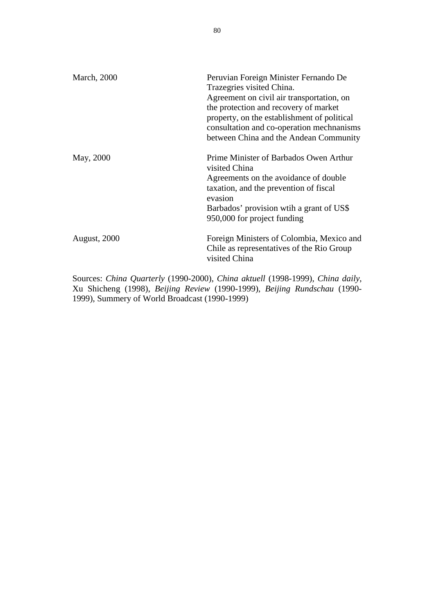| <b>March</b> , 2000 | Peruvian Foreign Minister Fernando De<br>Trazegries visited China.<br>Agreement on civil air transportation, on<br>the protection and recovery of market<br>property, on the establishment of political<br>consultation and co-operation mechnanisms<br>between China and the Andean Community |
|---------------------|------------------------------------------------------------------------------------------------------------------------------------------------------------------------------------------------------------------------------------------------------------------------------------------------|
| May, 2000           | Prime Minister of Barbados Owen Arthur<br>visited China<br>Agreements on the avoidance of double<br>taxation, and the prevention of fiscal<br>evasion<br>Barbados' provision with a grant of US\$<br>950,000 for project funding                                                               |
| <b>August, 2000</b> | Foreign Ministers of Colombia, Mexico and<br>Chile as representatives of the Rio Group<br>visited China                                                                                                                                                                                        |

Sources: *China Quarterly* (1990-2000), *China aktuell* (1998-1999), *China daily*, Xu Shicheng (1998), *Beijing Review* (1990-1999), *Beijing Rundschau* (1990- 1999), Summery of World Broadcast (1990-1999)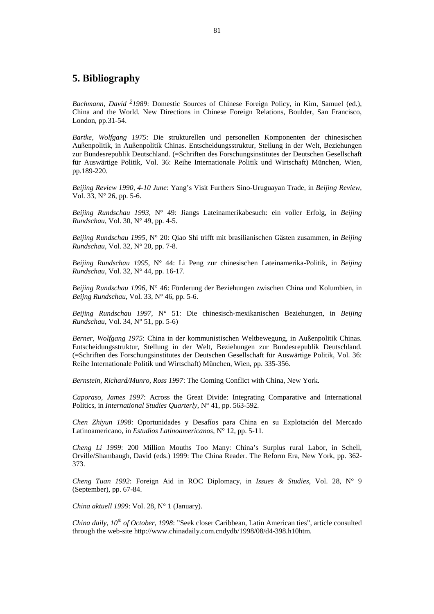## **5. Bibliography**

*Bachmann, David 21989*: Domestic Sources of Chinese Foreign Policy, in Kim, Samuel (ed.), China and the World. New Directions in Chinese Foreign Relations, Boulder, San Francisco, London, pp.31-54.

*Bartke, Wolfgang 1975*: Die strukturellen und personellen Komponenten der chinesischen Außenpolitik, in Außenpolitik Chinas. Entscheidungsstruktur, Stellung in der Welt, Beziehungen zur Bundesrepublik Deutschland. (=Schriften des Forschungsinstitutes der Deutschen Gesellschaft für Auswärtige Politik, Vol. 36: Reihe Internationale Politik und Wirtschaft) München, Wien, pp.189-220.

*Beijing Review 1990, 4-10 June*: Yang's Visit Furthers Sino-Uruguayan Trade, in *Beijing Review*, Vol. 33, N° 26, pp. 5-6.

*Beijing Rundschau 1993*, N° 49: Jiangs Lateinamerikabesuch: ein voller Erfolg, in *Beijing Rundschau*, Vol. 30, N° 49, pp. 4-5.

*Beijing Rundschau 1995*, N° 20: Qiao Shi trifft mit brasilianischen Gästen zusammen, in *Beijing Rundschau*, Vol. 32, N° 20, pp. 7-8.

*Beijing Rundschau 1995*, N° 44: Li Peng zur chinesischen Lateinamerika-Politik, in *Beijing Rundschau*, Vol. 32, N° 44, pp. 16-17.

*Beijing Rundschau 1996*, N° 46: Förderung der Beziehungen zwischen China und Kolumbien, in *Beijng Rundschau*, Vol. 33, N° 46, pp. 5-6.

*Beijing Rundschau 1997*, N° 51: Die chinesisch-mexikanischen Beziehungen, in *Beijing Rundschau*, Vol. 34, N° 51, pp. 5-6)

*Berner, Wolfgang 1975*: China in der kommunistischen Weltbewegung, in Außenpolitik Chinas. Entscheidungsstruktur, Stellung in der Welt, Beziehungen zur Bundesrepublik Deutschland. (=Schriften des Forschungsinstitutes der Deutschen Gesellschaft für Auswärtige Politik, Vol. 36: Reihe Internationale Politik und Wirtschaft) München, Wien, pp. 335-356.

*Bernstein, Richard/Munro, Ross 1997*: The Coming Conflict with China, New York.

*Caporaso, James 1997*: Across the Great Divide: Integrating Comparative and International Politics, in *International Studies Quarterly*, N° 41, pp. 563-592.

*Chen Zhiyun 1998*: Oportunidades y Desafíos para China en su Explotación del Mercado Latinoamericano, in *Estudios Latinoamericanos*, N° 12, pp. 5-11.

*Cheng Li 1999*: 200 Million Mouths Too Many: China's Surplus rural Labor, in Schell, Orville/Shambaugh, David (eds.) 1999: The China Reader. The Reform Era, New York, pp. 362- 373.

*Cheng Tuan 1992*: Foreign Aid in ROC Diplomacy, in *Issues & Studies*, Vol. 28, N° 9 (September), pp. 67-84.

*China aktuell 1999*: Vol. 28, N° 1 (January).

*China daily*, *10th of October, 1998*: "Seek closer Caribbean, Latin American ties", article consulted through the web-site http://www.chinadaily.com.cndydb/1998/08/d4-398.h10htm.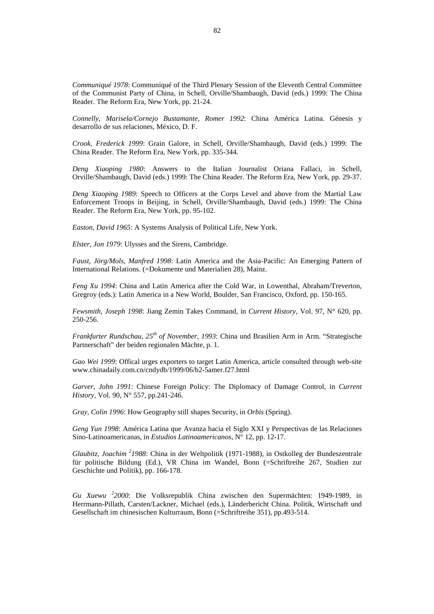*Communiqué 1978*: Communiqué of the Third Plenary Session of the Eleventh Central Committee of the Communist Party of China, in Schell, Orville/Shambaugh, David (eds.) 1999: The China Reader. The Reform Era, New York, pp. 21-24.

*Connelly, Marisela/Cornejo Bustamante, Romer 1992*: China América Latina. Génesis y desarrollo de sus relaciones, México, D. F.

*Crook, Frederick 1999*: Grain Galore, in Schell, Orville/Shambaugh, David (eds.) 1999: The China Reader. The Reform Era, New York, pp. 335-344.

*Deng Xiaoping 1980*: Answers to the Italian Journalist Oriana Fallaci, in Schell, Orville/Shambaugh, David (eds.) 1999: The China Reader. The Reform Era, New York, pp. 29-37.

*Deng Xiaoping 1989*: Speech to Officers at the Corps Level and above from the Martial Law Enforcement Troops in Beijing, in Schell, Orville/Shambaugh, David (eds.) 1999: The China Reader. The Reform Era, New York, pp. 95-102.

*Easton, David 1965*: A Systems Analysis of Political Life, New York.

*Elster, Jon 1979*: Ulysses and the Sirens, Cambridge.

*Faust, Jörg/Mols, Manfred 1998*: Latin America and the Asia-Pacific: An Emerging Pattern of International Relations. (=Dokumente und Materialien 28), Mainz.

*Feng Xu 1994*: China and Latin America after the Cold War, in Lowenthal, Abraham/Treverton, Gregroy (eds.): Latin America in a New World, Boulder, San Francisco, Oxford, pp. 150-165.

*Fewsmith, Joseph 1998*: Jiang Zemin Takes Command, in *Current History*, Vol. 97, N° 620, pp. 250-256.

*Frankfurter Rundschau, 25th of November, 1993*: China und Brasilien Arm in Arm. "Strategische Partnerschaft" der beiden regionalen Mächte, p. 1.

*Gao Wei 1999*: Offical urges exporters to target Latin America, article consulted through web-site www.chinadaily.com.cn/cndydb/1999/06/b2-5amer.f27.html

*Garver, John 1991*: Chinese Foreign Policy: The Diplomacy of Damage Control, in *Current History*, Vol. 90, N° 557, pp.241-246.

*Gray, Colin 1996*: How Geography still shapes Security, in *Orbis* (Spring).

*Geng Yun 1998*: América Latina que Avanza hacia el Siglo XXI y Perspectivas de las Relaciones Sino-Latinoamericanas, in *Estudios Latinoamericanos*, N° 12, pp. 12-17.

*Glaubitz, Joachim <sup>2</sup> 1988*: China in der Weltpolitik (1971-1988), in Ostkolleg der Bundeszentrale für politische Bildung (Ed.), VR China im Wandel, Bonn (=Schriftreihe 267, Studien zur Geschichte und Politik), pp. 166-178.

*Gu Xuewu <sup>2</sup> 2000*: Die Volksrepublik China zwischen den Supermächten: 1949-1989, in Herrmann-Pillath, Carsten/Lackner, Michael (eds.), Länderbericht China. Politik, Wirtschaft und Gesellschaft im chinesischen Kulturraum, Bonn (=Schriftreihe 351), pp.493-514.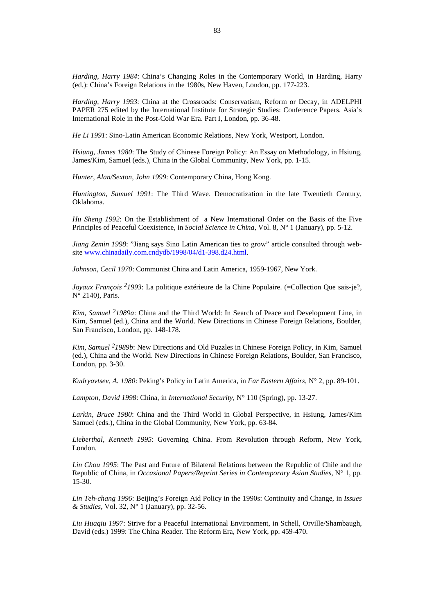*Harding, Harry 1984*: China's Changing Roles in the Contemporary World, in Harding, Harry (ed.): China's Foreign Relations in the 1980s, New Haven, London, pp. 177-223.

*Harding, Harry 1993*: China at the Crossroads: Conservatism, Reform or Decay, in ADELPHI PAPER 275 edited by the International Institute for Strategic Studies: Conference Papers. Asia's International Role in the Post-Cold War Era. Part I, London, pp. 36-48.

*He Li 1991*: Sino-Latin American Economic Relations, New York, Westport, London.

*Hsiung, James 1980*: The Study of Chinese Foreign Policy: An Essay on Methodology, in Hsiung, James/Kim, Samuel (eds.), China in the Global Community, New York, pp. 1-15.

*Hunter, Alan/Sexton, John 1999*: Contemporary China, Hong Kong.

*Huntington, Samuel 1991*: The Third Wave. Democratization in the late Twentieth Century, Oklahoma.

*Hu Sheng 1992*: On the Establishment of a New International Order on the Basis of the Five Principles of Peaceful Coexistence, in *Social Science in China*, Vol. 8, N° 1 (January), pp. 5-12.

*Jiang Zemin 1998*: "Jiang says Sino Latin American ties to grow" article consulted through website www.chinadaily.com.cndydb/1998/04/d1-398.d24.html.

*Johnson, Cecil 1970*: Communist China and Latin America, 1959-1967, New York.

*Joyaux François 21993*: La politique extérieure de la Chine Populaire. (=Collection Que sais-je?, N° 2140), Paris.

*Kim, Samuel 21989a*: China and the Third World: In Search of Peace and Development Line, in Kim, Samuel (ed.), China and the World. New Directions in Chinese Foreign Relations, Boulder, San Francisco, London, pp. 148-178.

*Kim, Samuel 21989b*: New Directions and Old Puzzles in Chinese Foreign Policy, in Kim, Samuel (ed.), China and the World. New Directions in Chinese Foreign Relations, Boulder, San Francisco, London, pp. 3-30.

*Kudryavtsev, A. 1980*: Peking's Policy in Latin America, in *Far Eastern Affairs*, N° 2, pp. 89-101.

*Lampton, David 1998*: China, in *International Security*, N° 110 (Spring), pp. 13-27.

*Larkin, Bruce 1980*: China and the Third World in Global Perspective, in Hsiung, James/Kim Samuel (eds.), China in the Global Community, New York, pp. 63-84.

*Lieberthal, Kenneth 1995*: Governing China. From Revolution through Reform, New York, London.

*Lin Chou 1995*: The Past and Future of Bilateral Relations between the Republic of Chile and the Republic of China, in *Occasional Papers/Reprint Series in Contemporary Asian Studies*, N° 1, pp. 15-30.

*Lin Teh-chang 1996*: Beijing's Foreign Aid Policy in the 1990s: Continuity and Change, in *Issues & Studies*, Vol. 32, N° 1 (January), pp. 32-56.

*Liu Huaqiu 1997*: Strive for a Peaceful International Environment, in Schell, Orville/Shambaugh, David (eds.) 1999: The China Reader. The Reform Era, New York, pp. 459-470.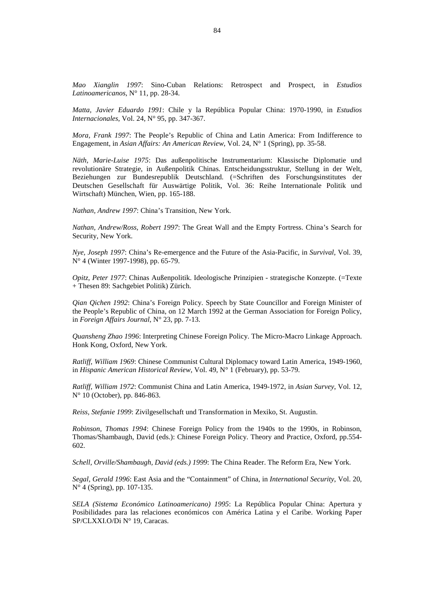*Mao Xianglin 1997*: Sino-Cuban Relations: Retrospect and Prospect, in *Estudios Latinoamericanos*, N° 11, pp. 28-34.

*Matta, Javier Eduardo 1991*: Chile y la República Popular China: 1970-1990, in *Estudios Internacionales*, Vol. 24, N° 95, pp. 347-367.

*Mora, Frank 1997*: The People's Republic of China and Latin America: From Indifference to Engagement, in *Asian Affairs: An American Review*, Vol. 24, N° 1 (Spring), pp. 35-58.

*Näth, Marie-Luise 1975*: Das außenpolitische Instrumentarium: Klassische Diplomatie und revolutionäre Strategie, in Außenpolitik Chinas. Entscheidungsstruktur, Stellung in der Welt, Beziehungen zur Bundesrepublik Deutschland. (=Schriften des Forschungsinstitutes der Deutschen Gesellschaft für Auswärtige Politik, Vol. 36: Reihe Internationale Politik und Wirtschaft) München, Wien, pp. 165-188.

*Nathan, Andrew 1997*: China's Transition, New York.

*Nathan, Andrew/Ross, Robert 1997*: The Great Wall and the Empty Fortress. China's Search for Security, New York.

*Nye, Joseph 1997*: China's Re-emergence and the Future of the Asia-Pacific, in *Survival*, Vol. 39, N° 4 (Winter 1997-1998), pp. 65-79.

*Opitz, Peter 1977*: Chinas Außenpolitik. Ideologische Prinzipien - strategische Konzepte. (=Texte + Thesen 89: Sachgebiet Politik) Zürich.

*Qian Qichen 1992*: China's Foreign Policy. Speech by State Councillor and Foreign Minister of the People's Republic of China, on 12 March 1992 at the German Association for Foreign Policy, in *Foreign Affairs Journal*, N° 23, pp. 7-13.

*Quansheng Zhao 1996*: Interpreting Chinese Foreign Policy. The Micro-Macro Linkage Approach. Honk Kong, Oxford, New York.

*Ratliff, William 1969*: Chinese Communist Cultural Diplomacy toward Latin America, 1949-1960, in *Hispanic American Historical Review*, Vol. 49, N° 1 (February), pp. 53-79.

*Ratliff, William 1972*: Communist China and Latin America, 1949-1972, in *Asian Survey*, Vol. 12, N° 10 (October), pp. 846-863.

*Reiss, Stefanie 1999*: Zivilgesellschaft und Transformation in Mexiko, St. Augustin.

*Robinson, Thomas 1994*: Chinese Foreign Policy from the 1940s to the 1990s, in Robinson, Thomas/Shambaugh, David (eds.): Chinese Foreign Policy. Theory and Practice, Oxford, pp.554- 602.

*Schell, Orville/Shambaugh, David (eds.) 1999*: The China Reader. The Reform Era, New York.

*Segal, Gerald 1996*: East Asia and the "Containment" of China, in *International Security*, Vol. 20, N° 4 (Spring), pp. 107-135.

*SELA (Sistema Económico Latinoamericano) 1995*: La República Popular China: Apertura y Posibilidades para las relaciones económicos con América Latina y el Caribe. Working Paper SP/CLXXI.O/Di N° 19, Caracas.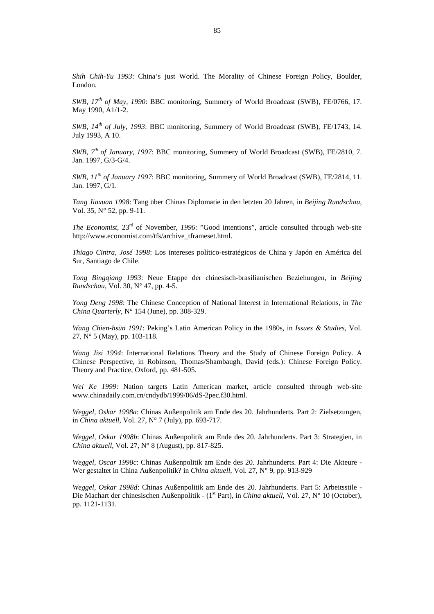*Shih Chih-Yu 1993*: China's just World. The Morality of Chinese Foreign Policy, Boulder, London.

*SWB, 17th of May, 1990*: BBC monitoring, Summery of World Broadcast (SWB), FE/0766, 17. May 1990, A1/1-2.

*SWB, 14th of July, 1993*: BBC monitoring, Summery of World Broadcast (SWB), FE/1743, 14. July 1993, A 10.

*SWB, 7th of January, 1997*: BBC monitoring, Summery of World Broadcast (SWB), FE/2810, 7. Jan. 1997, G/3-G/4.

*SWB, 11th of January 1997*: BBC monitoring, Summery of World Broadcast (SWB), FE/2814, 11. Jan. 1997, G/1.

*Tang Jiaxuan 1998*: Tang über Chinas Diplomatie in den letzten 20 Jahren, in *Beijing Rundschau*, Vol. 35, N° 52, pp. 9-11.

*The Economist*, 23rd of November, *1996*: "Good intentions", article consulted through web-site http://www.economist.com/tfs/archive\_tframeset.html.

*Thiago Cintra, José 1998*: Los intereses político-estratégicos de China y Japón en América del Sur, Santiago de Chile.

*Tong Bingqiang 1993*: Neue Etappe der chinesisch-brasilianischen Beziehungen, in *Beijing Rundschau*, Vol. 30, N° 47, pp. 4-5.

*Yong Deng 1998*: The Chinese Conception of National Interest in International Relations, in *The China Quarterly*, N° 154 (June), pp. 308-329.

*Wang Chien-hsün 1991*: Peking's Latin American Policy in the 1980s, in *Issues & Studies*, Vol. 27, N° 5 (May), pp. 103-118.

*Wang Jisi 1994*: International Relations Theory and the Study of Chinese Foreign Policy. A Chinese Perspective, in Robinson, Thomas/Shambaugh, David (eds.): Chinese Foreign Policy. Theory and Practice, Oxford, pp. 481-505.

*Wei Ke 1999*: Nation targets Latin American market, article consulted through web-site www.chinadaily.com.cn/cndydb/1999/06/dS-2pec.f30.html.

*Weggel, Oskar 1998a*: Chinas Außenpolitik am Ende des 20. Jahrhunderts. Part 2: Zielsetzungen, in *China aktuell*, Vol. 27, N° 7 (July), pp. 693-717.

*Weggel, Oskar 1998b*: Chinas Außenpolitik am Ende des 20. Jahrhunderts. Part 3: Strategien, in *China aktuell*, Vol. 27, N° 8 (August), pp. 817-825.

*Weggel, Oscar 1998c*: Chinas Außenpolitik am Ende des 20. Jahrhunderts. Part 4: Die Akteure - Wer gestaltet in China Außenpolitik? in *China aktuell*, Vol. 27, N° 9, pp. 913-929

*Weggel, Oskar 1998d*: Chinas Außenpolitik am Ende des 20. Jahrhunderts. Part 5: Arbeitsstile - Die Machart der chinesischen Außenpolitik - (1<sup>st</sup> Part), in *China aktuell*, Vol. 27, N° 10 (October), pp. 1121-1131.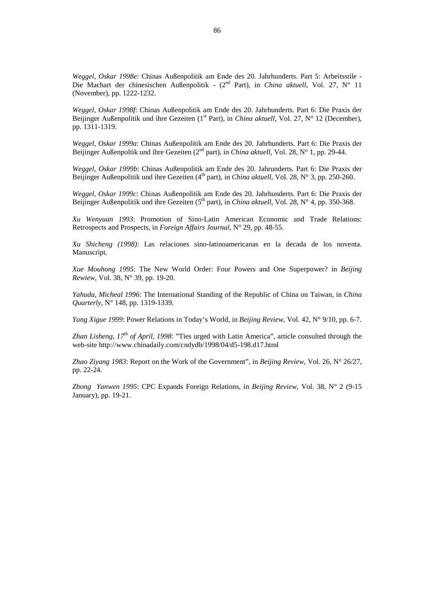*Weggel, Oskar 1998e*: Chinas Außenpolitik am Ende des 20. Jahrhunderts. Part 5: Arbeitsstile - Die Machart der chinesischen Außenpolitik - (2nd Part), in *China aktuell*, Vol. 27, N° 11 (November), pp. 1222-1232.

*Weggel, Oskar 1998f*: Chinas Außenpolitik am Ende des 20. Jahrhunderts. Part 6: Die Praxis der Beijinger Außenpolitik und ihre Gezeiten (1<sup>st</sup> Part), in *China aktuell*, Vol. 27, N° 12 (December), pp. 1311-1319.

*Weggel, Oskar 1999a*: Chinas Außenpolitik am Ende des 20. Jahrhunderts. Part 6: Die Praxis der Beijinger Außenpoltik und ihre Gezeiten (2<sup>nd</sup> part), in *China aktuell*, Vol. 28, N° 1, pp. 29-44.

*Weggel, Oskar 1999b*: Chinas Außenpolitik am Ende des 20. Jahrunderts. Part 6: Die Praxis der Beijinger Außenpolitik und ihre Gezeiten (4<sup>th</sup> part), in *China aktuell*, Vol. 28, N° 3, pp. 250-260.

*Weggel, Oskar 1999c*: Chinas Außenpolitik am Ende des 20. Jahrhunderts. Part 6: Die Praxis der Beijinger Außenpolitik und ihre Gezeiten (5<sup>th</sup> part), in *China aktuell*, Vol. 28, N° 4, pp. 350-368.

*Xu Wenyuan 1993*: Promotion of Sino-Latin American Economic and Trade Relations: Retrospects and Prospects, in *Foreign Affairs Journal*, N° 29, pp. 48-55.

*Xu Shicheng (1998)*: Las relaciones sino-latinoamericanas en la decada de los noventa. Manuscript.

*Xue Mouhong 1995*: The New World Order: Four Powers and One Superpower? in *Beijing Rewiew*, Vol. 38, N° 39, pp. 19-20.

*Yahuda, Micheal 1996*: The International Standing of the Republic of China on Taiwan, in *China Quarterly*, N° 148, pp. 1319-1339.

*Yang Xigue 1999*: Power Relations in Today's World, in *Beijing Review*, Vol. 42, N° 9/10, pp. 6-7.

*Zhan Lisheng*, *17th of April, 1998*: "Ties urged with Latin America", article consulted through the web-site http://www.chinadaily.com/cndydb/1998/04/d5-198.d17.html

*Zhao Ziyang 1983*: Report on the Work of the Government", in *Beijing Review*, Vol. 26, N° 26/27, pp. 22-24.

*Zhong Yanwen 1995*: CPC Expands Foreign Relations, in *Beijing Review*, Vol. 38, N° 2 (9-15 January), pp. 19-21.